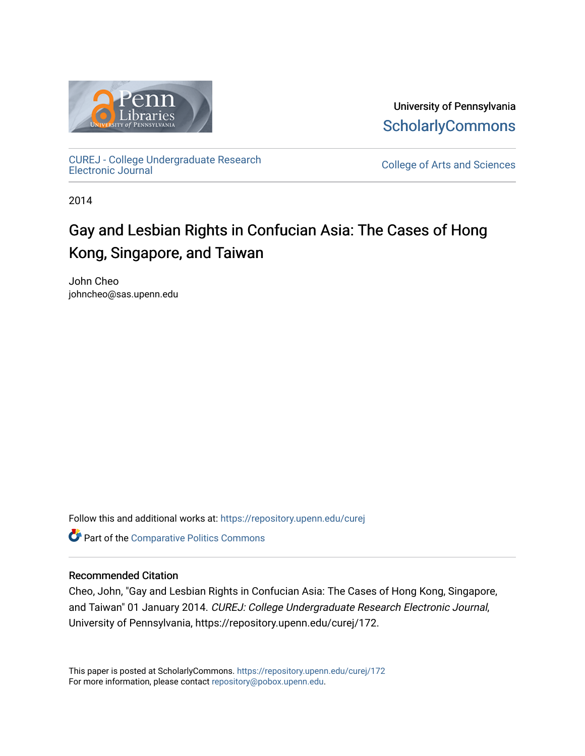

University of Pennsylvania **ScholarlyCommons** 

[CUREJ - College Undergraduate Research](https://repository.upenn.edu/curej) 

College of Arts and Sciences

2014

# Gay and Lesbian Rights in Confucian Asia: The Cases of Hong Kong, Singapore, and Taiwan

John Cheo johncheo@sas.upenn.edu

Follow this and additional works at: [https://repository.upenn.edu/curej](https://repository.upenn.edu/curej?utm_source=repository.upenn.edu%2Fcurej%2F172&utm_medium=PDF&utm_campaign=PDFCoverPages)

Part of the [Comparative Politics Commons](http://network.bepress.com/hgg/discipline/388?utm_source=repository.upenn.edu%2Fcurej%2F172&utm_medium=PDF&utm_campaign=PDFCoverPages) 

#### Recommended Citation

Cheo, John, "Gay and Lesbian Rights in Confucian Asia: The Cases of Hong Kong, Singapore, and Taiwan" 01 January 2014. CUREJ: College Undergraduate Research Electronic Journal, University of Pennsylvania, https://repository.upenn.edu/curej/172.

This paper is posted at ScholarlyCommons.<https://repository.upenn.edu/curej/172> For more information, please contact [repository@pobox.upenn.edu.](mailto:repository@pobox.upenn.edu)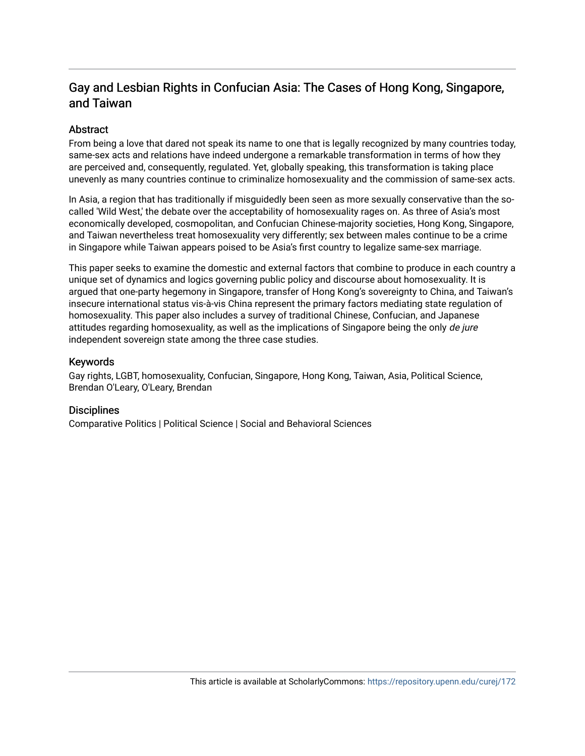# Gay and Lesbian Rights in Confucian Asia: The Cases of Hong Kong, Singapore, and Taiwan

### Abstract

From being a love that dared not speak its name to one that is legally recognized by many countries today, same-sex acts and relations have indeed undergone a remarkable transformation in terms of how they are perceived and, consequently, regulated. Yet, globally speaking, this transformation is taking place unevenly as many countries continue to criminalize homosexuality and the commission of same-sex acts.

In Asia, a region that has traditionally if misguidedly been seen as more sexually conservative than the socalled 'Wild West,' the debate over the acceptability of homosexuality rages on. As three of Asia's most economically developed, cosmopolitan, and Confucian Chinese-majority societies, Hong Kong, Singapore, and Taiwan nevertheless treat homosexuality very differently; sex between males continue to be a crime in Singapore while Taiwan appears poised to be Asia's first country to legalize same-sex marriage.

This paper seeks to examine the domestic and external factors that combine to produce in each country a unique set of dynamics and logics governing public policy and discourse about homosexuality. It is argued that one-party hegemony in Singapore, transfer of Hong Kong's sovereignty to China, and Taiwan's insecure international status vis-à-vis China represent the primary factors mediating state regulation of homosexuality. This paper also includes a survey of traditional Chinese, Confucian, and Japanese attitudes regarding homosexuality, as well as the implications of Singapore being the only de jure independent sovereign state among the three case studies.

#### Keywords

Gay rights, LGBT, homosexuality, Confucian, Singapore, Hong Kong, Taiwan, Asia, Political Science, Brendan O'Leary, O'Leary, Brendan

#### **Disciplines**

Comparative Politics | Political Science | Social and Behavioral Sciences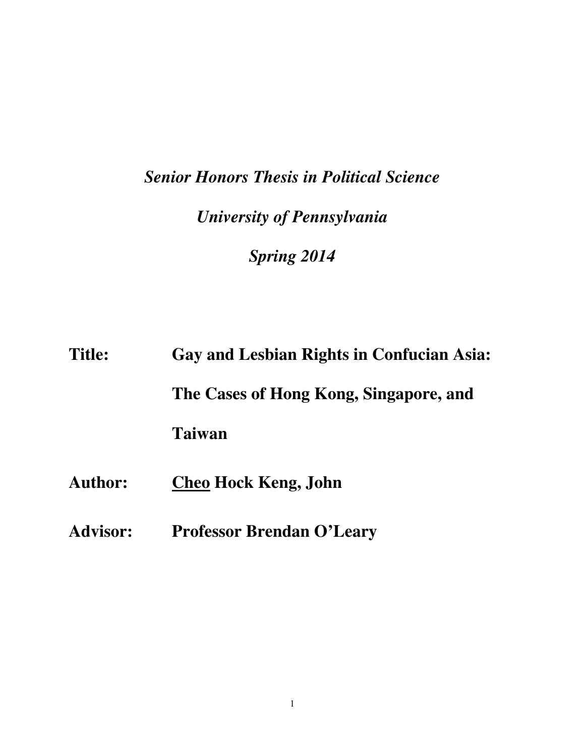# *Senior Honors Thesis in Political Science University of Pennsylvania Spring 2014*

| <b>Title:</b>   | Gay and Lesbian Rights in Confucian Asia: |
|-----------------|-------------------------------------------|
|                 | The Cases of Hong Kong, Singapore, and    |
|                 | Taiwan                                    |
| <b>Author:</b>  | <b>Cheo Hock Keng, John</b>               |
| <b>Advisor:</b> | <b>Professor Brendan O'Leary</b>          |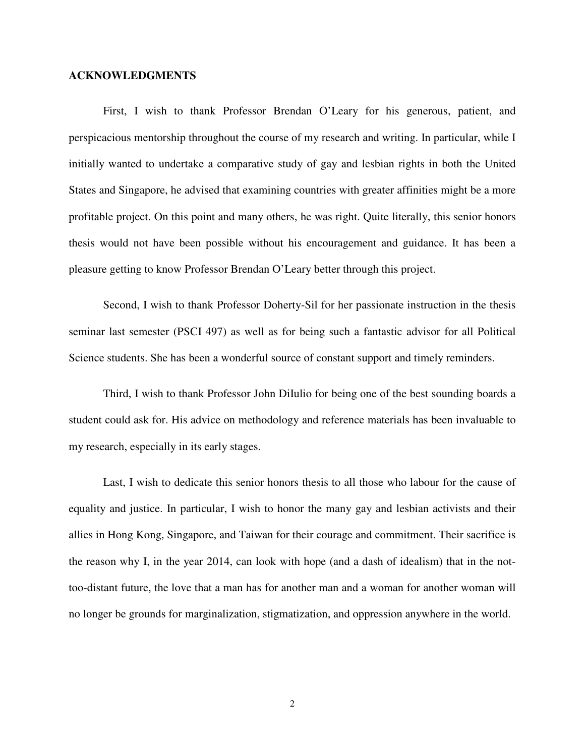#### **ACKNOWLEDGMENTS**

First, I wish to thank Professor Brendan O'Leary for his generous, patient, and perspicacious mentorship throughout the course of my research and writing. In particular, while I initially wanted to undertake a comparative study of gay and lesbian rights in both the United States and Singapore, he advised that examining countries with greater affinities might be a more profitable project. On this point and many others, he was right. Quite literally, this senior honors thesis would not have been possible without his encouragement and guidance. It has been a pleasure getting to know Professor Brendan O'Leary better through this project.

Second, I wish to thank Professor Doherty-Sil for her passionate instruction in the thesis seminar last semester (PSCI 497) as well as for being such a fantastic advisor for all Political Science students. She has been a wonderful source of constant support and timely reminders.

Third, I wish to thank Professor John DiIulio for being one of the best sounding boards a student could ask for. His advice on methodology and reference materials has been invaluable to my research, especially in its early stages.

Last, I wish to dedicate this senior honors thesis to all those who labour for the cause of equality and justice. In particular, I wish to honor the many gay and lesbian activists and their allies in Hong Kong, Singapore, and Taiwan for their courage and commitment. Their sacrifice is the reason why I, in the year 2014, can look with hope (and a dash of idealism) that in the nottoo-distant future, the love that a man has for another man and a woman for another woman will no longer be grounds for marginalization, stigmatization, and oppression anywhere in the world.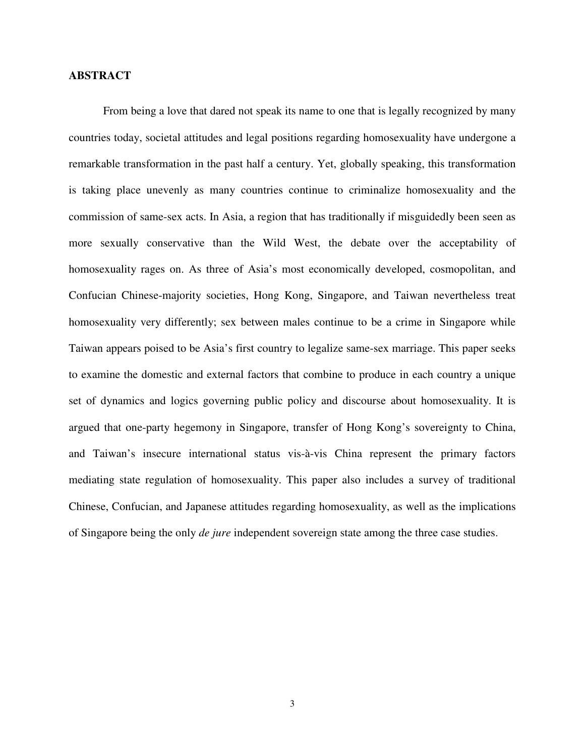#### **ABSTRACT**

From being a love that dared not speak its name to one that is legally recognized by many countries today, societal attitudes and legal positions regarding homosexuality have undergone a remarkable transformation in the past half a century. Yet, globally speaking, this transformation is taking place unevenly as many countries continue to criminalize homosexuality and the commission of same-sex acts. In Asia, a region that has traditionally if misguidedly been seen as more sexually conservative than the Wild West, the debate over the acceptability of homosexuality rages on. As three of Asia's most economically developed, cosmopolitan, and Confucian Chinese-majority societies, Hong Kong, Singapore, and Taiwan nevertheless treat homosexuality very differently; sex between males continue to be a crime in Singapore while Taiwan appears poised to be Asia's first country to legalize same-sex marriage. This paper seeks to examine the domestic and external factors that combine to produce in each country a unique set of dynamics and logics governing public policy and discourse about homosexuality. It is argued that one-party hegemony in Singapore, transfer of Hong Kong's sovereignty to China, and Taiwan's insecure international status vis-à-vis China represent the primary factors mediating state regulation of homosexuality. This paper also includes a survey of traditional Chinese, Confucian, and Japanese attitudes regarding homosexuality, as well as the implications of Singapore being the only *de jure* independent sovereign state among the three case studies.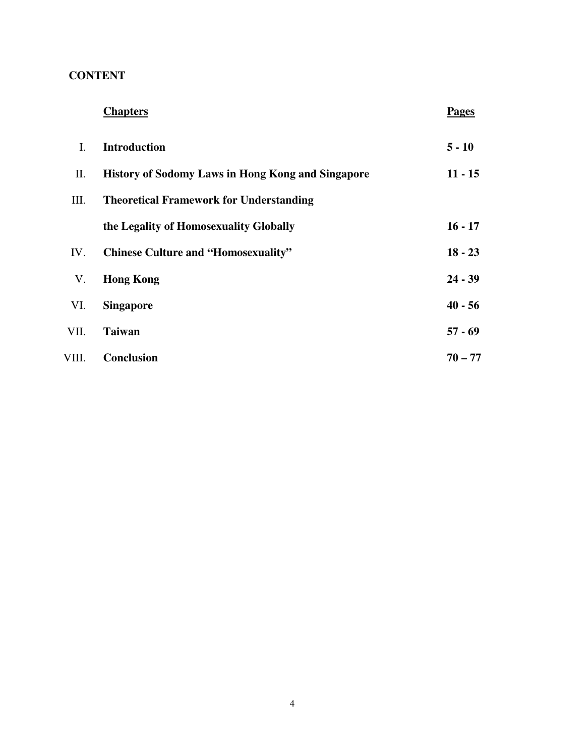## **CONTENT**

| <b>Chapters</b> | <b>Pages</b> |
|-----------------|--------------|
|-----------------|--------------|

| L.    | <b>Introduction</b>                                      | $5 - 10$  |
|-------|----------------------------------------------------------|-----------|
| П.    | <b>History of Sodomy Laws in Hong Kong and Singapore</b> | $11 - 15$ |
| Ш.    | <b>Theoretical Framework for Understanding</b>           |           |
|       | the Legality of Homosexuality Globally                   | $16 - 17$ |
| IV.   | <b>Chinese Culture and "Homosexuality"</b>               | $18 - 23$ |
| V.    | <b>Hong Kong</b>                                         | $24 - 39$ |
| VI.   | <b>Singapore</b>                                         | $40 - 56$ |
| VII.  | <b>Taiwan</b>                                            | $57 - 69$ |
| VIII. | <b>Conclusion</b>                                        | $70 - 77$ |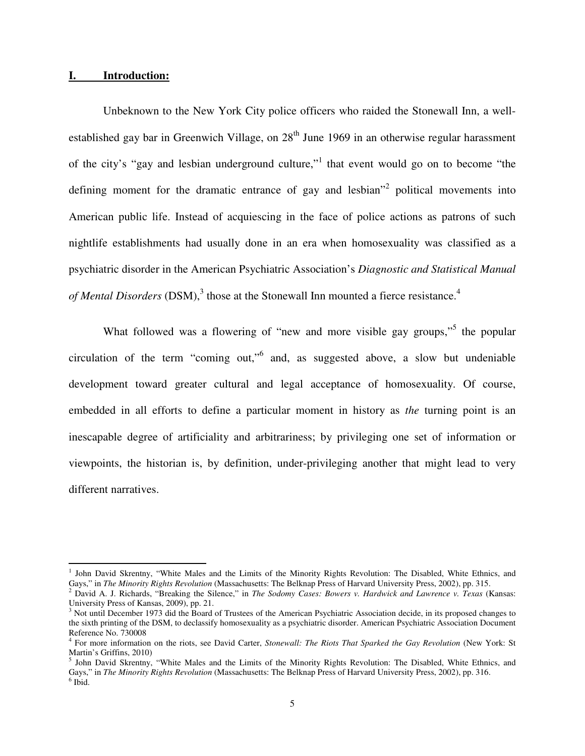#### **I. Introduction:**

l

 Unbeknown to the New York City police officers who raided the Stonewall Inn, a wellestablished gay bar in Greenwich Village, on  $28<sup>th</sup>$  June 1969 in an otherwise regular harassment of the city's "gay and lesbian underground culture,"<sup>1</sup> that event would go on to become "the defining moment for the dramatic entrance of gay and lesbian<sup>32</sup> political movements into American public life. Instead of acquiescing in the face of police actions as patrons of such nightlife establishments had usually done in an era when homosexuality was classified as a psychiatric disorder in the American Psychiatric Association's *Diagnostic and Statistical Manual*  of Mental Disorders (DSM),<sup>3</sup> those at the Stonewall Inn mounted a fierce resistance.<sup>4</sup>

What followed was a flowering of "new and more visible gay groups,"<sup>5</sup> the popular circulation of the term "coming out,"<sup>6</sup> and, as suggested above, a slow but undeniable development toward greater cultural and legal acceptance of homosexuality. Of course, embedded in all efforts to define a particular moment in history as *the* turning point is an inescapable degree of artificiality and arbitrariness; by privileging one set of information or viewpoints, the historian is, by definition, under-privileging another that might lead to very different narratives.

<sup>&</sup>lt;sup>1</sup> John David Skrentny, "White Males and the Limits of the Minority Rights Revolution: The Disabled, White Ethnics, and Gays," in *The Minority Rights Revolution* (Massachusetts: The Belknap Press of Harvard University Press, 2002), pp. 315.

<sup>2</sup> David A. J. Richards, "Breaking the Silence," in *The Sodomy Cases: Bowers v. Hardwick and Lawrence v. Texas* (Kansas: University Press of Kansas, 2009), pp. 21.

<sup>&</sup>lt;sup>3</sup> Not until December 1973 did the Board of Trustees of the American Psychiatric Association decide, in its proposed changes to the sixth printing of the DSM, to declassify homosexuality as a psychiatric disorder. American Psychiatric Association Document Reference No. 730008

<sup>4</sup> For more information on the riots, see David Carter, *Stonewall: The Riots That Sparked the Gay Revolution* (New York: St Martin's Griffins, 2010)

<sup>5</sup> John David Skrentny, "White Males and the Limits of the Minority Rights Revolution: The Disabled, White Ethnics, and Gays," in *The Minority Rights Revolution* (Massachusetts: The Belknap Press of Harvard University Press, 2002), pp. 316. 6 Ibid.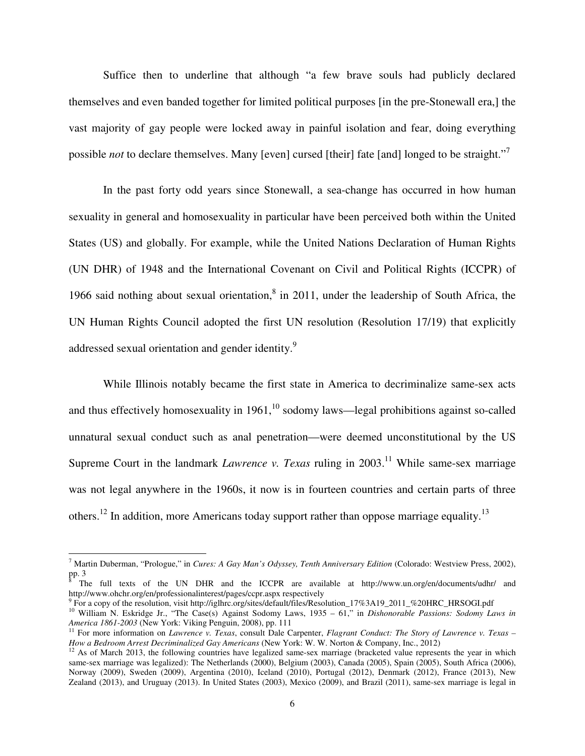Suffice then to underline that although "a few brave souls had publicly declared themselves and even banded together for limited political purposes [in the pre-Stonewall era,] the vast majority of gay people were locked away in painful isolation and fear, doing everything possible *not* to declare themselves. Many [even] cursed [their] fate [and] longed to be straight."<sup>7</sup>

In the past forty odd years since Stonewall, a sea-change has occurred in how human sexuality in general and homosexuality in particular have been perceived both within the United States (US) and globally. For example, while the United Nations Declaration of Human Rights (UN DHR) of 1948 and the International Covenant on Civil and Political Rights (ICCPR) of 1966 said nothing about sexual orientation, $8$  in 2011, under the leadership of South Africa, the UN Human Rights Council adopted the first UN resolution (Resolution 17/19) that explicitly addressed sexual orientation and gender identity.<sup>9</sup>

While Illinois notably became the first state in America to decriminalize same-sex acts and thus effectively homosexuality in  $1961$ ,<sup>10</sup> sodomy laws—legal prohibitions against so-called unnatural sexual conduct such as anal penetration—were deemed unconstitutional by the US Supreme Court in the landmark *Lawrence v. Texas* ruling in  $2003$ <sup>11</sup> While same-sex marriage was not legal anywhere in the 1960s, it now is in fourteen countries and certain parts of three others.<sup>12</sup> In addition, more Americans today support rather than oppose marriage equality.<sup>13</sup>

<sup>&</sup>lt;sup>7</sup> Martin Duberman, "Prologue," in *Cures: A Gay Man's Odyssey, Tenth Anniversary Edition* (Colorado: Westview Press, 2002), pp. 3<br><sup>8</sup> Tհ

The full texts of the UN DHR and the ICCPR are available at http://www.un.org/en/documents/udhr/ and http://www.ohchr.org/en/professionalinterest/pages/ccpr.aspx respectively

<sup>9</sup> For a copy of the resolution, visit http://iglhrc.org/sites/default/files/Resolution\_17%3A19\_2011\_%20HRC\_HRSOGI.pdf

<sup>10</sup> William N. Eskridge Jr., "The Case(s) Against Sodomy Laws, 1935 – 61," in *Dishonorable Passions: Sodomy Laws in America 1861-2003* (New York: Viking Penguin, 2008), pp. 111

<sup>11</sup> For more information on *Lawrence v. Texas*, consult Dale Carpenter, *Flagrant Conduct: The Story of Lawrence v. Texas – How a Bedroom Arrest Decriminalized Gay Americans* (New York: W. W. Norton & Company, Inc., 2012)

 $12$  As of March 2013, the following countries have legalized same-sex marriage (bracketed value represents the year in which same-sex marriage was legalized): The Netherlands (2000), Belgium (2003), Canada (2005), Spain (2005), South Africa (2006), Norway (2009), Sweden (2009), Argentina (2010), Iceland (2010), Portugal (2012), Denmark (2012), France (2013), New Zealand (2013), and Uruguay (2013). In United States (2003), Mexico (2009), and Brazil (2011), same-sex marriage is legal in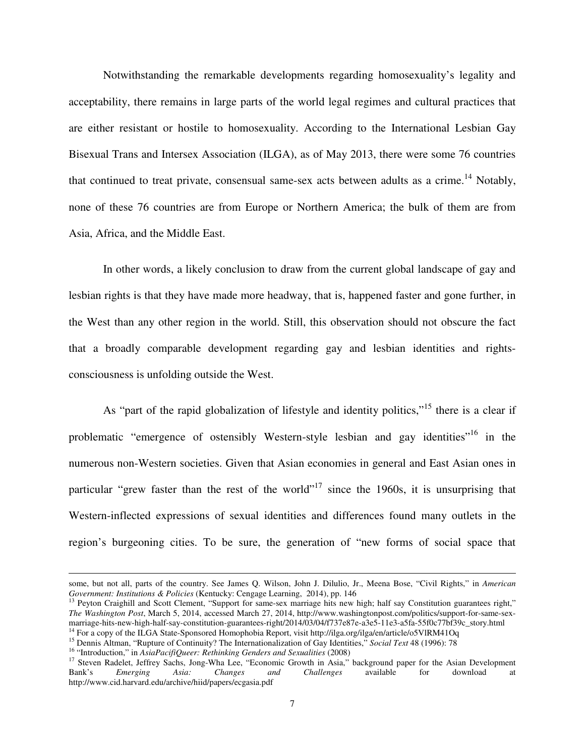Notwithstanding the remarkable developments regarding homosexuality's legality and acceptability, there remains in large parts of the world legal regimes and cultural practices that are either resistant or hostile to homosexuality. According to the International Lesbian Gay Bisexual Trans and Intersex Association (ILGA), as of May 2013, there were some 76 countries that continued to treat private, consensual same-sex acts between adults as a crime.<sup>14</sup> Notably, none of these 76 countries are from Europe or Northern America; the bulk of them are from Asia, Africa, and the Middle East.

In other words, a likely conclusion to draw from the current global landscape of gay and lesbian rights is that they have made more headway, that is, happened faster and gone further, in the West than any other region in the world. Still, this observation should not obscure the fact that a broadly comparable development regarding gay and lesbian identities and rightsconsciousness is unfolding outside the West.

As "part of the rapid globalization of lifestyle and identity politics,"<sup>15</sup> there is a clear if problematic "emergence of ostensibly Western-style lesbian and gay identities"<sup>16</sup> in the numerous non-Western societies. Given that Asian economies in general and East Asian ones in particular "grew faster than the rest of the world"<sup>17</sup> since the 1960s, it is unsurprising that Western-inflected expressions of sexual identities and differences found many outlets in the region's burgeoning cities. To be sure, the generation of "new forms of social space that

some, but not all, parts of the country. See James Q. Wilson, John J. Dilulio, Jr., Meena Bose, "Civil Rights," in *American Government: Institutions & Policies* (Kentucky: Cengage Learning, 2014), pp. 146

<sup>13</sup> Peyton Craighill and Scott Clement, "Support for same-sex marriage hits new high; half say Constitution guarantees right," *The Washington Post*, March 5, 2014, accessed March 27, 2014, http://www.washingtonpost.com/politics/support-for-same-sexmarriage-hits-new-high-half-say-constitution-guarantees-right/2014/03/04/f737e87e-a3e5-11e3-a5fa-55f0c77bf39c\_story.html

<sup>&</sup>lt;sup>14</sup> For a copy of the ILGA State-Sponsored Homophobia Report, visit http://ilga.org/ilga/en/article/o5VlRM41Oq

<sup>15</sup> Dennis Altman, "Rupture of Continuity? The Internationalization of Gay Identities," *Social Text* 48 (1996): 78

<sup>16</sup> "Introduction," in *AsiaPacifiQueer: Rethinking Genders and Sexualities* (2008)

<sup>&</sup>lt;sup>17</sup> Steven Radelet, Jeffrey Sachs, Jong-Wha Lee, "Economic Growth in Asia," background paper for the Asian Development Bank's *Emerging Asia: Changes and Challenges* available for download at Bank's *Emerging Asia: Changes and Challenges* available for download at http://www.cid.harvard.edu/archive/hiid/papers/ecgasia.pdf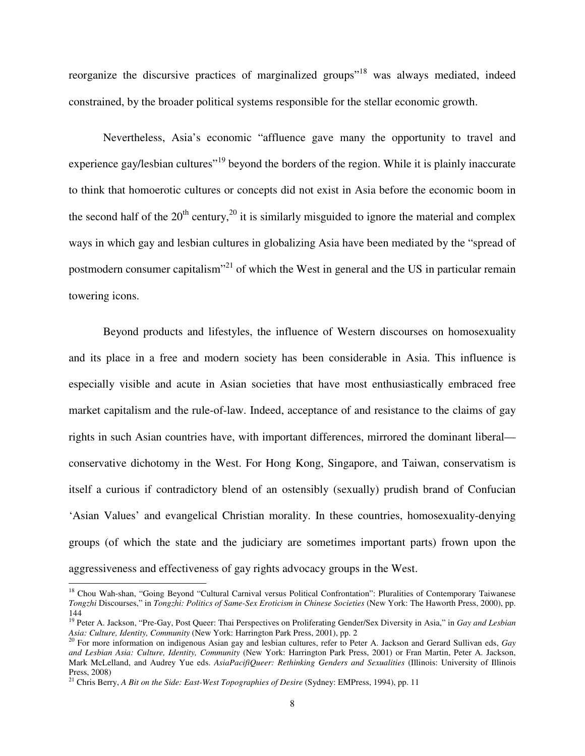reorganize the discursive practices of marginalized groups<sup>"18</sup> was always mediated, indeed constrained, by the broader political systems responsible for the stellar economic growth.

Nevertheless, Asia's economic "affluence gave many the opportunity to travel and experience gay/lesbian cultures<sup>"19</sup> beyond the borders of the region. While it is plainly inaccurate to think that homoerotic cultures or concepts did not exist in Asia before the economic boom in the second half of the  $20<sup>th</sup>$  century,<sup>20</sup> it is similarly misguided to ignore the material and complex ways in which gay and lesbian cultures in globalizing Asia have been mediated by the "spread of postmodern consumer capitalism<sup>321</sup> of which the West in general and the US in particular remain towering icons.

Beyond products and lifestyles, the influence of Western discourses on homosexuality and its place in a free and modern society has been considerable in Asia. This influence is especially visible and acute in Asian societies that have most enthusiastically embraced free market capitalism and the rule-of-law. Indeed, acceptance of and resistance to the claims of gay rights in such Asian countries have, with important differences, mirrored the dominant liberal conservative dichotomy in the West. For Hong Kong, Singapore, and Taiwan, conservatism is itself a curious if contradictory blend of an ostensibly (sexually) prudish brand of Confucian 'Asian Values' and evangelical Christian morality. In these countries, homosexuality-denying groups (of which the state and the judiciary are sometimes important parts) frown upon the aggressiveness and effectiveness of gay rights advocacy groups in the West. l

<sup>&</sup>lt;sup>18</sup> Chou Wah-shan, "Going Beyond "Cultural Carnival versus Political Confrontation": Pluralities of Contemporary Taiwanese *Tongzhi* Discourses," in *Tongzhi: Politics of Same-Sex Eroticism in Chinese Societies* (New York: The Haworth Press, 2000), pp. 144

<sup>19</sup> Peter A. Jackson, "Pre-Gay, Post Queer: Thai Perspectives on Proliferating Gender/Sex Diversity in Asia," in *Gay and Lesbian Asia: Culture, Identity, Community* (New York: Harrington Park Press, 2001), pp. 2

<sup>20</sup> For more information on indigenous Asian gay and lesbian cultures, refer to Peter A. Jackson and Gerard Sullivan eds, *Gay and Lesbian Asia: Culture, Identity, Community* (New York: Harrington Park Press, 2001) or Fran Martin, Peter A. Jackson, Mark McLelland, and Audrey Yue eds. *AsiaPacifiQueer: Rethinking Genders and Sexualities* (Illinois: University of Illinois Press, 2008)

<sup>21</sup> Chris Berry, *A Bit on the Side: East-West Topographies of Desire* (Sydney: EMPress, 1994), pp. 11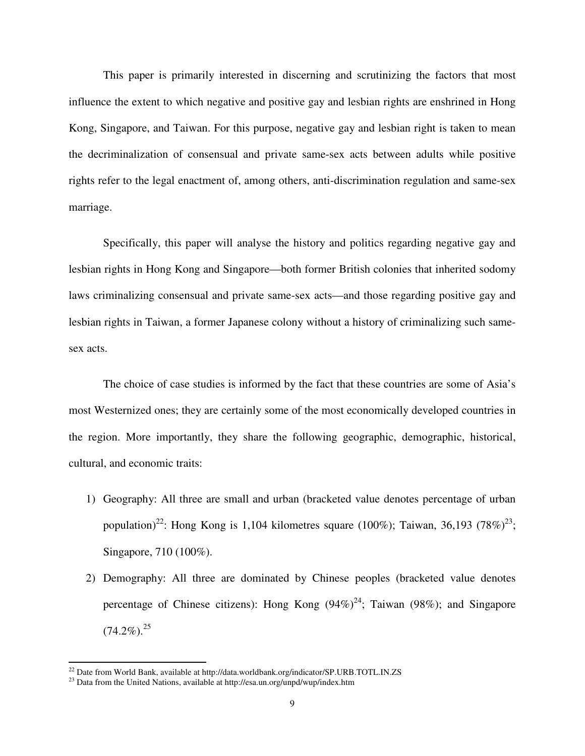This paper is primarily interested in discerning and scrutinizing the factors that most influence the extent to which negative and positive gay and lesbian rights are enshrined in Hong Kong, Singapore, and Taiwan. For this purpose, negative gay and lesbian right is taken to mean the decriminalization of consensual and private same-sex acts between adults while positive rights refer to the legal enactment of, among others, anti-discrimination regulation and same-sex marriage.

Specifically, this paper will analyse the history and politics regarding negative gay and lesbian rights in Hong Kong and Singapore—both former British colonies that inherited sodomy laws criminalizing consensual and private same-sex acts—and those regarding positive gay and lesbian rights in Taiwan, a former Japanese colony without a history of criminalizing such samesex acts.

The choice of case studies is informed by the fact that these countries are some of Asia's most Westernized ones; they are certainly some of the most economically developed countries in the region. More importantly, they share the following geographic, demographic, historical, cultural, and economic traits:

- 1) Geography: All three are small and urban (bracketed value denotes percentage of urban population)<sup>22</sup>: Hong Kong is 1,104 kilometres square (100%); Taiwan, 36,193 (78%)<sup>23</sup>; Singapore, 710 (100%).
- 2) Demography: All three are dominated by Chinese peoples (bracketed value denotes percentage of Chinese citizens): Hong Kong  $(94%)^{24}$ ; Taiwan (98%); and Singapore  $(74.2\%)$ <sup>25</sup>

<sup>&</sup>lt;sup>22</sup> Date from World Bank, available at http://data.worldbank.org/indicator/SP.URB.TOTL.IN.ZS

<sup>&</sup>lt;sup>23</sup> Data from the United Nations, available at http://esa.un.org/unpd/wup/index.htm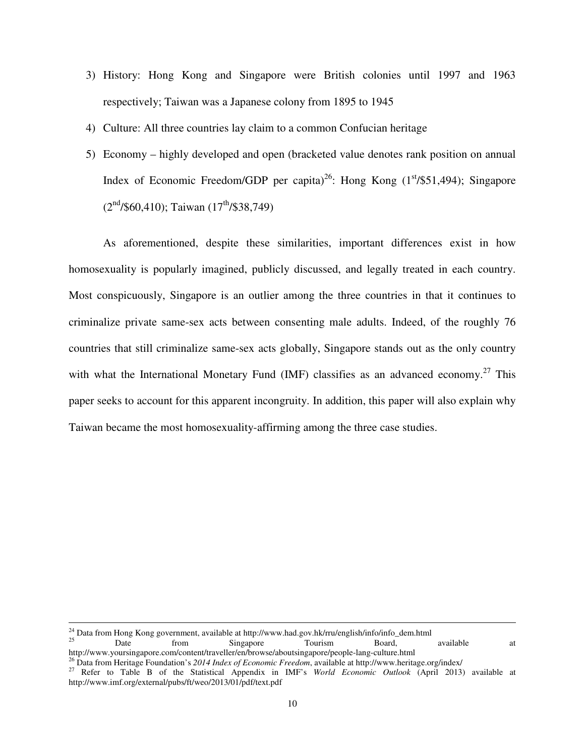- 3) History: Hong Kong and Singapore were British colonies until 1997 and 1963 respectively; Taiwan was a Japanese colony from 1895 to 1945
- 4) Culture: All three countries lay claim to a common Confucian heritage
- 5) Economy highly developed and open (bracketed value denotes rank position on annual Index of Economic Freedom/GDP per capita)<sup>26</sup>: Hong Kong  $(1<sup>st</sup>/$51,494)$ ; Singapore  $(2<sup>nd</sup>/$60,410)$ ; Taiwan  $(17<sup>th</sup>/$38,749)$

As aforementioned, despite these similarities, important differences exist in how homosexuality is popularly imagined, publicly discussed, and legally treated in each country. Most conspicuously, Singapore is an outlier among the three countries in that it continues to criminalize private same-sex acts between consenting male adults. Indeed, of the roughly 76 countries that still criminalize same-sex acts globally, Singapore stands out as the only country with what the International Monetary Fund (IMF) classifies as an advanced economy.<sup>27</sup> This paper seeks to account for this apparent incongruity. In addition, this paper will also explain why Taiwan became the most homosexuality-affirming among the three case studies.

 $\overline{a}$ 

<sup>25</sup> Date from Singapore Tourism Board, available at http://www.yoursingapore.com/content/traveller/en/browse/aboutsingapore/people-lang-culture.html

<sup>&</sup>lt;sup>24</sup> Data from Hong Kong government, available at http://www.had.gov.hk/rru/english/info/info\_dem.html<br><sup>25</sup> Deard Fourier Singapore

<sup>26</sup> Data from Heritage Foundation's *2014 Index of Economic Freedom*, available at http://www.heritage.org/index/

<sup>27</sup> Refer to Table B of the Statistical Appendix in IMF's *World Economic Outlook* (April 2013) available at http://www.imf.org/external/pubs/ft/weo/2013/01/pdf/text.pdf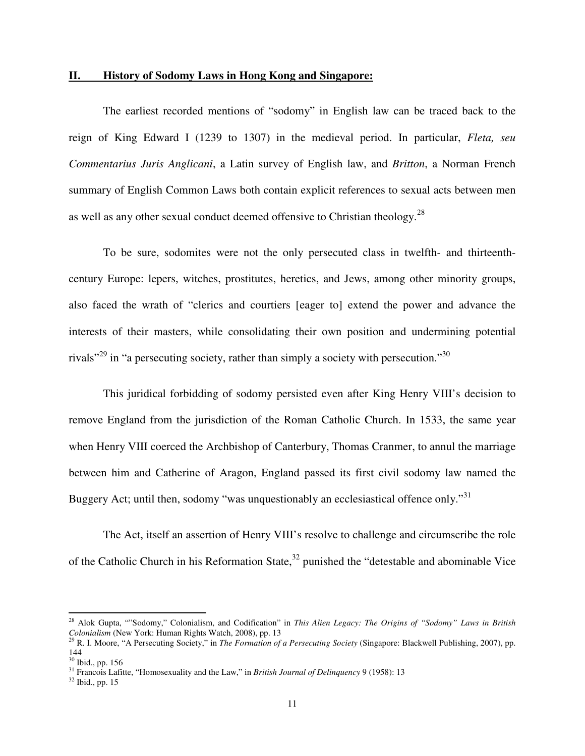#### **II. History of Sodomy Laws in Hong Kong and Singapore:**

 The earliest recorded mentions of "sodomy" in English law can be traced back to the reign of King Edward I (1239 to 1307) in the medieval period. In particular, *Fleta, seu Commentarius Juris Anglicani*, a Latin survey of English law, and *Britton*, a Norman French summary of English Common Laws both contain explicit references to sexual acts between men as well as any other sexual conduct deemed offensive to Christian theology.<sup>28</sup>

To be sure, sodomites were not the only persecuted class in twelfth- and thirteenthcentury Europe: lepers, witches, prostitutes, heretics, and Jews, among other minority groups, also faced the wrath of "clerics and courtiers [eager to] extend the power and advance the interests of their masters, while consolidating their own position and undermining potential rivals<sup>"29</sup> in "a persecuting society, rather than simply a society with persecution."<sup>30</sup>

 This juridical forbidding of sodomy persisted even after King Henry VIII's decision to remove England from the jurisdiction of the Roman Catholic Church. In 1533, the same year when Henry VIII coerced the Archbishop of Canterbury, Thomas Cranmer, to annul the marriage between him and Catherine of Aragon, England passed its first civil sodomy law named the Buggery Act; until then, sodomy "was unquestionably an ecclesiastical offence only."<sup>31</sup>

The Act, itself an assertion of Henry VIII's resolve to challenge and circumscribe the role of the Catholic Church in his Reformation State,  $32$  punished the "detestable and abominable Vice

<sup>28</sup> Alok Gupta, ""Sodomy," Colonialism, and Codification" in *This Alien Legacy: The Origins of "Sodomy" Laws in British Colonialism* (New York: Human Rights Watch, 2008), pp. 13

<sup>29</sup> R. I. Moore, "A Persecuting Society," in *The Formation of a Persecuting Society* (Singapore: Blackwell Publishing, 2007), pp. 144

<sup>30</sup> Ibid., pp. 156

<sup>31</sup> Francois Lafitte, "Homosexuality and the Law," in *British Journal of Delinquency* 9 (1958): 13

<sup>32</sup> Ibid., pp. 15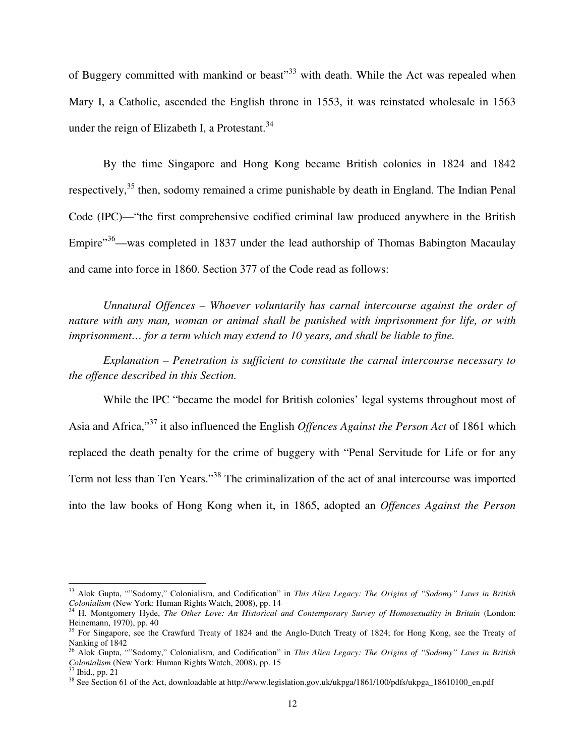of Buggery committed with mankind or beast<sup>33</sup> with death. While the Act was repealed when Mary I, a Catholic, ascended the English throne in 1553, it was reinstated wholesale in 1563 under the reign of Elizabeth I, a Protestant. $34$ 

 By the time Singapore and Hong Kong became British colonies in 1824 and 1842 respectively,<sup>35</sup> then, sodomy remained a crime punishable by death in England. The Indian Penal Code (IPC)—"the first comprehensive codified criminal law produced anywhere in the British Empire"<sup>36</sup>—was completed in 1837 under the lead authorship of Thomas Babington Macaulay and came into force in 1860. Section 377 of the Code read as follows:

*Unnatural Offences – Whoever voluntarily has carnal intercourse against the order of nature with any man, woman or animal shall be punished with imprisonment for life, or with imprisonment… for a term which may extend to 10 years, and shall be liable to fine.* 

 *Explanation – Penetration is sufficient to constitute the carnal intercourse necessary to the offence described in this Section.* 

 While the IPC "became the model for British colonies' legal systems throughout most of Asia and Africa,"<sup>37</sup> it also influenced the English *Offences Against the Person Act* of 1861 which replaced the death penalty for the crime of buggery with "Penal Servitude for Life or for any Term not less than Ten Years."<sup>38</sup> The criminalization of the act of anal intercourse was imported into the law books of Hong Kong when it, in 1865, adopted an *Offences Against the Person*

<sup>33</sup> Alok Gupta, ""Sodomy," Colonialism, and Codification" in *This Alien Legacy: The Origins of "Sodomy" Laws in British Colonialism* (New York: Human Rights Watch, 2008), pp. 14

<sup>34</sup> H. Montgomery Hyde, *The Other Love: An Historical and Contemporary Survey of Homosexuality in Britain* (London: Heinemann, 1970), pp. 40

<sup>&</sup>lt;sup>35</sup> For Singapore, see the Crawfurd Treaty of 1824 and the Anglo-Dutch Treaty of 1824; for Hong Kong, see the Treaty of Nanking of 1842

<sup>36</sup> Alok Gupta, ""Sodomy," Colonialism, and Codification" in *This Alien Legacy: The Origins of "Sodomy" Laws in British Colonialism* (New York: Human Rights Watch, 2008), pp. 15

<sup>37</sup> Ibid., pp. 21

<sup>&</sup>lt;sup>38</sup> See Section 61 of the Act, downloadable at http://www.legislation.gov.uk/ukpga/1861/100/pdfs/ukpga\_18610100\_en.pdf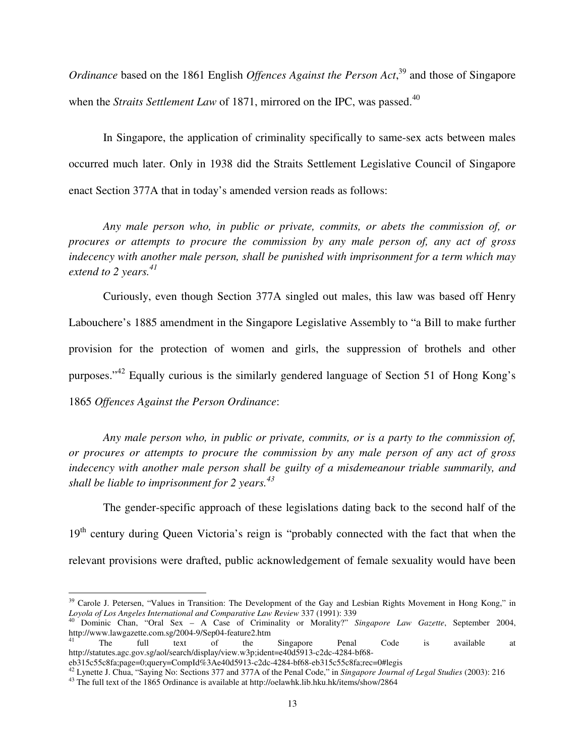*Ordinance* based on the 1861 English *Offences Against the Person Act*, <sup>39</sup> and those of Singapore when the *Straits Settlement Law* of 1871, mirrored on the IPC, was passed.<sup>40</sup>

 In Singapore, the application of criminality specifically to same-sex acts between males occurred much later. Only in 1938 did the Straits Settlement Legislative Council of Singapore enact Section 377A that in today's amended version reads as follows:

*Any male person who, in public or private, commits, or abets the commission of, or procures or attempts to procure the commission by any male person of, any act of gross indecency with another male person, shall be punished with imprisonment for a term which may extend to 2 years.<sup>41</sup>*

Curiously, even though Section 377A singled out males, this law was based off Henry Labouchere's 1885 amendment in the Singapore Legislative Assembly to "a Bill to make further provision for the protection of women and girls, the suppression of brothels and other purposes."<sup>42</sup> Equally curious is the similarly gendered language of Section 51 of Hong Kong's 1865 *Offences Against the Person Ordinance*:

*Any male person who, in public or private, commits, or is a party to the commission of, or procures or attempts to procure the commission by any male person of any act of gross indecency with another male person shall be guilty of a misdemeanour triable summarily, and shall be liable to imprisonment for 2 years.<sup>43</sup>*

 The gender-specific approach of these legislations dating back to the second half of the 19<sup>th</sup> century during Queen Victoria's reign is "probably connected with the fact that when the relevant provisions were drafted, public acknowledgement of female sexuality would have been

<sup>&</sup>lt;sup>39</sup> Carole J. Petersen, "Values in Transition: The Development of the Gay and Lesbian Rights Movement in Hong Kong," in *Loyola of Los Angeles International and Comparative Law Review* 337 (1991): 339

<sup>40</sup> Dominic Chan, "Oral Sex – A Case of Criminality or Morality?" *Singapore Law Gazette*, September 2004, http://www.lawgazette.com.sg/2004-9/Sep04-feature2.htm

<sup>&</sup>lt;sup>41</sup> The full text of the Singapore Penal Code is available at http://statutes.agc.gov.sg/aol/search/display/view.w3p;ident=e40d5913-c2dc-4284-bf68-

eb315c55c8fa;page=0;query=CompId%3Ae40d5913-c2dc-4284-bf68-eb315c55c8fa;rec=0#legis

<sup>42</sup> Lynette J. Chua, "Saying No: Sections 377 and 377A of the Penal Code," in *Singapore Journal of Legal Studies* (2003): 216

<sup>43</sup> The full text of the 1865 Ordinance is available at http://oelawhk.lib.hku.hk/items/show/2864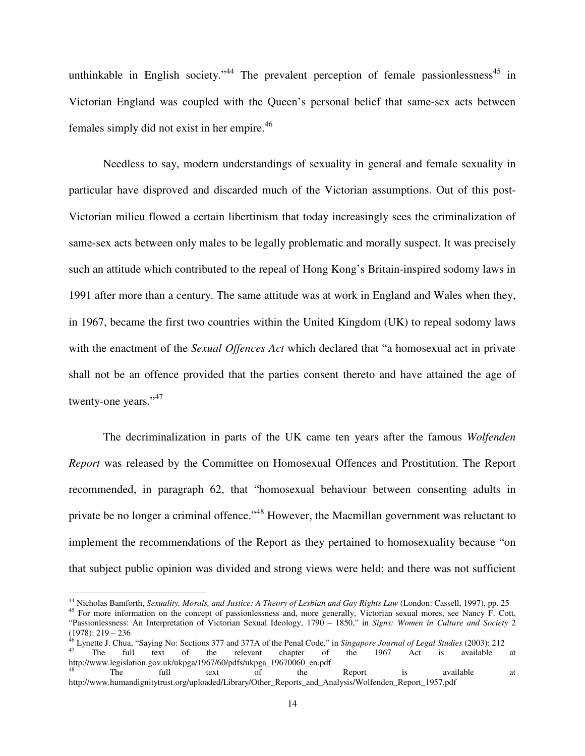unthinkable in English society."<sup>44</sup> The prevalent perception of female passionlessness<sup>45</sup> in Victorian England was coupled with the Queen's personal belief that same-sex acts between females simply did not exist in her empire.<sup>46</sup>

Needless to say, modern understandings of sexuality in general and female sexuality in particular have disproved and discarded much of the Victorian assumptions. Out of this post-Victorian milieu flowed a certain libertinism that today increasingly sees the criminalization of same-sex acts between only males to be legally problematic and morally suspect. It was precisely such an attitude which contributed to the repeal of Hong Kong's Britain-inspired sodomy laws in 1991 after more than a century. The same attitude was at work in England and Wales when they, in 1967, became the first two countries within the United Kingdom (UK) to repeal sodomy laws with the enactment of the *Sexual Offences Act* which declared that "a homosexual act in private shall not be an offence provided that the parties consent thereto and have attained the age of twenty-one years."<sup>47</sup>

The decriminalization in parts of the UK came ten years after the famous *Wolfenden Report* was released by the Committee on Homosexual Offences and Prostitution. The Report recommended, in paragraph 62, that "homosexual behaviour between consenting adults in private be no longer a criminal offence."<sup>48</sup> However, the Macmillan government was reluctant to implement the recommendations of the Report as they pertained to homosexuality because "on that subject public opinion was divided and strong views were held; and there was not sufficient

<sup>44</sup> Nicholas Bamforth, *Sexuality, Morals, and Justice: A Theory of Lesbian and Gay Rights Law* (London: Cassell, 1997), pp. 25

<sup>&</sup>lt;sup>45</sup> For more information on the concept of passionlessness and, more generally, Victorian sexual mores, see Nancy F. Cott, "Passionlessness: An Interpretation of Victorian Sexual Ideology, 1790 – 1850," in *Signs: Women in Culture and Society* 2  $(1978): 219 - 236$ 

<sup>46</sup> Lynette J. Chua, "Saying No: Sections 377 and 377A of the Penal Code," in *Singapore Journal of Legal Studies* (2003): 212 <sup>47</sup> The full text of the relevant chapter of the 1967 Act is available at

http://www.legislation.gov.uk/ukpga/1967/60/pdfs/ukpga\_19670060\_en.pdf<br><sup>48</sup> The full text of the <sup>48</sup> The full text of the Report is available at http://www.humandignitytrust.org/uploaded/Library/Other\_Reports\_and\_Analysis/Wolfenden\_Report\_1957.pdf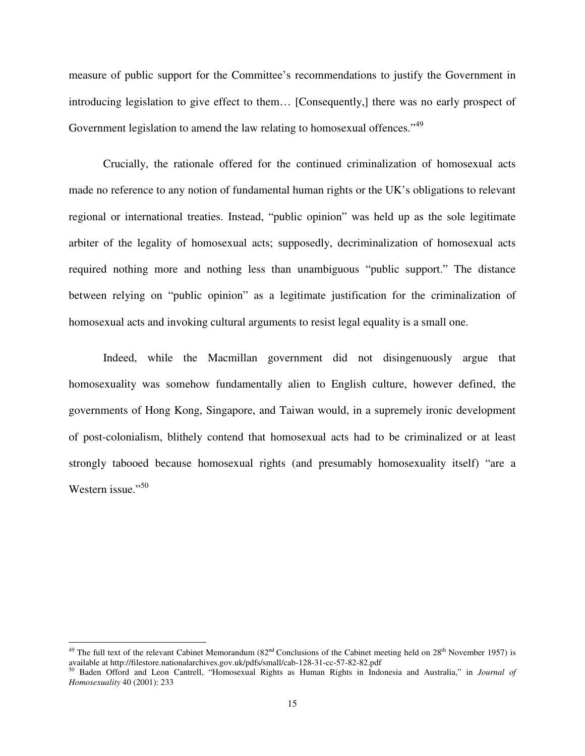measure of public support for the Committee's recommendations to justify the Government in introducing legislation to give effect to them… [Consequently,] there was no early prospect of Government legislation to amend the law relating to homosexual offences."<sup>49</sup>

Crucially, the rationale offered for the continued criminalization of homosexual acts made no reference to any notion of fundamental human rights or the UK's obligations to relevant regional or international treaties. Instead, "public opinion" was held up as the sole legitimate arbiter of the legality of homosexual acts; supposedly, decriminalization of homosexual acts required nothing more and nothing less than unambiguous "public support." The distance between relying on "public opinion" as a legitimate justification for the criminalization of homosexual acts and invoking cultural arguments to resist legal equality is a small one.

Indeed, while the Macmillan government did not disingenuously argue that homosexuality was somehow fundamentally alien to English culture, however defined, the governments of Hong Kong, Singapore, and Taiwan would, in a supremely ironic development of post-colonialism, blithely contend that homosexual acts had to be criminalized or at least strongly tabooed because homosexual rights (and presumably homosexuality itself) "are a Western issue."<sup>50</sup>

<sup>&</sup>lt;sup>49</sup> The full text of the relevant Cabinet Memorandum (82<sup>nd</sup> Conclusions of the Cabinet meeting held on 28<sup>th</sup> November 1957) is available at http://filestore.nationalarchives.gov.uk/pdfs/small/cab-128-31-cc-57-82-82.pdf

<sup>50</sup> Baden Offord and Leon Cantrell, "Homosexual Rights as Human Rights in Indonesia and Australia," in *Journal of Homosexuality* 40 (2001): 233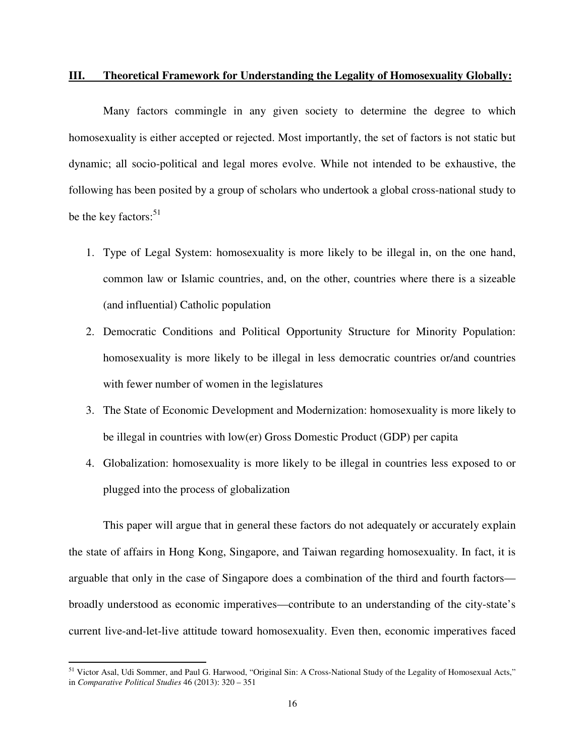#### **III. Theoretical Framework for Understanding the Legality of Homosexuality Globally:**

 Many factors commingle in any given society to determine the degree to which homosexuality is either accepted or rejected. Most importantly, the set of factors is not static but dynamic; all socio-political and legal mores evolve. While not intended to be exhaustive, the following has been posited by a group of scholars who undertook a global cross-national study to be the key factors: $51$ 

- 1. Type of Legal System: homosexuality is more likely to be illegal in, on the one hand, common law or Islamic countries, and, on the other, countries where there is a sizeable (and influential) Catholic population
- 2. Democratic Conditions and Political Opportunity Structure for Minority Population: homosexuality is more likely to be illegal in less democratic countries or/and countries with fewer number of women in the legislatures
- 3. The State of Economic Development and Modernization: homosexuality is more likely to be illegal in countries with low(er) Gross Domestic Product (GDP) per capita
- 4. Globalization: homosexuality is more likely to be illegal in countries less exposed to or plugged into the process of globalization

This paper will argue that in general these factors do not adequately or accurately explain the state of affairs in Hong Kong, Singapore, and Taiwan regarding homosexuality. In fact, it is arguable that only in the case of Singapore does a combination of the third and fourth factors broadly understood as economic imperatives—contribute to an understanding of the city-state's current live-and-let-live attitude toward homosexuality. Even then, economic imperatives faced

<sup>51</sup> Victor Asal, Udi Sommer, and Paul G. Harwood, "Original Sin: A Cross-National Study of the Legality of Homosexual Acts," in *Comparative Political Studies* 46 (2013): 320 – 351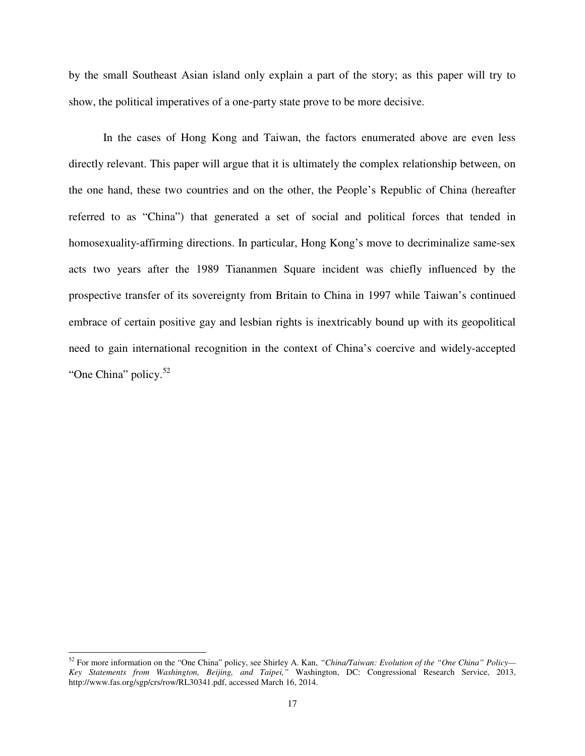by the small Southeast Asian island only explain a part of the story; as this paper will try to show, the political imperatives of a one-party state prove to be more decisive.

In the cases of Hong Kong and Taiwan, the factors enumerated above are even less directly relevant. This paper will argue that it is ultimately the complex relationship between, on the one hand, these two countries and on the other, the People's Republic of China (hereafter referred to as "China") that generated a set of social and political forces that tended in homosexuality-affirming directions. In particular, Hong Kong's move to decriminalize same-sex acts two years after the 1989 Tiananmen Square incident was chiefly influenced by the prospective transfer of its sovereignty from Britain to China in 1997 while Taiwan's continued embrace of certain positive gay and lesbian rights is inextricably bound up with its geopolitical need to gain international recognition in the context of China's coercive and widely-accepted "One China" policy.<sup>52</sup>

<sup>52</sup> For more information on the "One China" policy, see Shirley A. Kan, *"China/Taiwan: Evolution of the "One China" Policy— Key Statements from Washington, Beijing, and Taipei,"* Washington, DC: Congressional Research Service, 2013, http://www.fas.org/sgp/crs/row/RL30341.pdf, accessed March 16, 2014.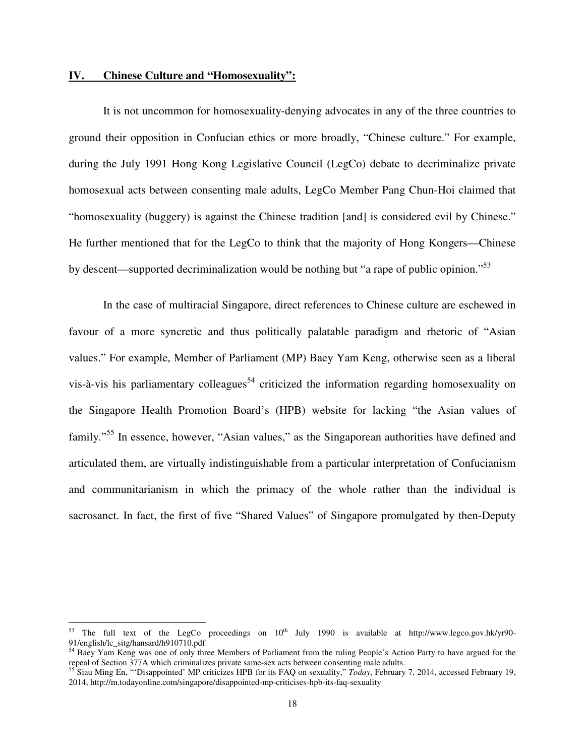#### **IV. Chinese Culture and "Homosexuality":**

 $\overline{a}$ 

It is not uncommon for homosexuality-denying advocates in any of the three countries to ground their opposition in Confucian ethics or more broadly, "Chinese culture." For example, during the July 1991 Hong Kong Legislative Council (LegCo) debate to decriminalize private homosexual acts between consenting male adults, LegCo Member Pang Chun-Hoi claimed that "homosexuality (buggery) is against the Chinese tradition [and] is considered evil by Chinese." He further mentioned that for the LegCo to think that the majority of Hong Kongers—Chinese by descent—supported decriminalization would be nothing but "a rape of public opinion."<sup>53</sup>

In the case of multiracial Singapore, direct references to Chinese culture are eschewed in favour of a more syncretic and thus politically palatable paradigm and rhetoric of "Asian values." For example, Member of Parliament (MP) Baey Yam Keng, otherwise seen as a liberal vis-à-vis his parliamentary colleagues<sup>54</sup> criticized the information regarding homosexuality on the Singapore Health Promotion Board's (HPB) website for lacking "the Asian values of family."<sup>55</sup> In essence, however, "Asian values," as the Singaporean authorities have defined and articulated them, are virtually indistinguishable from a particular interpretation of Confucianism and communitarianism in which the primacy of the whole rather than the individual is sacrosanct. In fact, the first of five "Shared Values" of Singapore promulgated by then-Deputy

<sup>&</sup>lt;sup>53</sup> The full text of the LegCo proceedings on  $10^{th}$  July 1990 is available at http://www.legco.gov.hk/yr90-91/english/lc\_sitg/hansard/h910710.pdf

<sup>&</sup>lt;sup>54</sup> Baey Yam Keng was one of only three Members of Parliament from the ruling People's Action Party to have argued for the repeal of Section 377A which criminalizes private same-sex acts between consenting male adults.

<sup>55</sup> Siau Ming En, "'Disappointed' MP criticizes HPB for its FAQ on sexuality," *Today*, February 7, 2014, accessed February 19, 2014, http://m.todayonline.com/singapore/disappointed-mp-criticises-hpb-its-faq-sexuality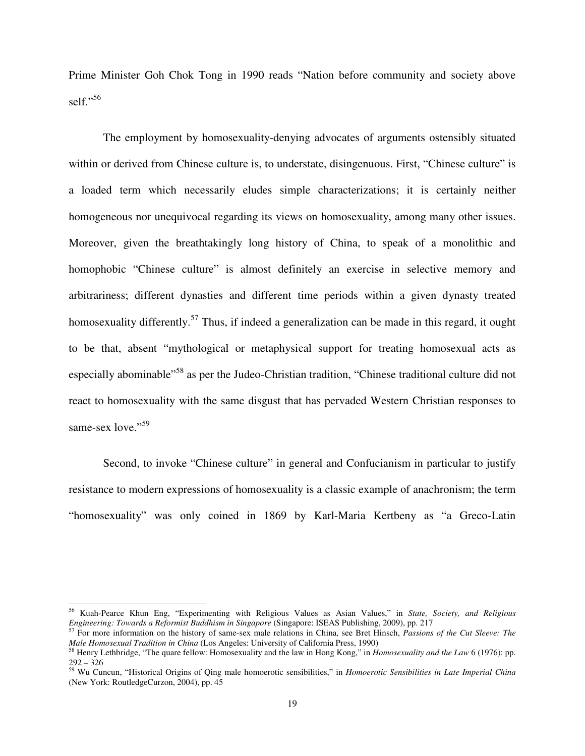Prime Minister Goh Chok Tong in 1990 reads "Nation before community and society above self."<sup>56</sup>

The employment by homosexuality-denying advocates of arguments ostensibly situated within or derived from Chinese culture is, to understate, disingenuous. First, "Chinese culture" is a loaded term which necessarily eludes simple characterizations; it is certainly neither homogeneous nor unequivocal regarding its views on homosexuality, among many other issues. Moreover, given the breathtakingly long history of China, to speak of a monolithic and homophobic "Chinese culture" is almost definitely an exercise in selective memory and arbitrariness; different dynasties and different time periods within a given dynasty treated homosexuality differently.<sup>57</sup> Thus, if indeed a generalization can be made in this regard, it ought to be that, absent "mythological or metaphysical support for treating homosexual acts as especially abominable"<sup>58</sup> as per the Judeo-Christian tradition, "Chinese traditional culture did not react to homosexuality with the same disgust that has pervaded Western Christian responses to same-sex love."<sup>59</sup>

Second, to invoke "Chinese culture" in general and Confucianism in particular to justify resistance to modern expressions of homosexuality is a classic example of anachronism; the term "homosexuality" was only coined in 1869 by Karl-Maria Kertbeny as "a Greco-Latin

<sup>56</sup> Kuah-Pearce Khun Eng, "Experimenting with Religious Values as Asian Values," in *State, Society, and Religious Engineering: Towards a Reformist Buddhism in Singapore* (Singapore: ISEAS Publishing, 2009), pp. 217

<sup>57</sup> For more information on the history of same-sex male relations in China, see Bret Hinsch, *Passions of the Cut Sleeve: The Male Homosexual Tradition in China* (Los Angeles: University of California Press, 1990)

<sup>58</sup> Henry Lethbridge, "The quare fellow: Homosexuality and the law in Hong Kong," in *Homosexuality and the Law* 6 (1976): pp. 292 – 326

<sup>59</sup> Wu Cuncun, "Historical Origins of Qing male homoerotic sensibilities," in *Homoerotic Sensibilities in Late Imperial China* (New York: RoutledgeCurzon, 2004), pp. 45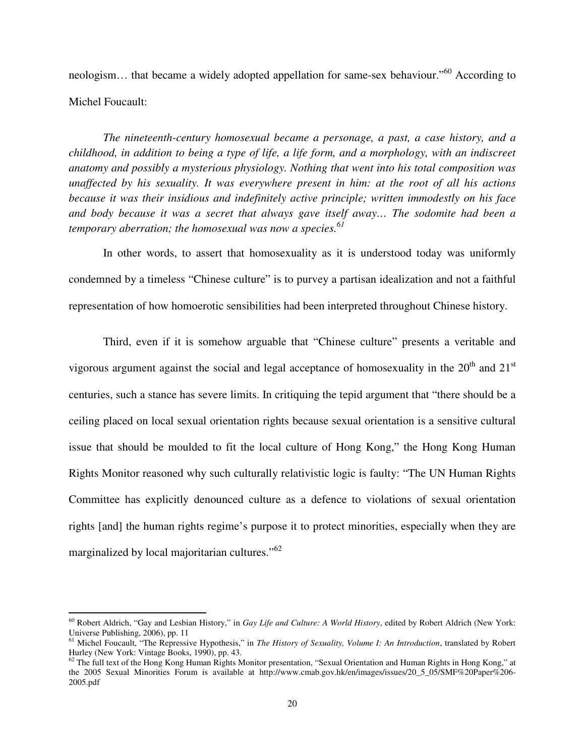neologism... that became a widely adopted appellation for same-sex behaviour."<sup>60</sup> According to Michel Foucault:

*The nineteenth-century homosexual became a personage, a past, a case history, and a childhood, in addition to being a type of life, a life form, and a morphology, with an indiscreet anatomy and possibly a mysterious physiology. Nothing that went into his total composition was unaffected by his sexuality. It was everywhere present in him: at the root of all his actions because it was their insidious and indefinitely active principle; written immodestly on his face and body because it was a secret that always gave itself away… The sodomite had been a temporary aberration; the homosexual was now a species.<sup>61</sup>*

In other words, to assert that homosexuality as it is understood today was uniformly condemned by a timeless "Chinese culture" is to purvey a partisan idealization and not a faithful representation of how homoerotic sensibilities had been interpreted throughout Chinese history.

Third, even if it is somehow arguable that "Chinese culture" presents a veritable and vigorous argument against the social and legal acceptance of homosexuality in the  $20<sup>th</sup>$  and  $21<sup>st</sup>$ centuries, such a stance has severe limits. In critiquing the tepid argument that "there should be a ceiling placed on local sexual orientation rights because sexual orientation is a sensitive cultural issue that should be moulded to fit the local culture of Hong Kong," the Hong Kong Human Rights Monitor reasoned why such culturally relativistic logic is faulty: "The UN Human Rights Committee has explicitly denounced culture as a defence to violations of sexual orientation rights [and] the human rights regime's purpose it to protect minorities, especially when they are marginalized by local majoritarian cultures."<sup>62</sup>

<sup>60</sup> Robert Aldrich, "Gay and Lesbian History," in *Gay Life and Culture: A World History*, edited by Robert Aldrich (New York: Universe Publishing, 2006), pp. 11

<sup>61</sup> Michel Foucault, "The Repressive Hypothesis," in *The History of Sexuality, Volume I: An Introduction*, translated by Robert Hurley (New York: Vintage Books, 1990), pp. 43.

 $\frac{62}{10}$  The full text of the Hong Kong Human Rights Monitor presentation, "Sexual Orientation and Human Rights in Hong Kong," at the 2005 Sexual Minorities Forum is available at http://www.cmab.gov.hk/en/images/issues/20\_5\_05/SMF%20Paper%206- 2005.pdf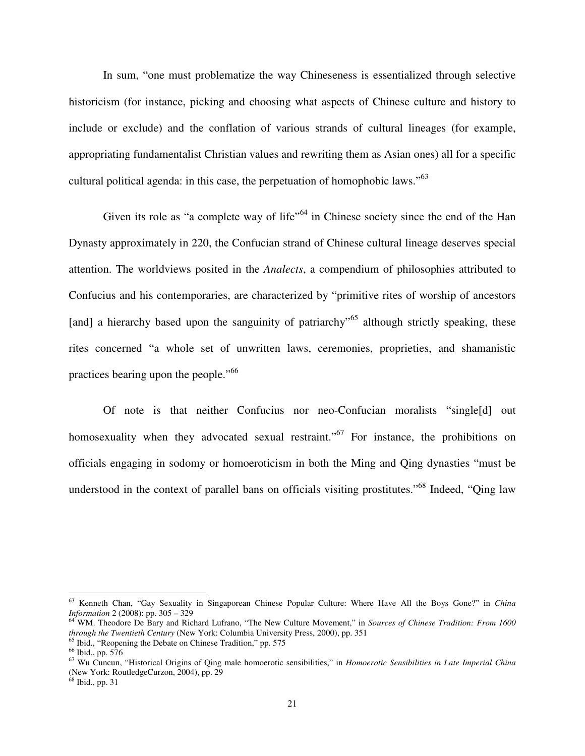In sum, "one must problematize the way Chineseness is essentialized through selective historicism (for instance, picking and choosing what aspects of Chinese culture and history to include or exclude) and the conflation of various strands of cultural lineages (for example, appropriating fundamentalist Christian values and rewriting them as Asian ones) all for a specific cultural political agenda: in this case, the perpetuation of homophobic laws."<sup>63</sup>

Given its role as "a complete way of life"<sup>64</sup> in Chinese society since the end of the Han Dynasty approximately in 220, the Confucian strand of Chinese cultural lineage deserves special attention. The worldviews posited in the *Analects*, a compendium of philosophies attributed to Confucius and his contemporaries, are characterized by "primitive rites of worship of ancestors [and] a hierarchy based upon the sanguinity of patriarchy<sup>55</sup> although strictly speaking, these rites concerned "a whole set of unwritten laws, ceremonies, proprieties, and shamanistic practices bearing upon the people."<sup>66</sup>

Of note is that neither Confucius nor neo-Confucian moralists "single[d] out homosexuality when they advocated sexual restraint.<sup>"67</sup> For instance, the prohibitions on officials engaging in sodomy or homoeroticism in both the Ming and Qing dynasties "must be understood in the context of parallel bans on officials visiting prostitutes."<sup>68</sup> Indeed, "Qing law

<sup>63</sup> Kenneth Chan, "Gay Sexuality in Singaporean Chinese Popular Culture: Where Have All the Boys Gone?" in *China Information* 2 (2008): pp. 305 – 329

<sup>64</sup> WM. Theodore De Bary and Richard Lufrano, "The New Culture Movement," in *Sources of Chinese Tradition: From 1600 through the Twentieth Century* (New York: Columbia University Press, 2000), pp. 351

<sup>&</sup>lt;sup>65</sup> Ibid., "Reopening the Debate on Chinese Tradition," pp. 575

<sup>66</sup> Ibid., pp. 576

<sup>67</sup> Wu Cuncun, "Historical Origins of Qing male homoerotic sensibilities," in *Homoerotic Sensibilities in Late Imperial China* (New York: RoutledgeCurzon, 2004), pp. 29

<sup>68</sup> Ibid., pp. 31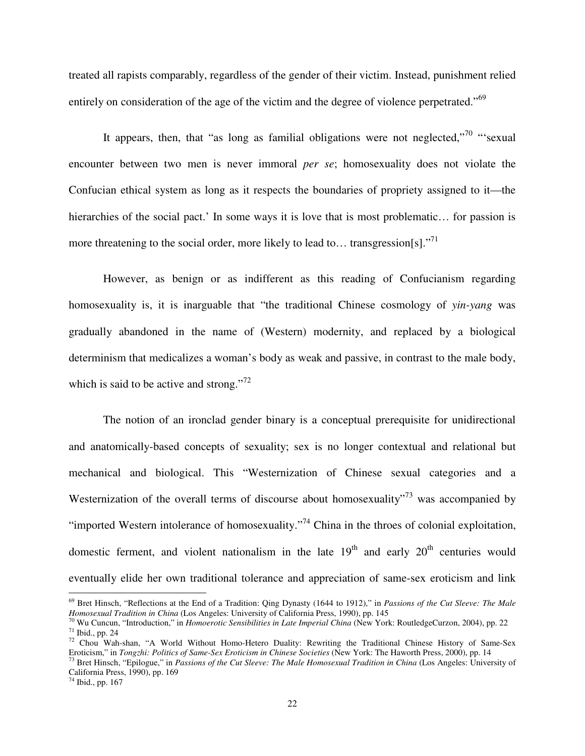treated all rapists comparably, regardless of the gender of their victim. Instead, punishment relied entirely on consideration of the age of the victim and the degree of violence perpetrated."<sup>69</sup>

It appears, then, that "as long as familial obligations were not neglected,"<sup>70</sup> "'sexual encounter between two men is never immoral *per se*; homosexuality does not violate the Confucian ethical system as long as it respects the boundaries of propriety assigned to it—the hierarchies of the social pact.' In some ways it is love that is most problematic... for passion is more threatening to the social order, more likely to lead to... transgression[s]."<sup>71</sup>

However, as benign or as indifferent as this reading of Confucianism regarding homosexuality is, it is inarguable that "the traditional Chinese cosmology of *yin-yang* was gradually abandoned in the name of (Western) modernity, and replaced by a biological determinism that medicalizes a woman's body as weak and passive, in contrast to the male body, which is said to be active and strong."<sup>72</sup>

The notion of an ironclad gender binary is a conceptual prerequisite for unidirectional and anatomically-based concepts of sexuality; sex is no longer contextual and relational but mechanical and biological. This "Westernization of Chinese sexual categories and a Westernization of the overall terms of discourse about homosexuality"<sup>73</sup> was accompanied by "imported Western intolerance of homosexuality."<sup>74</sup> China in the throes of colonial exploitation, domestic ferment, and violent nationalism in the late  $19<sup>th</sup>$  and early  $20<sup>th</sup>$  centuries would eventually elide her own traditional tolerance and appreciation of same-sex eroticism and link

<sup>69</sup> Bret Hinsch, "Reflections at the End of a Tradition: Qing Dynasty (1644 to 1912)," in *Passions of the Cut Sleeve: The Male Homosexual Tradition in China* (Los Angeles: University of California Press, 1990), pp. 145

<sup>70</sup> Wu Cuncun, "Introduction," in *Homoerotic Sensibilities in Late Imperial China* (New York: RoutledgeCurzon, 2004), pp. 22 <sup>71</sup> Ibid., pp. 24

<sup>&</sup>lt;sup>72</sup> Chou Wah-shan, "A World Without Homo-Hetero Duality: Rewriting the Traditional Chinese History of Same-Sex Eroticism," in *Tongzhi: Politics of Same-Sex Eroticism in Chinese Societies* (New York: The Haworth Press, 2000), pp. 14

<sup>73</sup> Bret Hinsch, "Epilogue," in *Passions of the Cut Sleeve: The Male Homosexual Tradition in China* (Los Angeles: University of California Press, 1990), pp. 169

<sup>74</sup> Ibid., pp. 167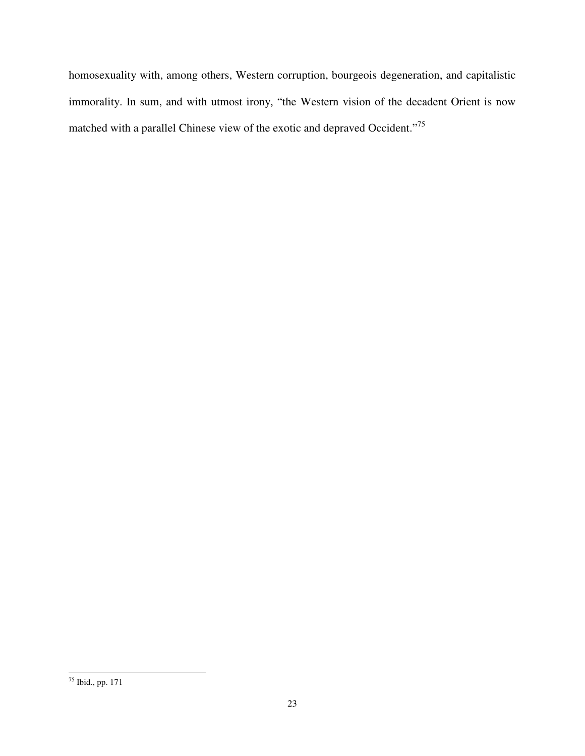homosexuality with, among others, Western corruption, bourgeois degeneration, and capitalistic immorality. In sum, and with utmost irony, "the Western vision of the decadent Orient is now matched with a parallel Chinese view of the exotic and depraved Occident."<sup>75</sup>

<sup>75</sup> Ibid., pp. 171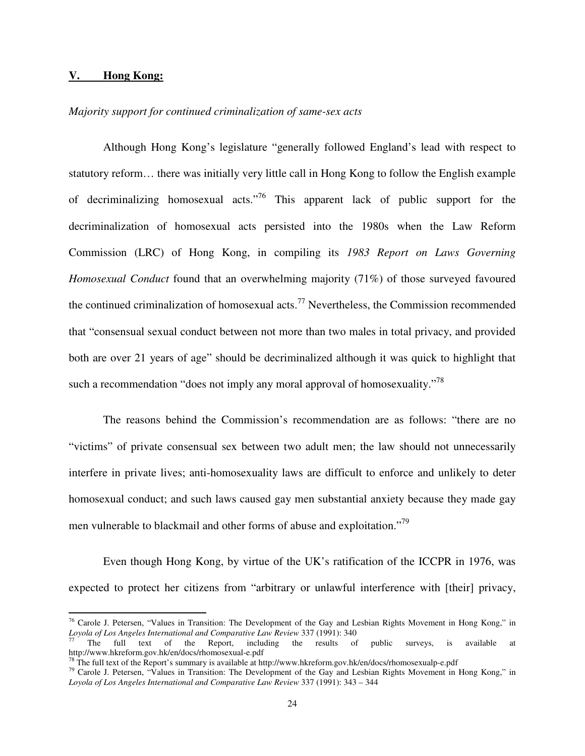#### **V. Hong Kong:**

 $\overline{a}$ 

#### *Majority support for continued criminalization of same-sex acts*

 Although Hong Kong's legislature "generally followed England's lead with respect to statutory reform… there was initially very little call in Hong Kong to follow the English example of decriminalizing homosexual acts."<sup>76</sup> This apparent lack of public support for the decriminalization of homosexual acts persisted into the 1980s when the Law Reform Commission (LRC) of Hong Kong, in compiling its *1983 Report on Laws Governing Homosexual Conduct* found that an overwhelming majority (71%) of those surveyed favoured the continued criminalization of homosexual acts.<sup>77</sup> Nevertheless, the Commission recommended that "consensual sexual conduct between not more than two males in total privacy, and provided both are over 21 years of age" should be decriminalized although it was quick to highlight that such a recommendation "does not imply any moral approval of homosexuality."<sup>78</sup>

 The reasons behind the Commission's recommendation are as follows: "there are no "victims" of private consensual sex between two adult men; the law should not unnecessarily interfere in private lives; anti-homosexuality laws are difficult to enforce and unlikely to deter homosexual conduct; and such laws caused gay men substantial anxiety because they made gay men vulnerable to blackmail and other forms of abuse and exploitation."<sup>79</sup>

Even though Hong Kong, by virtue of the UK's ratification of the ICCPR in 1976, was expected to protect her citizens from "arbitrary or unlawful interference with [their] privacy,

 $76$  Carole J. Petersen, "Values in Transition: The Development of the Gay and Lesbian Rights Movement in Hong Kong," in *Loyola of Los Angeles International and Comparative Law Review* 337 (1991): 340

 $77$  The full text of the Report, including the results of public surveys, is available at http://www.hkreform.gov.hk/en/docs/rhomosexual-e.pdf

<sup>&</sup>lt;sup>78</sup> The full text of the Report's summary is available at http://www.hkreform.gov.hk/en/docs/rhomosexualp-e.pdf

<sup>&</sup>lt;sup>79</sup> Carole J. Petersen, "Values in Transition: The Development of the Gay and Lesbian Rights Movement in Hong Kong," in *Loyola of Los Angeles International and Comparative Law Review* 337 (1991): 343 – 344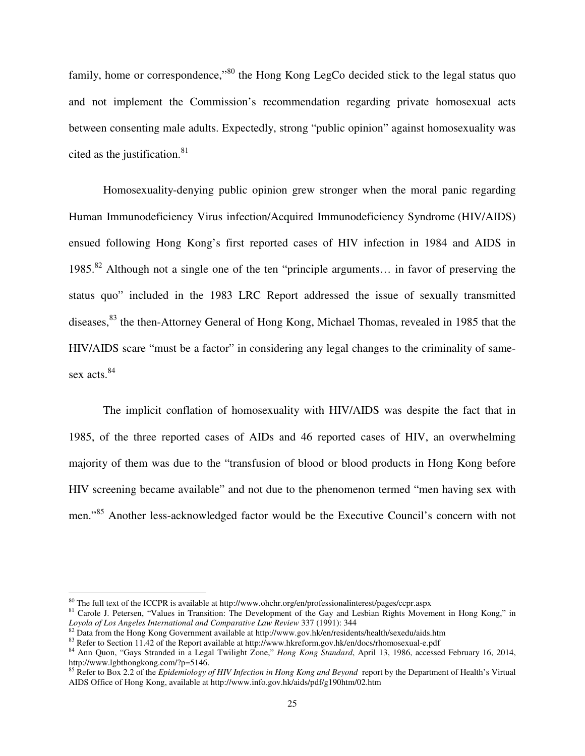family, home or correspondence,"<sup>80</sup> the Hong Kong LegCo decided stick to the legal status quo and not implement the Commission's recommendation regarding private homosexual acts between consenting male adults. Expectedly, strong "public opinion" against homosexuality was cited as the justification. $81$ 

Homosexuality-denying public opinion grew stronger when the moral panic regarding Human Immunodeficiency Virus infection/Acquired Immunodeficiency Syndrome (HIV/AIDS) ensued following Hong Kong's first reported cases of HIV infection in 1984 and AIDS in 1985.<sup>82</sup> Although not a single one of the ten "principle arguments… in favor of preserving the status quo" included in the 1983 LRC Report addressed the issue of sexually transmitted diseases,<sup>83</sup> the then-Attorney General of Hong Kong, Michael Thomas, revealed in 1985 that the HIV/AIDS scare "must be a factor" in considering any legal changes to the criminality of samesex acts.<sup>84</sup>

The implicit conflation of homosexuality with HIV/AIDS was despite the fact that in 1985, of the three reported cases of AIDs and 46 reported cases of HIV, an overwhelming majority of them was due to the "transfusion of blood or blood products in Hong Kong before HIV screening became available" and not due to the phenomenon termed "men having sex with men."<sup>85</sup> Another less-acknowledged factor would be the Executive Council's concern with not

<sup>80</sup> The full text of the ICCPR is available at http://www.ohchr.org/en/professionalinterest/pages/ccpr.aspx

<sup>&</sup>lt;sup>81</sup> Carole J. Petersen, "Values in Transition: The Development of the Gay and Lesbian Rights Movement in Hong Kong," in *Loyola of Los Angeles International and Comparative Law Review* 337 (1991): 344

 $82$  Data from the Hong Kong Government available at http://www.gov.hk/en/residents/health/sexedu/aids.htm

<sup>83</sup> Refer to Section 11.42 of the Report available at http://www.hkreform.gov.hk/en/docs/rhomosexual-e.pdf

<sup>84</sup> Ann Quon, "Gays Stranded in a Legal Twilight Zone," *Hong Kong Standard*, April 13, 1986, accessed February 16, 2014, http://www.lgbthongkong.com/?p=5146.

<sup>&</sup>lt;sup>85</sup> Refer to Box 2.2 of the *Epidemiology of HIV Infection in Hong Kong and Beyond* report by the Department of Health's Virtual AIDS Office of Hong Kong, available at http://www.info.gov.hk/aids/pdf/g190htm/02.htm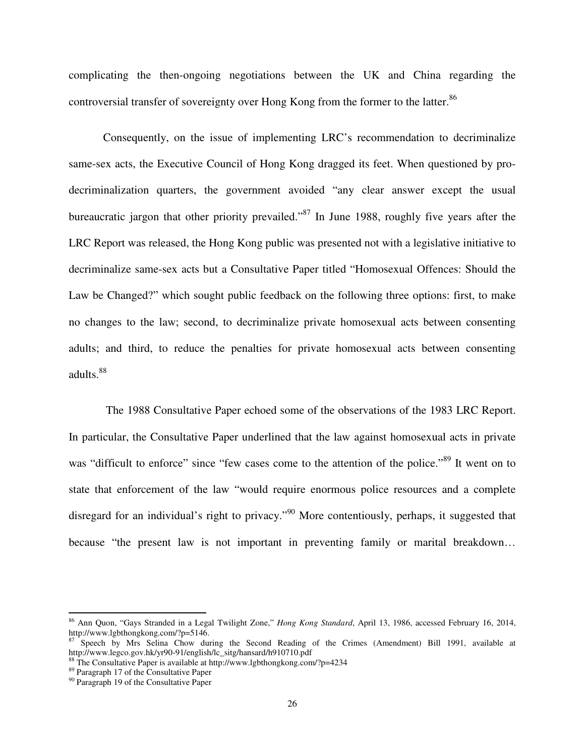complicating the then-ongoing negotiations between the UK and China regarding the controversial transfer of sovereignty over Hong Kong from the former to the latter.<sup>86</sup>

Consequently, on the issue of implementing LRC's recommendation to decriminalize same-sex acts, the Executive Council of Hong Kong dragged its feet. When questioned by prodecriminalization quarters, the government avoided "any clear answer except the usual bureaucratic jargon that other priority prevailed."<sup>87</sup> In June 1988, roughly five years after the LRC Report was released, the Hong Kong public was presented not with a legislative initiative to decriminalize same-sex acts but a Consultative Paper titled "Homosexual Offences: Should the Law be Changed?" which sought public feedback on the following three options: first, to make no changes to the law; second, to decriminalize private homosexual acts between consenting adults; and third, to reduce the penalties for private homosexual acts between consenting adults.<sup>88</sup>

 The 1988 Consultative Paper echoed some of the observations of the 1983 LRC Report. In particular, the Consultative Paper underlined that the law against homosexual acts in private was "difficult to enforce" since "few cases come to the attention of the police."<sup>89</sup> It went on to state that enforcement of the law "would require enormous police resources and a complete disregard for an individual's right to privacy."<sup>90</sup> More contentiously, perhaps, it suggested that because "the present law is not important in preventing family or marital breakdown…

<sup>86</sup> Ann Quon, "Gays Stranded in a Legal Twilight Zone," *Hong Kong Standard*, April 13, 1986, accessed February 16, 2014, http://www.lgbthongkong.com/?p=5146.

<sup>87</sup> Speech by Mrs Selina Chow during the Second Reading of the Crimes (Amendment) Bill 1991, available at http://www.legco.gov.hk/yr90-91/english/lc\_sitg/hansard/h910710.pdf

<sup>&</sup>lt;sup>88</sup> The Consultative Paper is available at http://www.lgbthongkong.com/?p=4234

<sup>89</sup> Paragraph 17 of the Consultative Paper

<sup>&</sup>lt;sup>90</sup> Paragraph 19 of the Consultative Paper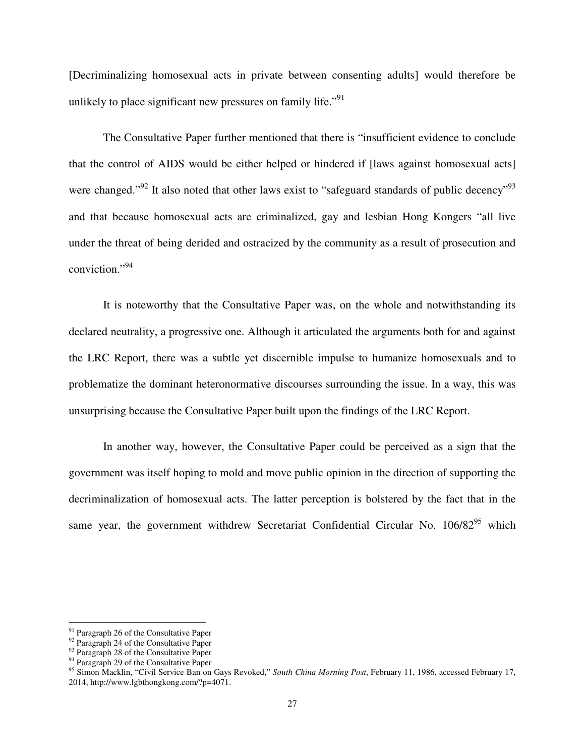[Decriminalizing homosexual acts in private between consenting adults] would therefore be unlikely to place significant new pressures on family life."<sup>91</sup>

The Consultative Paper further mentioned that there is "insufficient evidence to conclude that the control of AIDS would be either helped or hindered if [laws against homosexual acts] were changed."<sup>92</sup> It also noted that other laws exist to "safeguard standards of public decency"<sup>93</sup> and that because homosexual acts are criminalized, gay and lesbian Hong Kongers "all live under the threat of being derided and ostracized by the community as a result of prosecution and conviction."<sup>94</sup>

It is noteworthy that the Consultative Paper was, on the whole and notwithstanding its declared neutrality, a progressive one. Although it articulated the arguments both for and against the LRC Report, there was a subtle yet discernible impulse to humanize homosexuals and to problematize the dominant heteronormative discourses surrounding the issue. In a way, this was unsurprising because the Consultative Paper built upon the findings of the LRC Report.

In another way, however, the Consultative Paper could be perceived as a sign that the government was itself hoping to mold and move public opinion in the direction of supporting the decriminalization of homosexual acts. The latter perception is bolstered by the fact that in the same year, the government withdrew Secretariat Confidential Circular No. 106/82<sup>95</sup> which

<sup>&</sup>lt;sup>91</sup> Paragraph 26 of the Consultative Paper

<sup>&</sup>lt;sup>92</sup> Paragraph 24 of the Consultative Paper

<sup>&</sup>lt;sup>93</sup> Paragraph 28 of the Consultative Paper

 $94$  Paragraph 29 of the Consultative Paper

<sup>95</sup> Simon Macklin, "Civil Service Ban on Gays Revoked," *South China Morning Post*, February 11, 1986, accessed February 17, 2014, http://www.lgbthongkong.com/?p=4071.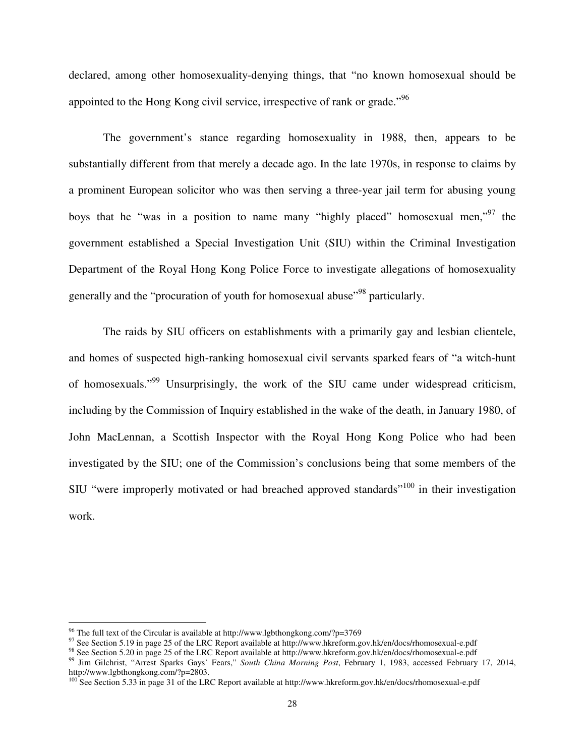declared, among other homosexuality-denying things, that "no known homosexual should be appointed to the Hong Kong civil service, irrespective of rank or grade.<sup>"96</sup>

 The government's stance regarding homosexuality in 1988, then, appears to be substantially different from that merely a decade ago. In the late 1970s, in response to claims by a prominent European solicitor who was then serving a three-year jail term for abusing young boys that he "was in a position to name many "highly placed" homosexual men,"<sup>97</sup> the government established a Special Investigation Unit (SIU) within the Criminal Investigation Department of the Royal Hong Kong Police Force to investigate allegations of homosexuality generally and the "procuration of youth for homosexual abuse"<sup>98</sup> particularly.

The raids by SIU officers on establishments with a primarily gay and lesbian clientele, and homes of suspected high-ranking homosexual civil servants sparked fears of "a witch-hunt of homosexuals."<sup>99</sup> Unsurprisingly, the work of the SIU came under widespread criticism, including by the Commission of Inquiry established in the wake of the death, in January 1980, of John MacLennan, a Scottish Inspector with the Royal Hong Kong Police who had been investigated by the SIU; one of the Commission's conclusions being that some members of the SIU "were improperly motivated or had breached approved standards"<sup>100</sup> in their investigation work.

<sup>&</sup>lt;sup>96</sup> The full text of the Circular is available at http://www.lgbthongkong.com/?p=3769

<sup>&</sup>lt;sup>97</sup> See Section 5.19 in page 25 of the LRC Report available at http://www.hkreform.gov.hk/en/docs/rhomosexual-e.pdf

<sup>98</sup> See Section 5.20 in page 25 of the LRC Report available at http://www.hkreform.gov.hk/en/docs/rhomosexual-e.pdf

<sup>99</sup> Jim Gilchrist, "Arrest Sparks Gays' Fears," *South China Morning Post*, February 1, 1983, accessed February 17, 2014, http://www.lgbthongkong.com/?p=2803.

<sup>&</sup>lt;sup>100</sup> See Section 5.33 in page 31 of the LRC Report available at http://www.hkreform.gov.hk/en/docs/rhomosexual-e.pdf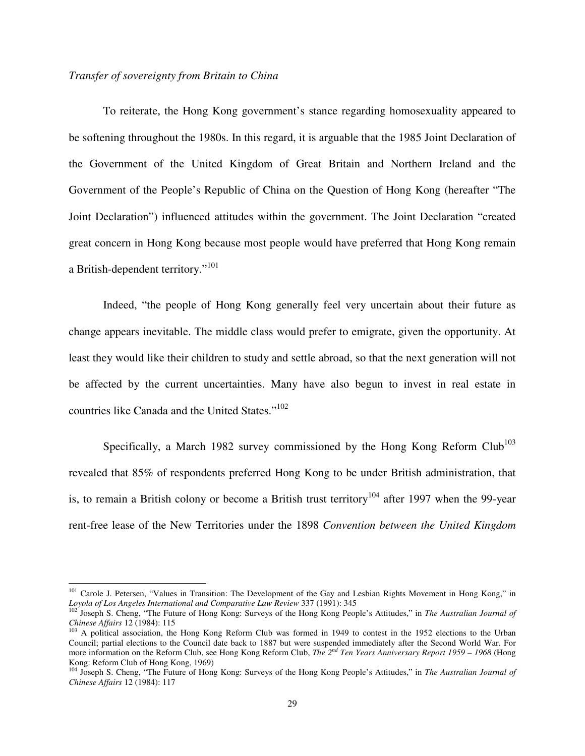#### *Transfer of sovereignty from Britain to China*

l

To reiterate, the Hong Kong government's stance regarding homosexuality appeared to be softening throughout the 1980s. In this regard, it is arguable that the 1985 Joint Declaration of the Government of the United Kingdom of Great Britain and Northern Ireland and the Government of the People's Republic of China on the Question of Hong Kong (hereafter "The Joint Declaration") influenced attitudes within the government. The Joint Declaration "created great concern in Hong Kong because most people would have preferred that Hong Kong remain a British-dependent territory."<sup>101</sup>

Indeed, "the people of Hong Kong generally feel very uncertain about their future as change appears inevitable. The middle class would prefer to emigrate, given the opportunity. At least they would like their children to study and settle abroad, so that the next generation will not be affected by the current uncertainties. Many have also begun to invest in real estate in countries like Canada and the United States."<sup>102</sup>

Specifically, a March 1982 survey commissioned by the Hong Kong Reform Club<sup>103</sup> revealed that 85% of respondents preferred Hong Kong to be under British administration, that is, to remain a British colony or become a British trust territory<sup>104</sup> after 1997 when the 99-year rent-free lease of the New Territories under the 1898 *Convention between the United Kingdom* 

<sup>&</sup>lt;sup>101</sup> Carole J. Petersen, "Values in Transition: The Development of the Gay and Lesbian Rights Movement in Hong Kong," in *Loyola of Los Angeles International and Comparative Law Review* 337 (1991): 345

<sup>102</sup> Joseph S. Cheng, "The Future of Hong Kong: Surveys of the Hong Kong People's Attitudes," in *The Australian Journal of Chinese Affairs* 12 (1984): 115

<sup>&</sup>lt;sup>103</sup> A political association, the Hong Kong Reform Club was formed in 1949 to contest in the 1952 elections to the Urban Council; partial elections to the Council date back to 1887 but were suspended immediately after the Second World War. For more information on the Reform Club, see Hong Kong Reform Club, *The 2nd Ten Years Anniversary Report 1959 – 1968* (Hong Kong: Reform Club of Hong Kong, 1969)

<sup>104</sup> Joseph S. Cheng, "The Future of Hong Kong: Surveys of the Hong Kong People's Attitudes," in *The Australian Journal of Chinese Affairs* 12 (1984): 117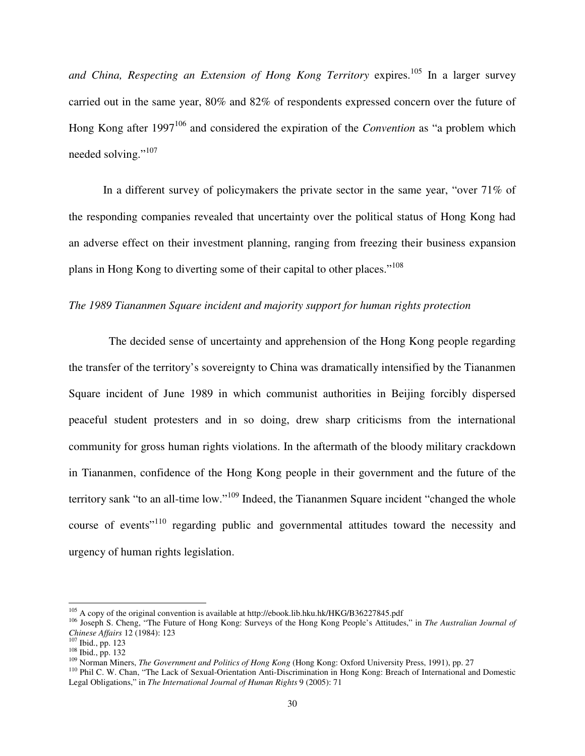and China, Respecting an Extension of Hong Kong Territory expires.<sup>105</sup> In a larger survey carried out in the same year, 80% and 82% of respondents expressed concern over the future of Hong Kong after 1997<sup>106</sup> and considered the expiration of the *Convention* as "a problem which needed solving."<sup>107</sup>

In a different survey of policymakers the private sector in the same year, "over 71% of the responding companies revealed that uncertainty over the political status of Hong Kong had an adverse effect on their investment planning, ranging from freezing their business expansion plans in Hong Kong to diverting some of their capital to other places."<sup>108</sup>

#### *The 1989 Tiananmen Square incident and majority support for human rights protection*

 The decided sense of uncertainty and apprehension of the Hong Kong people regarding the transfer of the territory's sovereignty to China was dramatically intensified by the Tiananmen Square incident of June 1989 in which communist authorities in Beijing forcibly dispersed peaceful student protesters and in so doing, drew sharp criticisms from the international community for gross human rights violations. In the aftermath of the bloody military crackdown in Tiananmen, confidence of the Hong Kong people in their government and the future of the territory sank "to an all-time low."<sup>109</sup> Indeed, the Tiananmen Square incident "changed the whole course of events"<sup>110</sup> regarding public and governmental attitudes toward the necessity and urgency of human rights legislation.

<sup>105</sup> A copy of the original convention is available at http://ebook.lib.hku.hk/HKG/B36227845.pdf

<sup>106</sup> Joseph S. Cheng, "The Future of Hong Kong: Surveys of the Hong Kong People's Attitudes," in *The Australian Journal of Chinese Affairs* 12 (1984): 123

<sup>107</sup> Ibid., pp. 123

<sup>108</sup> Ibid., pp. 132

<sup>109</sup> Norman Miners, *The Government and Politics of Hong Kong* (Hong Kong: Oxford University Press, 1991), pp. 27

<sup>110</sup> Phil C. W. Chan, "The Lack of Sexual-Orientation Anti-Discrimination in Hong Kong: Breach of International and Domestic Legal Obligations," in *The International Journal of Human Rights* 9 (2005): 71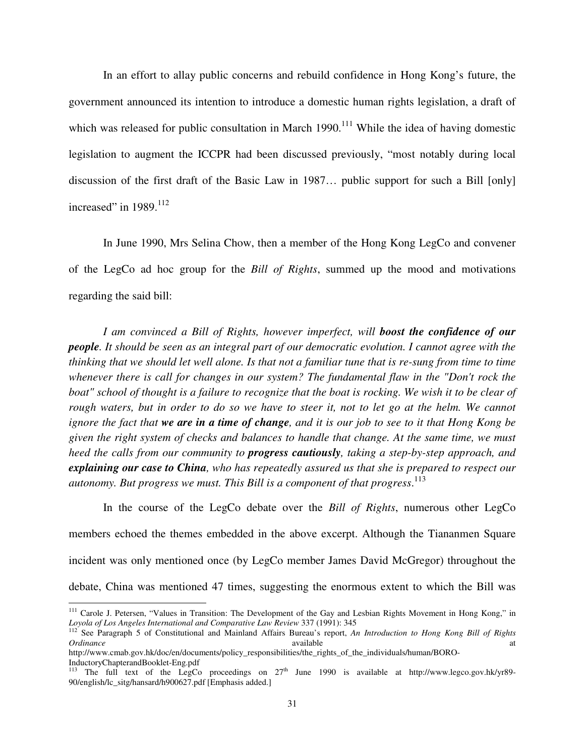In an effort to allay public concerns and rebuild confidence in Hong Kong's future, the government announced its intention to introduce a domestic human rights legislation, a draft of which was released for public consultation in March 1990.<sup>111</sup> While the idea of having domestic legislation to augment the ICCPR had been discussed previously, "most notably during local discussion of the first draft of the Basic Law in 1987… public support for such a Bill [only] increased" in 1989.<sup>112</sup>

In June 1990, Mrs Selina Chow, then a member of the Hong Kong LegCo and convener of the LegCo ad hoc group for the *Bill of Rights*, summed up the mood and motivations regarding the said bill:

*I am convinced a Bill of Rights, however imperfect, will boost the confidence of our people. It should be seen as an integral part of our democratic evolution. I cannot agree with the thinking that we should let well alone. Is that not a familiar tune that is re-sung from time to time whenever there is call for changes in our system? The fundamental flaw in the "Don't rock the boat" school of thought is a failure to recognize that the boat is rocking. We wish it to be clear of*  rough waters, but in order to do so we have to steer it, not to let go at the helm. We cannot *ignore the fact that we are in a time of change, and it is our job to see to it that Hong Kong be given the right system of checks and balances to handle that change. At the same time, we must heed the calls from our community to progress cautiously, taking a step-by-step approach, and explaining our case to China, who has repeatedly assured us that she is prepared to respect our autonomy. But progress we must. This Bill is a component of that progress*. 113

 In the course of the LegCo debate over the *Bill of Rights*, numerous other LegCo members echoed the themes embedded in the above excerpt. Although the Tiananmen Square incident was only mentioned once (by LegCo member James David McGregor) throughout the debate, China was mentioned 47 times, suggesting the enormous extent to which the Bill was

<sup>&</sup>lt;sup>111</sup> Carole J. Petersen, "Values in Transition: The Development of the Gay and Lesbian Rights Movement in Hong Kong," in *Loyola of Los Angeles International and Comparative Law Review* 337 (1991): 345

<sup>112</sup> See Paragraph 5 of Constitutional and Mainland Affairs Bureau's report, *An Introduction to Hong Kong Bill of Rights Ordinance* available at a state available at the state at a state at a state at a state at a state at a state at a state at a state at a state at a state at a state at a state at a state and a state at a state at a state

http://www.cmab.gov.hk/doc/en/documents/policy\_responsibilities/the\_rights\_of\_the\_individuals/human/BORO-InductoryChapterandBooklet-Eng.pdf

<sup>&</sup>lt;sup>113</sup> The full text of the LegCo proceedings on  $27<sup>th</sup>$  June 1990 is available at http://www.legco.gov.hk/yr89-90/english/lc\_sitg/hansard/h900627.pdf [Emphasis added.]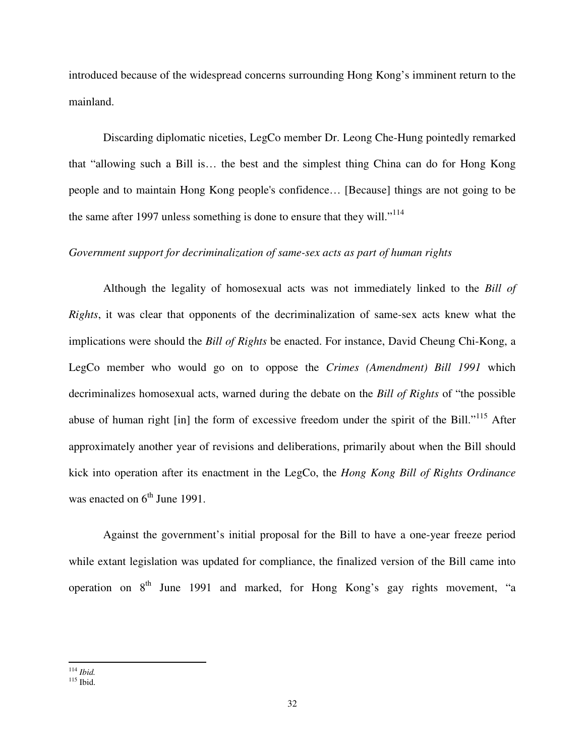introduced because of the widespread concerns surrounding Hong Kong's imminent return to the mainland.

Discarding diplomatic niceties, LegCo member Dr. Leong Che-Hung pointedly remarked that "allowing such a Bill is… the best and the simplest thing China can do for Hong Kong people and to maintain Hong Kong people's confidence… [Because] things are not going to be the same after 1997 unless something is done to ensure that they will."<sup>114</sup>

#### *Government support for decriminalization of same-sex acts as part of human rights*

 Although the legality of homosexual acts was not immediately linked to the *Bill of Rights*, it was clear that opponents of the decriminalization of same-sex acts knew what the implications were should the *Bill of Rights* be enacted. For instance, David Cheung Chi-Kong, a LegCo member who would go on to oppose the *Crimes (Amendment) Bill 1991* which decriminalizes homosexual acts, warned during the debate on the *Bill of Rights* of "the possible abuse of human right [in] the form of excessive freedom under the spirit of the Bill."<sup>115</sup> After approximately another year of revisions and deliberations, primarily about when the Bill should kick into operation after its enactment in the LegCo, the *Hong Kong Bill of Rights Ordinance* was enacted on  $6<sup>th</sup>$  June 1991.

Against the government's initial proposal for the Bill to have a one-year freeze period while extant legislation was updated for compliance, the finalized version of the Bill came into operation on  $8<sup>th</sup>$  June 1991 and marked, for Hong Kong's gay rights movement, "a

<sup>114</sup> *Ibid.* 

<sup>115</sup> Ibid.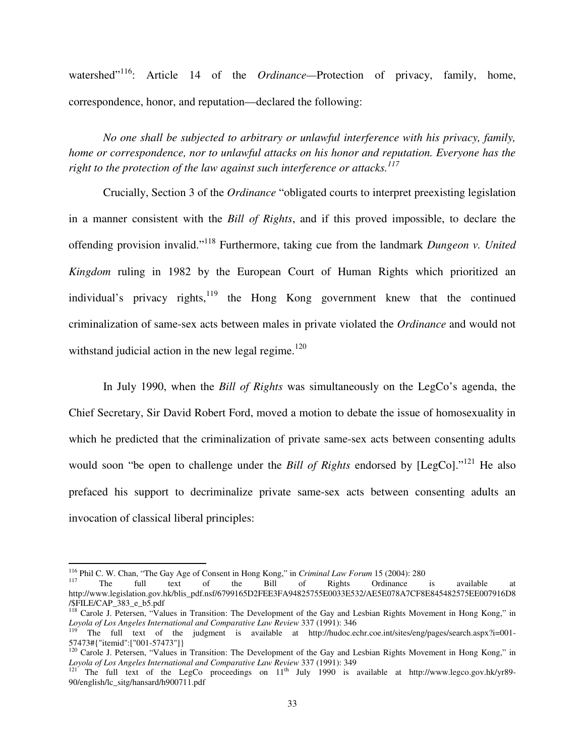watershed<sup>"116</sup>: Article 14 of the *Ordinance*—Protection of privacy, family, home, correspondence, honor, and reputation—declared the following:

*No one shall be subjected to arbitrary or unlawful interference with his privacy, family, home or correspondence, nor to unlawful attacks on his honor and reputation. Everyone has the right to the protection of the law against such interference or attacks.<sup>117</sup>*

Crucially, Section 3 of the *Ordinance* "obligated courts to interpret preexisting legislation in a manner consistent with the *Bill of Rights*, and if this proved impossible, to declare the offending provision invalid."<sup>118</sup> Furthermore, taking cue from the landmark *Dungeon v. United Kingdom* ruling in 1982 by the European Court of Human Rights which prioritized an individual's privacy rights, $119$  the Hong Kong government knew that the continued criminalization of same-sex acts between males in private violated the *Ordinance* and would not withstand judicial action in the new legal regime. $120$ 

In July 1990, when the *Bill of Rights* was simultaneously on the LegCo's agenda, the Chief Secretary, Sir David Robert Ford, moved a motion to debate the issue of homosexuality in which he predicted that the criminalization of private same-sex acts between consenting adults would soon "be open to challenge under the *Bill of Rights* endorsed by [LegCo]."<sup>121</sup> He also prefaced his support to decriminalize private same-sex acts between consenting adults an invocation of classical liberal principles:

<sup>&</sup>lt;sup>116</sup> Phil C. W. Chan, "The Gay Age of Consent in Hong Kong," in *Criminal Law Forum* 15 (2004): 280<br><sup>117</sup> The full text of the Bill of Rights Ordinance is

<sup>&</sup>lt;sup>117</sup> The full text of the Bill of Rights Ordinance is available at http://www.legislation.gov.hk/blis\_pdf.nsf/6799165D2FEE3FA94825755E0033E532/AE5E078A7CF8E845482575EE007916D8 /\$FILE/CAP\_383\_e\_b5.pdf

<sup>&</sup>lt;sup>118</sup> Carole J. Petersen, "Values in Transition: The Development of the Gay and Lesbian Rights Movement in Hong Kong," in *Loyola of Los Angeles International and Comparative Law Review* 337 (1991): 346

<sup>&</sup>lt;sup>119</sup> The full text of the judgment is available at http://hudoc.echr.coe.int/sites/eng/pages/search.aspx?i=001-57473#{"itemid":["001-57473"]}

<sup>&</sup>lt;sup>120</sup> Carole J. Petersen, "Values in Transition: The Development of the Gay and Lesbian Rights Movement in Hong Kong," in *Loyola of Los Angeles International and Comparative Law Review* 337 (1991): 349

<sup>&</sup>lt;sup>121</sup> The full text of the LegCo proceedings on  $11<sup>th</sup>$  July 1990 is available at http://www.legco.gov.hk/yr89-90/english/lc\_sitg/hansard/h900711.pdf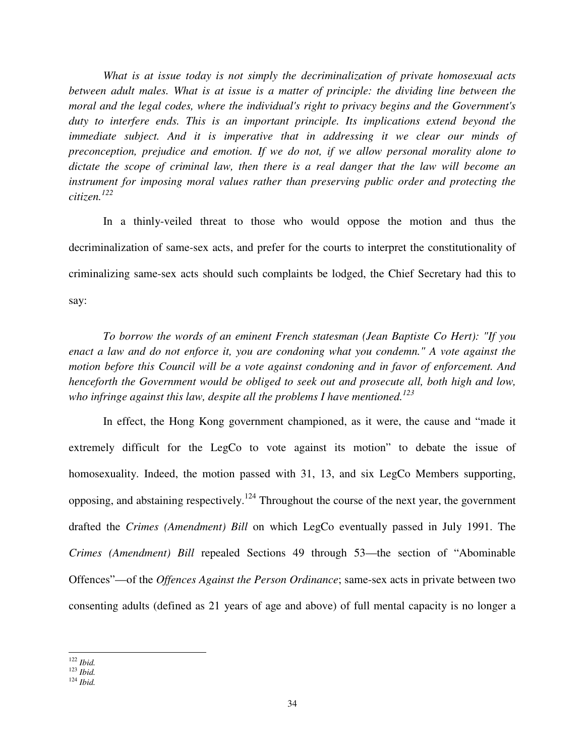*What is at issue today is not simply the decriminalization of private homosexual acts between adult males. What is at issue is a matter of principle: the dividing line between the moral and the legal codes, where the individual's right to privacy begins and the Government's duty to interfere ends. This is an important principle. Its implications extend beyond the immediate subject. And it is imperative that in addressing it we clear our minds of preconception, prejudice and emotion. If we do not, if we allow personal morality alone to dictate the scope of criminal law, then there is a real danger that the law will become an instrument for imposing moral values rather than preserving public order and protecting the citizen.<sup>122</sup>*

In a thinly-veiled threat to those who would oppose the motion and thus the decriminalization of same-sex acts, and prefer for the courts to interpret the constitutionality of criminalizing same-sex acts should such complaints be lodged, the Chief Secretary had this to say:

*To borrow the words of an eminent French statesman (Jean Baptiste Co Hert): "If you enact a law and do not enforce it, you are condoning what you condemn." A vote against the motion before this Council will be a vote against condoning and in favor of enforcement. And henceforth the Government would be obliged to seek out and prosecute all, both high and low, who infringe against this law, despite all the problems I have mentioned.<sup>123</sup>*

In effect, the Hong Kong government championed, as it were, the cause and "made it extremely difficult for the LegCo to vote against its motion" to debate the issue of homosexuality. Indeed, the motion passed with 31, 13, and six LegCo Members supporting, opposing, and abstaining respectively.<sup>124</sup> Throughout the course of the next year, the government drafted the *Crimes (Amendment) Bill* on which LegCo eventually passed in July 1991. The *Crimes (Amendment) Bill* repealed Sections 49 through 53—the section of "Abominable Offences"—of the *Offences Against the Person Ordinance*; same-sex acts in private between two consenting adults (defined as 21 years of age and above) of full mental capacity is no longer a

l <sup>122</sup> *Ibid.* 

<sup>123</sup> *Ibid.* 

<sup>124</sup> *Ibid.*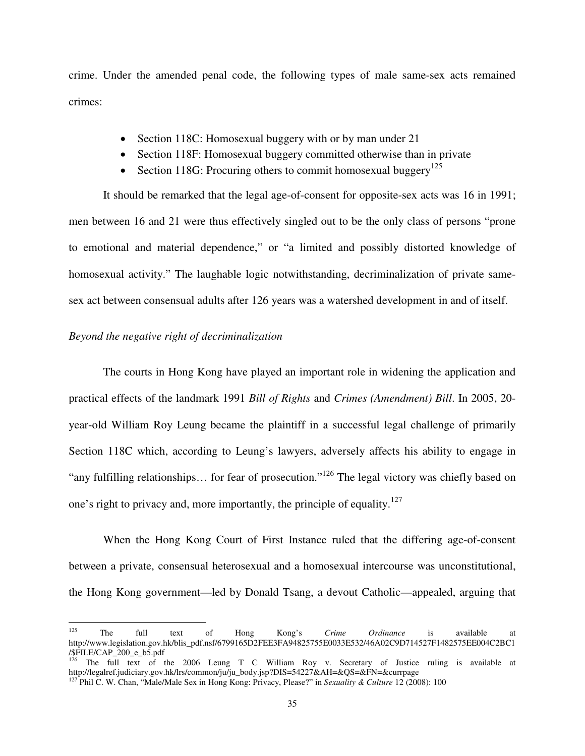crime. Under the amended penal code, the following types of male same-sex acts remained crimes:

- Section 118C: Homosexual buggery with or by man under 21
- Section 118F: Homosexual buggery committed otherwise than in private
- Section 118G: Procuring others to commit homosexual buggery<sup>125</sup>

It should be remarked that the legal age-of-consent for opposite-sex acts was 16 in 1991; men between 16 and 21 were thus effectively singled out to be the only class of persons "prone to emotional and material dependence," or "a limited and possibly distorted knowledge of homosexual activity." The laughable logic notwithstanding, decriminalization of private samesex act between consensual adults after 126 years was a watershed development in and of itself.

# *Beyond the negative right of decriminalization*

 $\overline{a}$ 

 The courts in Hong Kong have played an important role in widening the application and practical effects of the landmark 1991 *Bill of Rights* and *Crimes (Amendment) Bill*. In 2005, 20 year-old William Roy Leung became the plaintiff in a successful legal challenge of primarily Section 118C which, according to Leung's lawyers, adversely affects his ability to engage in "any fulfilling relationships... for fear of prosecution."<sup>126</sup> The legal victory was chiefly based on one's right to privacy and, more importantly, the principle of equality.<sup>127</sup>

When the Hong Kong Court of First Instance ruled that the differing age-of-consent between a private, consensual heterosexual and a homosexual intercourse was unconstitutional, the Hong Kong government—led by Donald Tsang, a devout Catholic—appealed, arguing that

<sup>125</sup> The full text of Hong Kong's *Crime Ordinance* is available at http://www.legislation.gov.hk/blis\_pdf.nsf/6799165D2FEE3FA94825755E0033E532/46A02C9D714527F1482575EE004C2BC1 /\$FILE/CAP\_200\_e\_b5.pdf

<sup>&</sup>lt;sup>126</sup> The full text of the 2006 Leung T C William Roy v. Secretary of Justice ruling is available at http://legalref.judiciary.gov.hk/lrs/common/ju/ju\_body.jsp?DIS=54227&AH=&QS=&FN=&currpage

<sup>127</sup> Phil C. W. Chan, "Male/Male Sex in Hong Kong: Privacy, Please?" in *Sexuality & Culture* 12 (2008): 100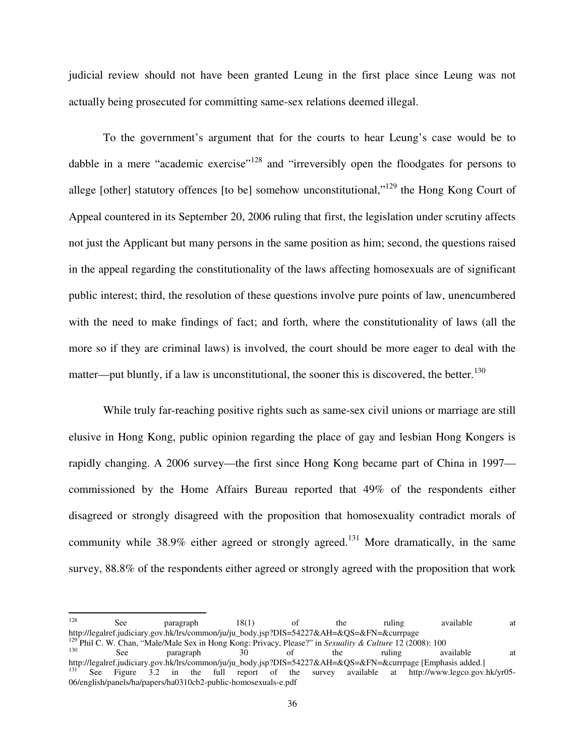judicial review should not have been granted Leung in the first place since Leung was not actually being prosecuted for committing same-sex relations deemed illegal.

 To the government's argument that for the courts to hear Leung's case would be to dabble in a mere "academic exercise"<sup>128</sup> and "irreversibly open the floodgates for persons to allege [other] statutory offences [to be] somehow unconstitutional, $v^{129}$  the Hong Kong Court of Appeal countered in its September 20, 2006 ruling that first, the legislation under scrutiny affects not just the Applicant but many persons in the same position as him; second, the questions raised in the appeal regarding the constitutionality of the laws affecting homosexuals are of significant public interest; third, the resolution of these questions involve pure points of law, unencumbered with the need to make findings of fact; and forth, where the constitutionality of laws (all the more so if they are criminal laws) is involved, the court should be more eager to deal with the matter—put bluntly, if a law is unconstitutional, the sooner this is discovered, the better.<sup>130</sup>

 While truly far-reaching positive rights such as same-sex civil unions or marriage are still elusive in Hong Kong, public opinion regarding the place of gay and lesbian Hong Kongers is rapidly changing. A 2006 survey—the first since Hong Kong became part of China in 1997 commissioned by the Home Affairs Bureau reported that 49% of the respondents either disagreed or strongly disagreed with the proposition that homosexuality contradict morals of community while 38.9% either agreed or strongly agreed.<sup>131</sup> More dramatically, in the same survey, 88.8% of the respondents either agreed or strongly agreed with the proposition that work

 $128$  See paragraph  $18(1)$  of the ruling available at http://legalref.judiciary.gov.hk/lrs/common/ju/ju\_body.jsp?DIS=54227&AH=&QS=&FN=&currpage <sup>129</sup> Phil C. W. Chan, "Male/Male Sex in Hong Kong: Privacy, Please?" in *Sexuality & Culture* 12 (2008): 100 <sup>130</sup> See paragraph 30 of the ruling available at http://legalref.judiciary.gov.hk/lrs/common/ju/ju\_body.jsp?DIS=54227&AH=&QS=&FN=&currpage [Emphasis added.] See Figure 3.2 in the full report of the survey available at http://www.legco.gov.hk/yr05-06/english/panels/ha/papers/ha0310cb2-public-homosexuals-e.pdf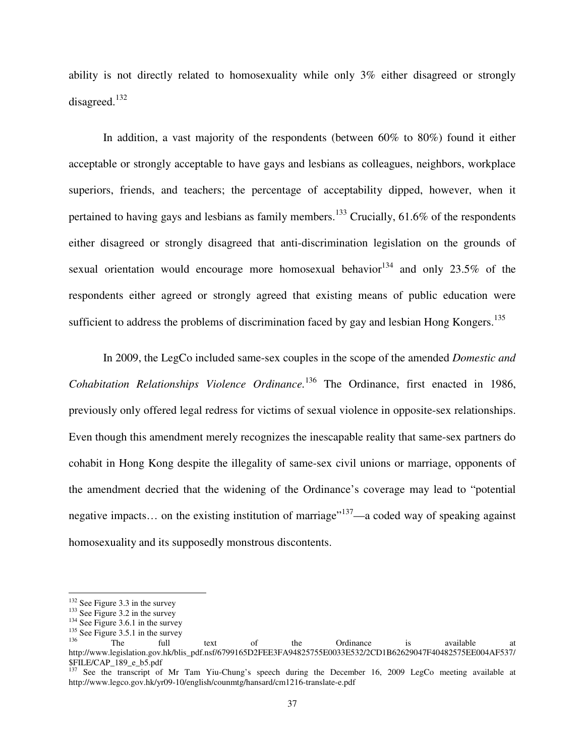ability is not directly related to homosexuality while only 3% either disagreed or strongly disagreed.<sup>132</sup>

In addition, a vast majority of the respondents (between 60% to 80%) found it either acceptable or strongly acceptable to have gays and lesbians as colleagues, neighbors, workplace superiors, friends, and teachers; the percentage of acceptability dipped, however, when it pertained to having gays and lesbians as family members.<sup>133</sup> Crucially, 61.6% of the respondents either disagreed or strongly disagreed that anti-discrimination legislation on the grounds of sexual orientation would encourage more homosexual behavior<sup>134</sup> and only 23.5% of the respondents either agreed or strongly agreed that existing means of public education were sufficient to address the problems of discrimination faced by gay and lesbian Hong Kongers.<sup>135</sup>

 In 2009, the LegCo included same-sex couples in the scope of the amended *Domestic and Cohabitation Relationships Violence Ordinance.*<sup>136</sup> The Ordinance, first enacted in 1986, previously only offered legal redress for victims of sexual violence in opposite-sex relationships. Even though this amendment merely recognizes the inescapable reality that same-sex partners do cohabit in Hong Kong despite the illegality of same-sex civil unions or marriage, opponents of the amendment decried that the widening of the Ordinance's coverage may lead to "potential negative impacts... on the existing institution of marriage<sup> $137$ </sup>—a coded way of speaking against homosexuality and its supposedly monstrous discontents.

<sup>132</sup> See Figure 3.3 in the survey

<sup>&</sup>lt;sup>133</sup> See Figure 3.2 in the survey

<sup>&</sup>lt;sup>134</sup> See Figure 3.6.1 in the survey

 $^{135}_{136}$  See Figure 3.5.1 in the survey

<sup>&</sup>lt;sup>136</sup> The full text of the Ordinance is available at http://www.legislation.gov.hk/blis\_pdf.nsf/6799165D2FEE3FA94825755E0033E532/2CD1B62629047F40482575EE004AF537/ \$FILE/CAP\_189\_e\_b5.pdf

<sup>&</sup>lt;sup>137</sup> See the transcript of Mr Tam Yiu-Chung's speech during the December 16, 2009 LegCo meeting available at http://www.legco.gov.hk/yr09-10/english/counmtg/hansard/cm1216-translate-e.pdf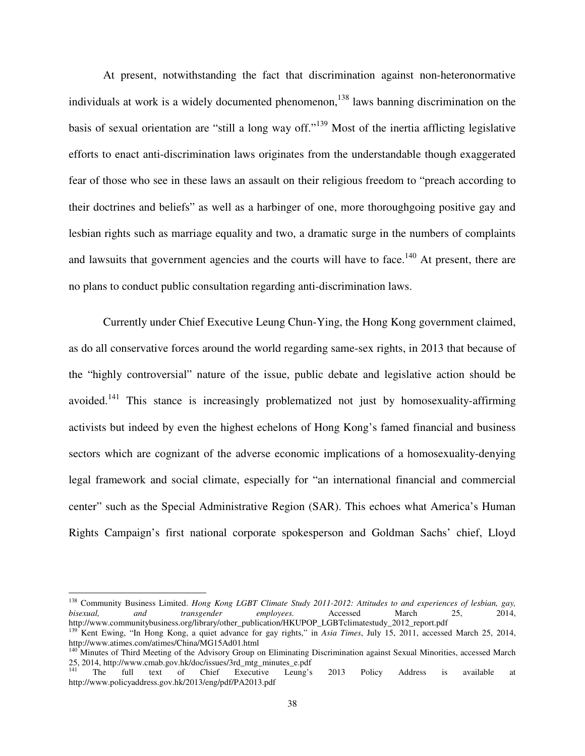At present, notwithstanding the fact that discrimination against non-heteronormative individuals at work is a widely documented phenomenon,  $^{138}$  laws banning discrimination on the basis of sexual orientation are "still a long way off."<sup>139</sup> Most of the inertia afflicting legislative efforts to enact anti-discrimination laws originates from the understandable though exaggerated fear of those who see in these laws an assault on their religious freedom to "preach according to their doctrines and beliefs" as well as a harbinger of one, more thoroughgoing positive gay and lesbian rights such as marriage equality and two, a dramatic surge in the numbers of complaints and lawsuits that government agencies and the courts will have to face.<sup>140</sup> At present, there are no plans to conduct public consultation regarding anti-discrimination laws.

 Currently under Chief Executive Leung Chun-Ying, the Hong Kong government claimed, as do all conservative forces around the world regarding same-sex rights, in 2013 that because of the "highly controversial" nature of the issue, public debate and legislative action should be avoided.<sup>141</sup> This stance is increasingly problematized not just by homosexuality-affirming activists but indeed by even the highest echelons of Hong Kong's famed financial and business sectors which are cognizant of the adverse economic implications of a homosexuality-denying legal framework and social climate, especially for "an international financial and commercial center" such as the Special Administrative Region (SAR). This echoes what America's Human Rights Campaign's first national corporate spokesperson and Goldman Sachs' chief, Lloyd

<sup>&</sup>lt;sup>138</sup> Community Business Limited. *Hong Kong LGBT Climate Study 2011-2012: Attitudes to and experiences of lesbian, gay, bisexual, and transgender employees.* Accessed March 25, 2014, *bisexual, and transgender employees.* Accessed March 25, 2014, http://www.communitybusiness.org/library/other\_publication/HKUPOP\_LGBTclimatestudy\_2012\_report.pdf

<sup>&</sup>lt;sup>139</sup> Kent Ewing, "In Hong Kong, a quiet advance for gay rights," in *Asia Times*, July 15, 2011, accessed March 25, 2014, http://www.atimes.com/atimes/China/MG15Ad01.html

<sup>&</sup>lt;sup>140</sup> Minutes of Third Meeting of the Advisory Group on Eliminating Discrimination against Sexual Minorities, accessed March 25, 2014, http://www.cmab.gov.hk/doc/issues/3rd\_mtg\_minutes\_e.pdf<br><sup>141</sup> The full text of Chief Executive Leung's

<sup>&</sup>lt;sup>141</sup> The full text of Chief Executive Leung's 2013 Policy Address is available at http://www.policyaddress.gov.hk/2013/eng/pdf/PA2013.pdf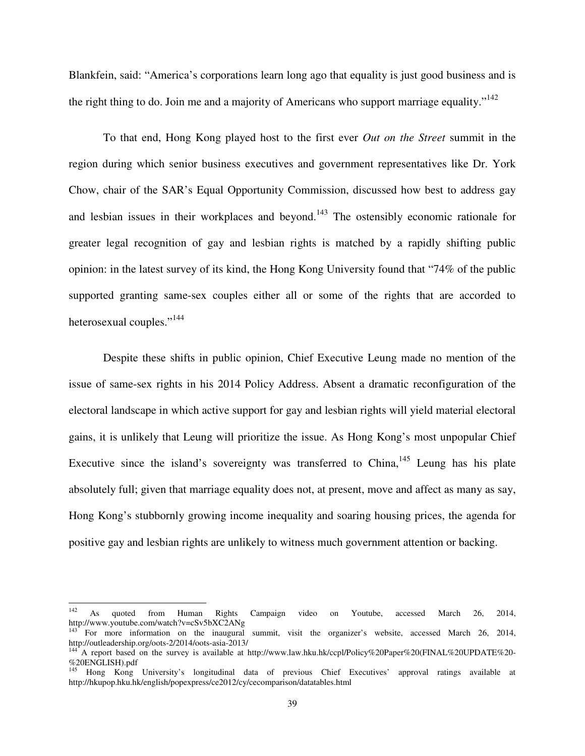Blankfein, said: "America's corporations learn long ago that equality is just good business and is the right thing to do. Join me and a majority of Americans who support marriage equality." $142$ 

To that end, Hong Kong played host to the first ever *Out on the Street* summit in the region during which senior business executives and government representatives like Dr. York Chow, chair of the SAR's Equal Opportunity Commission, discussed how best to address gay and lesbian issues in their workplaces and beyond.<sup>143</sup> The ostensibly economic rationale for greater legal recognition of gay and lesbian rights is matched by a rapidly shifting public opinion: in the latest survey of its kind, the Hong Kong University found that "74% of the public supported granting same-sex couples either all or some of the rights that are accorded to heterosexual couples."<sup>144</sup>

Despite these shifts in public opinion, Chief Executive Leung made no mention of the issue of same-sex rights in his 2014 Policy Address. Absent a dramatic reconfiguration of the electoral landscape in which active support for gay and lesbian rights will yield material electoral gains, it is unlikely that Leung will prioritize the issue. As Hong Kong's most unpopular Chief Executive since the island's sovereignty was transferred to China,  $145$  Leung has his plate absolutely full; given that marriage equality does not, at present, move and affect as many as say, Hong Kong's stubbornly growing income inequality and soaring housing prices, the agenda for positive gay and lesbian rights are unlikely to witness much government attention or backing.

l

<sup>&</sup>lt;sup>142</sup> As quoted from Human Rights Campaign video on Youtube, accessed March 26, 2014, http://www.youtube.com/watch?v=cSv5bXC2ANg

<sup>&</sup>lt;sup>143</sup> For more information on the inaugural summit, visit the organizer's website, accessed March 26, 2014, http://outleadership.org/oots-2/2014/oots-asia-2013/<br><sup>144</sup> A report is

<sup>144</sup> A report based on the survey is available at http://www.law.hku.hk/ccpl/Policy%20Paper%20(FINAL%20UPDATE%20- %20ENGLISH).pdf

<sup>145</sup> Hong Kong University's longitudinal data of previous Chief Executives' approval ratings available at http://hkupop.hku.hk/english/popexpress/ce2012/cy/cecomparison/datatables.html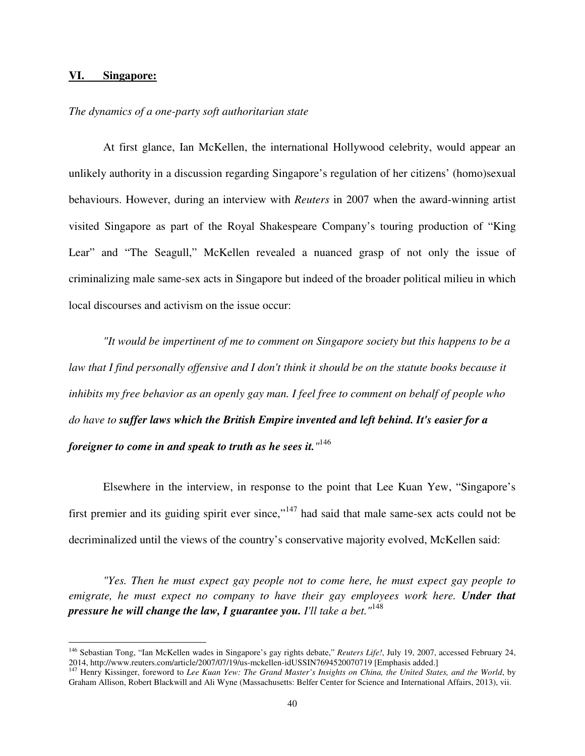#### **VI. Singapore:**

 $\overline{a}$ 

#### *The dynamics of a one-party soft authoritarian state*

 At first glance, Ian McKellen, the international Hollywood celebrity, would appear an unlikely authority in a discussion regarding Singapore's regulation of her citizens' (homo)sexual behaviours. However, during an interview with *Reuters* in 2007 when the award-winning artist visited Singapore as part of the Royal Shakespeare Company's touring production of "King Lear" and "The Seagull," McKellen revealed a nuanced grasp of not only the issue of criminalizing male same-sex acts in Singapore but indeed of the broader political milieu in which local discourses and activism on the issue occur:

*"It would be impertinent of me to comment on Singapore society but this happens to be a law that I find personally offensive and I don't think it should be on the statute books because it inhibits my free behavior as an openly gay man. I feel free to comment on behalf of people who do have to suffer laws which the British Empire invented and left behind. It's easier for a foreigner to come in and speak to truth as he sees it."* 146

Elsewhere in the interview, in response to the point that Lee Kuan Yew, "Singapore's first premier and its guiding spirit ever since,"<sup>147</sup> had said that male same-sex acts could not be decriminalized until the views of the country's conservative majority evolved, McKellen said:

*"Yes. Then he must expect gay people not to come here, he must expect gay people to emigrate, he must expect no company to have their gay employees work here. Under that pressure he will change the law, I guarantee you. I'll take a bet."*<sup>148</sup>

<sup>146</sup> Sebastian Tong, "Ian McKellen wades in Singapore's gay rights debate," *Reuters Life!*, July 19, 2007, accessed February 24, 2014, http://www.reuters.com/article/2007/07/19/us-mckellen-idUSSIN7694520070719 [Emphasis added.]

<sup>&</sup>lt;sup>147</sup> Henry Kissinger, foreword to *Lee Kuan Yew: The Grand Master's Insights on China, the United States, and the World, by* Graham Allison, Robert Blackwill and Ali Wyne (Massachusetts: Belfer Center for Science and International Affairs, 2013), vii.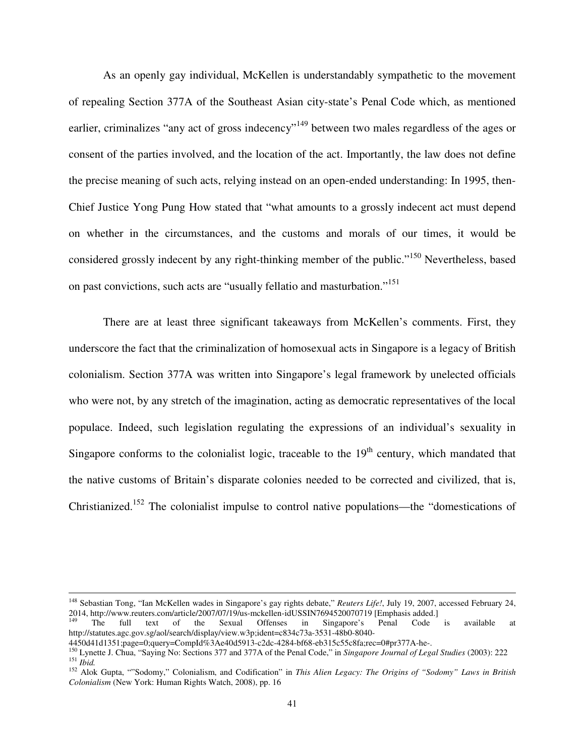As an openly gay individual, McKellen is understandably sympathetic to the movement of repealing Section 377A of the Southeast Asian city-state's Penal Code which, as mentioned earlier, criminalizes "any act of gross indecency"<sup>149</sup> between two males regardless of the ages or consent of the parties involved, and the location of the act. Importantly, the law does not define the precise meaning of such acts, relying instead on an open-ended understanding: In 1995, then-Chief Justice Yong Pung How stated that "what amounts to a grossly indecent act must depend on whether in the circumstances, and the customs and morals of our times, it would be considered grossly indecent by any right-thinking member of the public."<sup>150</sup> Nevertheless, based on past convictions, such acts are "usually fellatio and masturbation."<sup>151</sup>

 There are at least three significant takeaways from McKellen's comments. First, they underscore the fact that the criminalization of homosexual acts in Singapore is a legacy of British colonialism. Section 377A was written into Singapore's legal framework by unelected officials who were not, by any stretch of the imagination, acting as democratic representatives of the local populace. Indeed, such legislation regulating the expressions of an individual's sexuality in Singapore conforms to the colonialist logic, traceable to the  $19<sup>th</sup>$  century, which mandated that the native customs of Britain's disparate colonies needed to be corrected and civilized, that is, Christianized.<sup>152</sup> The colonialist impulse to control native populations—the "domestications of

<sup>148</sup> Sebastian Tong, "Ian McKellen wades in Singapore's gay rights debate," *Reuters Life!*, July 19, 2007, accessed February 24, 2014, http://www.reuters.com/article/2007/07/19/us-mckellen-idUSSIN7694520070719 [Emphasis added.]

<sup>&</sup>lt;sup>149</sup> The full text of the Sexual Offenses in Singapore's Penal Code is available at http://statutes.agc.gov.sg/aol/search/display/view.w3p;ident=c834c73a-3531-48b0-8040-

<sup>4450</sup>d41d1351;page=0;query=CompId%3Ae40d5913-c2dc-4284-bf68-eb315c55c8fa;rec=0#pr377A-he-.

<sup>150</sup> Lynette J. Chua, "Saying No: Sections 377 and 377A of the Penal Code," in *Singapore Journal of Legal Studies* (2003): 222 <sup>151</sup> *Ibid.*

<sup>152</sup> Alok Gupta, ""Sodomy," Colonialism, and Codification" in *This Alien Legacy: The Origins of "Sodomy" Laws in British Colonialism* (New York: Human Rights Watch, 2008), pp. 16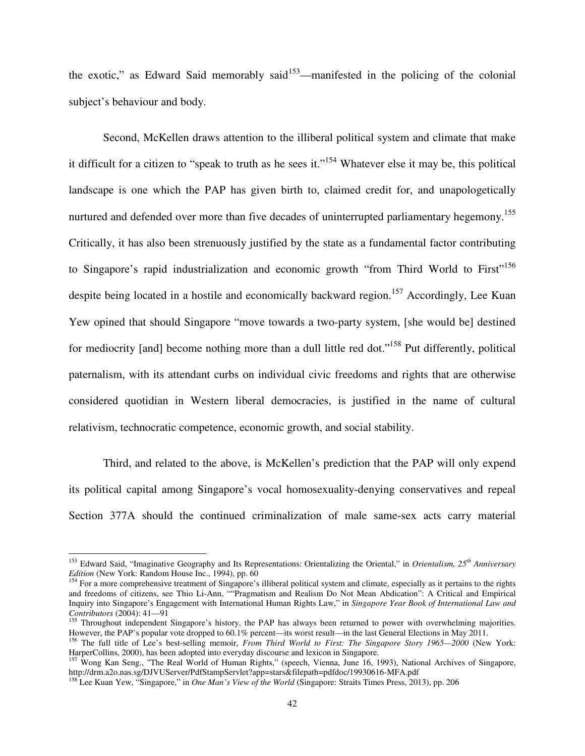the exotic," as Edward Said memorably said $153$ —manifested in the policing of the colonial subject's behaviour and body.

 Second, McKellen draws attention to the illiberal political system and climate that make it difficult for a citizen to "speak to truth as he sees it."<sup>154</sup> Whatever else it may be, this political landscape is one which the PAP has given birth to, claimed credit for, and unapologetically nurtured and defended over more than five decades of uninterrupted parliamentary hegemony.<sup>155</sup> Critically, it has also been strenuously justified by the state as a fundamental factor contributing to Singapore's rapid industrialization and economic growth "from Third World to First"<sup>156</sup> despite being located in a hostile and economically backward region.<sup>157</sup> Accordingly, Lee Kuan Yew opined that should Singapore "move towards a two-party system, [she would be] destined for mediocrity [and] become nothing more than a dull little red dot."<sup>158</sup> Put differently, political paternalism, with its attendant curbs on individual civic freedoms and rights that are otherwise considered quotidian in Western liberal democracies, is justified in the name of cultural relativism, technocratic competence, economic growth, and social stability.

 Third, and related to the above, is McKellen's prediction that the PAP will only expend its political capital among Singapore's vocal homosexuality-denying conservatives and repeal Section 377A should the continued criminalization of male same-sex acts carry material

l

<sup>153</sup> Edward Said, "Imaginative Geography and Its Representations: Orientalizing the Oriental," in *Orientalism, 25th Anniversary Edition* (New York: Random House Inc., 1994), pp.  $60$ 

 $154$  For a more comprehensive treatment of Singapore's illiberal political system and climate, especially as it pertains to the rights and freedoms of citizens, see Thio Li-Ann, ""Pragmatism and Realism Do Not Mean Abdication": A Critical and Empirical Inquiry into Singapore's Engagement with International Human Rights Law," in *Singapore Year Book of International Law and Contributors* (2004): 41—91

<sup>&</sup>lt;sup>155</sup> Throughout independent Singapore's history, the PAP has always been returned to power with overwhelming majorities. However, the PAP's popular vote dropped to 60.1% percent—its worst result—in the last General Elections in May 2011.

<sup>&</sup>lt;sup>156</sup> The full title of Lee's best-selling memoir, *From Third World to First: The Singapore Story 1965—2000* (New York: HarperCollins, 2000), has been adopted into everyday discourse and lexicon in Singapore.

<sup>&</sup>lt;sup>157</sup> Wong Kan Seng., "The Real World of Human Rights," (speech, Vienna, June 16, 1993), National Archives of Singapore, http://drm.a2o.nas.sg/DJVUServer/PdfStampServlet?app=stars&filepath=pdfdoc/19930616-MFA.pdf

<sup>158</sup> Lee Kuan Yew, "Singapore," in *One Man's View of the World* (Singapore: Straits Times Press, 2013), pp. 206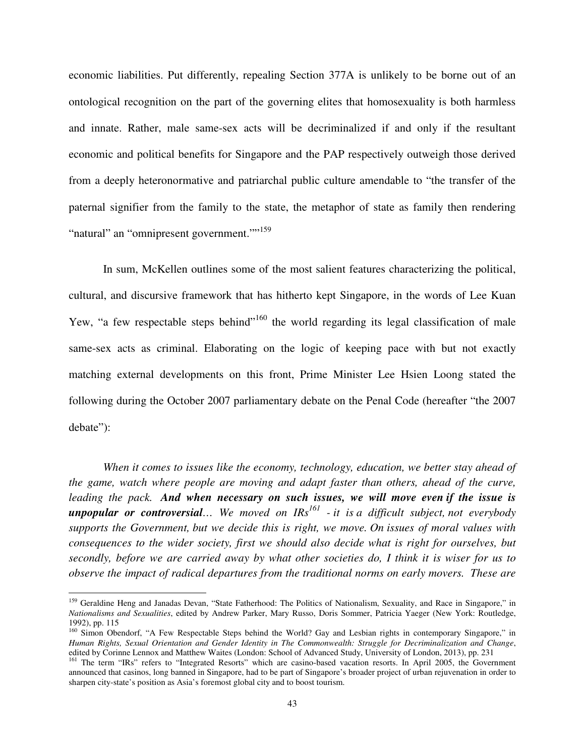economic liabilities. Put differently, repealing Section 377A is unlikely to be borne out of an ontological recognition on the part of the governing elites that homosexuality is both harmless and innate. Rather, male same-sex acts will be decriminalized if and only if the resultant economic and political benefits for Singapore and the PAP respectively outweigh those derived from a deeply heteronormative and patriarchal public culture amendable to "the transfer of the paternal signifier from the family to the state, the metaphor of state as family then rendering "natural" an "omnipresent government."<sup>159</sup>

 In sum, McKellen outlines some of the most salient features characterizing the political, cultural, and discursive framework that has hitherto kept Singapore, in the words of Lee Kuan Yew, "a few respectable steps behind"<sup>160</sup> the world regarding its legal classification of male same-sex acts as criminal. Elaborating on the logic of keeping pace with but not exactly matching external developments on this front, Prime Minister Lee Hsien Loong stated the following during the October 2007 parliamentary debate on the Penal Code (hereafter "the 2007 debate"):

*When it comes to issues like the economy, technology, education, we better stay ahead of the game, watch where people are moving and adapt faster than others, ahead of the curve, leading the pack. And when necessary on such issues, we will move even if the issue is unpopular or controversial… We moved on IRs<sup>161</sup> - it is a difficult subject, not everybody supports the Government, but we decide this is right, we move. On issues of moral values with consequences to the wider society, first we should also decide what is right for ourselves, but secondly, before we are carried away by what other societies do, I think it is wiser for us to observe the impact of radical departures from the traditional norms on early movers. These are* 

<sup>&</sup>lt;sup>159</sup> Geraldine Heng and Janadas Devan, "State Fatherhood: The Politics of Nationalism, Sexuality, and Race in Singapore," in *Nationalisms and Sexualities*, edited by Andrew Parker, Mary Russo, Doris Sommer, Patricia Yaeger (New York: Routledge, 1992), pp. 115

<sup>&</sup>lt;sup>160</sup> Simon Obendorf, "A Few Respectable Steps behind the World? Gay and Lesbian rights in contemporary Singapore," in *Human Rights, Sexual Orientation and Gender Identity in The Commonwealth: Struggle for Decriminalization and Change*, edited by Corinne Lennox and Matthew Waites (London: School of Advanced Study, University of London, 2013), pp. 231

<sup>&</sup>lt;sup>161</sup> The term "IRs" refers to "Integrated Resorts" which are casino-based vacation resorts. In April 2005, the Government announced that casinos, long banned in Singapore, had to be part of Singapore's broader project of urban rejuvenation in order to sharpen city-state's position as Asia's foremost global city and to boost tourism.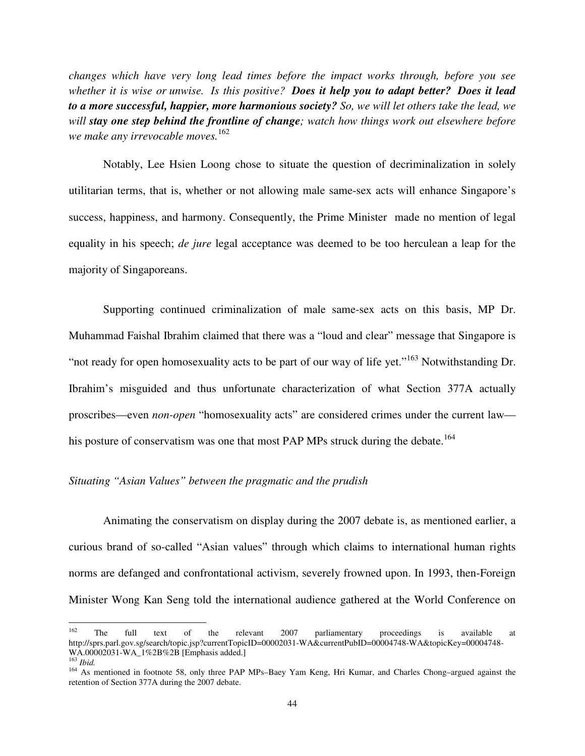*changes which have very long lead times before the impact works through, before you see whether it is wise or unwise. Is this positive? Does it help you to adapt better? Does it lead to a more successful, happier, more harmonious society? So, we will let others take the lead, we will stay one step behind the frontline of change; watch how things work out elsewhere before we make any irrevocable moves.*<sup>162</sup>

Notably, Lee Hsien Loong chose to situate the question of decriminalization in solely utilitarian terms, that is, whether or not allowing male same-sex acts will enhance Singapore's success, happiness, and harmony. Consequently, the Prime Minister made no mention of legal equality in his speech; *de jure* legal acceptance was deemed to be too herculean a leap for the majority of Singaporeans.

Supporting continued criminalization of male same-sex acts on this basis, MP Dr. Muhammad Faishal Ibrahim claimed that there was a "loud and clear" message that Singapore is "not ready for open homosexuality acts to be part of our way of life yet."<sup>163</sup> Notwithstanding Dr. Ibrahim's misguided and thus unfortunate characterization of what Section 377A actually proscribes—even *non-open* "homosexuality acts" are considered crimes under the current law his posture of conservatism was one that most PAP MPs struck during the debate.<sup>164</sup>

# *Situating "Asian Values" between the pragmatic and the prudish*

 Animating the conservatism on display during the 2007 debate is, as mentioned earlier, a curious brand of so-called "Asian values" through which claims to international human rights norms are defanged and confrontational activism, severely frowned upon. In 1993, then-Foreign Minister Wong Kan Seng told the international audience gathered at the World Conference on

<sup>&</sup>lt;sup>162</sup> The full text of the relevant 2007 parliamentary proceedings is available at http://sprs.parl.gov.sg/search/topic.jsp?currentTopicID=00002031-WA&currentPubID=00004748-WA&topicKey=00004748-WA.00002031-WA\_1%2B%2B [Emphasis added.]

<sup>163</sup> *Ibid.*

<sup>164</sup> As mentioned in footnote 58, only three PAP MPs–Baey Yam Keng, Hri Kumar, and Charles Chong–argued against the retention of Section 377A during the 2007 debate.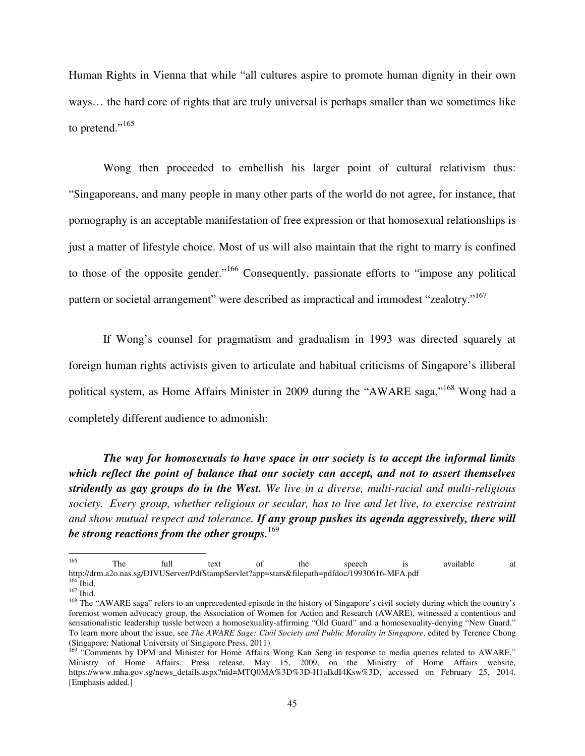Human Rights in Vienna that while "all cultures aspire to promote human dignity in their own ways… the hard core of rights that are truly universal is perhaps smaller than we sometimes like to pretend."<sup>165</sup>

Wong then proceeded to embellish his larger point of cultural relativism thus: "Singaporeans, and many people in many other parts of the world do not agree, for instance, that pornography is an acceptable manifestation of free expression or that homosexual relationships is just a matter of lifestyle choice. Most of us will also maintain that the right to marry is confined to those of the opposite gender."<sup>166</sup> Consequently, passionate efforts to "impose any political pattern or societal arrangement" were described as impractical and immodest "zealotry."<sup>167</sup>

 If Wong's counsel for pragmatism and gradualism in 1993 was directed squarely at foreign human rights activists given to articulate and habitual criticisms of Singapore's illiberal political system, as Home Affairs Minister in 2009 during the "AWARE saga,"<sup>168</sup> Wong had a completely different audience to admonish:

*The way for homosexuals to have space in our society is to accept the informal limits which reflect the point of balance that our society can accept, and not to assert themselves stridently as gay groups do in the West. We live in a diverse, multi-racial and multi-religious society. Every group, whether religious or secular, has to live and let live, to exercise restraint and show mutual respect and tolerance. If any group pushes its agenda aggressively, there will be strong reactions from the other groups.*<sup>169</sup>

<sup>&</sup>lt;sup>165</sup> The full text of the speech is available at http://drm.a2o.nas.sg/DJVUServer/PdfStampServlet?app=stars&filepath=pdfdoc/19930616-MFA.pdf  $166$  Ibid.

 $^{167}$  Ibid.

<sup>&</sup>lt;sup>168</sup> The "AWARE saga" refers to an unprecedented episode in the history of Singapore's civil society during which the country's foremost women advocacy group, the Association of Women for Action and Research (AWARE), witnessed a contentious and sensationalistic leadership tussle between a homosexuality-affirming "Old Guard" and a homosexuality-denying "New Guard." To learn more about the issue, see *The AWARE Sage: Civil Society and Public Morality in Singapore*, edited by Terence Chong (Singapore: National University of Singapore Press, 2011)

<sup>&</sup>lt;sup>169</sup> "Comments by DPM and Minister for Home Affairs Wong Kan Seng in response to media queries related to AWARE," Ministry of Home Affairs. Press release, May 15, 2009, on the Ministry of Home Affairs website, https://www.mha.gov.sg/news\_details.aspx?nid=MTQ0MA%3D%3D-H1aIkdI4Ksw%3D, accessed on February 25, 2014. [Emphasis added.]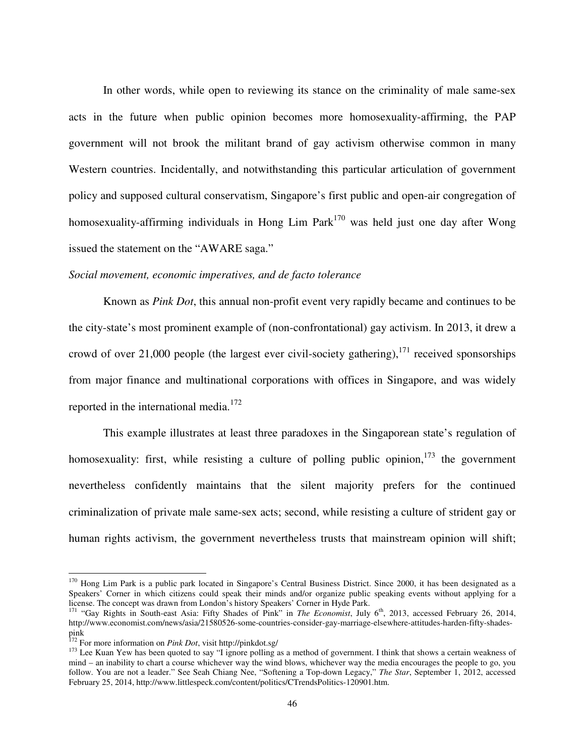In other words, while open to reviewing its stance on the criminality of male same-sex acts in the future when public opinion becomes more homosexuality-affirming, the PAP government will not brook the militant brand of gay activism otherwise common in many Western countries. Incidentally, and notwithstanding this particular articulation of government policy and supposed cultural conservatism, Singapore's first public and open-air congregation of homosexuality-affirming individuals in Hong Lim Park<sup>170</sup> was held just one day after Wong issued the statement on the "AWARE saga."

#### *Social movement, economic imperatives, and de facto tolerance*

Known as *Pink Dot*, this annual non-profit event very rapidly became and continues to be the city-state's most prominent example of (non-confrontational) gay activism. In 2013, it drew a crowd of over 21,000 people (the largest ever civil-society gathering),  $^{171}$  received sponsorships from major finance and multinational corporations with offices in Singapore, and was widely reported in the international media. $172$ 

This example illustrates at least three paradoxes in the Singaporean state's regulation of homosexuality: first, while resisting a culture of polling public opinion,  $173$  the government nevertheless confidently maintains that the silent majority prefers for the continued criminalization of private male same-sex acts; second, while resisting a culture of strident gay or human rights activism, the government nevertheless trusts that mainstream opinion will shift;

 $170$  Hong Lim Park is a public park located in Singapore's Central Business District. Since 2000, it has been designated as a Speakers' Corner in which citizens could speak their minds and/or organize public speaking events without applying for a license. The concept was drawn from London's history Speakers' Corner in Hyde Park.

<sup>&</sup>lt;sup>171</sup> "Gay Rights in South-east Asia: Fifty Shades of Pink" in *The Economist*, July 6<sup>th</sup>, 2013, accessed February 26, 2014, http://www.economist.com/news/asia/21580526-some-countries-consider-gay-marriage-elsewhere-attitudes-harden-fifty-shadespink

<sup>172</sup> For more information on *Pink Dot*, visit http://pinkdot.sg/

<sup>&</sup>lt;sup>173</sup> Lee Kuan Yew has been quoted to say "I ignore polling as a method of government. I think that shows a certain weakness of mind – an inability to chart a course whichever way the wind blows, whichever way the media encourages the people to go, you follow. You are not a leader." See Seah Chiang Nee, "Softening a Top-down Legacy," *The Star*, September 1, 2012, accessed February 25, 2014, http://www.littlespeck.com/content/politics/CTrendsPolitics-120901.htm.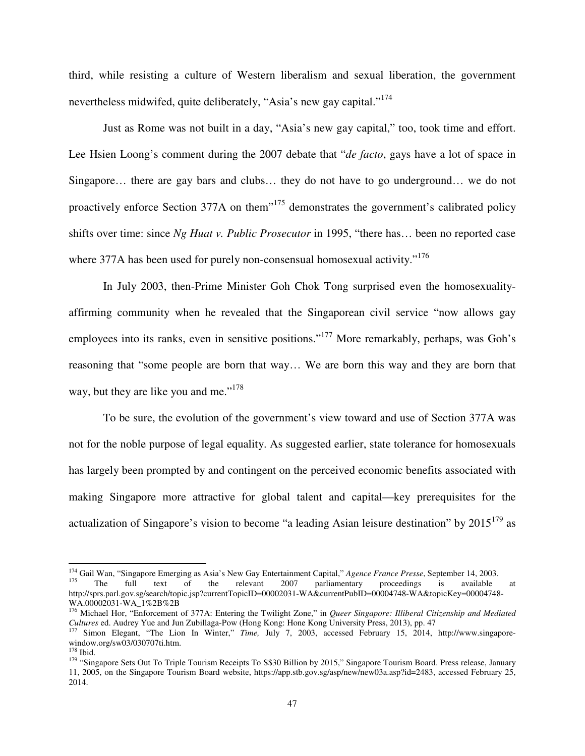third, while resisting a culture of Western liberalism and sexual liberation, the government nevertheless midwifed, quite deliberately, "Asia's new gay capital."<sup>174</sup>

Just as Rome was not built in a day, "Asia's new gay capital," too, took time and effort. Lee Hsien Loong's comment during the 2007 debate that "*de facto*, gays have a lot of space in Singapore… there are gay bars and clubs… they do not have to go underground… we do not proactively enforce Section 377A on them<sup>175</sup> demonstrates the government's calibrated policy shifts over time: since *Ng Huat v. Public Prosecutor* in 1995, "there has… been no reported case where 377A has been used for purely non-consensual homosexual activity."<sup>176</sup>

In July 2003, then-Prime Minister Goh Chok Tong surprised even the homosexualityaffirming community when he revealed that the Singaporean civil service "now allows gay employees into its ranks, even in sensitive positions."<sup>177</sup> More remarkably, perhaps, was Goh's reasoning that "some people are born that way… We are born this way and they are born that way, but they are like you and me."<sup>178</sup>

To be sure, the evolution of the government's view toward and use of Section 377A was not for the noble purpose of legal equality. As suggested earlier, state tolerance for homosexuals has largely been prompted by and contingent on the perceived economic benefits associated with making Singapore more attractive for global talent and capital—key prerequisites for the actualization of Singapore's vision to become "a leading Asian leisure destination" by  $2015^{179}$  as

l

<sup>&</sup>lt;sup>174</sup> Gail Wan, "Singapore Emerging as Asia's New Gay Entertainment Capital," *Agence France Presse*, September 14, 2003.<br><sup>175</sup> The full text of the relevant 2007 parliamentary proceedings is available

parliamentary proceedings is available at http://sprs.parl.gov.sg/search/topic.jsp?currentTopicID=00002031-WA&currentPubID=00004748-WA&topicKey=00004748-WA.00002031-WA\_1%2B%2B

<sup>176</sup> Michael Hor, "Enforcement of 377A: Entering the Twilight Zone," in *Queer Singapore: Illiberal Citizenship and Mediated Cultures* ed. Audrey Yue and Jun Zubillaga-Pow (Hong Kong: Hone Kong University Press, 2013), pp. 47

<sup>177</sup> Simon Elegant, "The Lion In Winter," *Time,* July 7, 2003, accessed February 15, 2014, http://www.singaporewindow.org/sw03/030707ti.htm.

<sup>178</sup> Ibid.

<sup>&</sup>lt;sup>179</sup> "Singapore Sets Out To Triple Tourism Receipts To S\$30 Billion by 2015," Singapore Tourism Board. Press release, January 11, 2005, on the Singapore Tourism Board website, https://app.stb.gov.sg/asp/new/new03a.asp?id=2483, accessed February 25, 2014.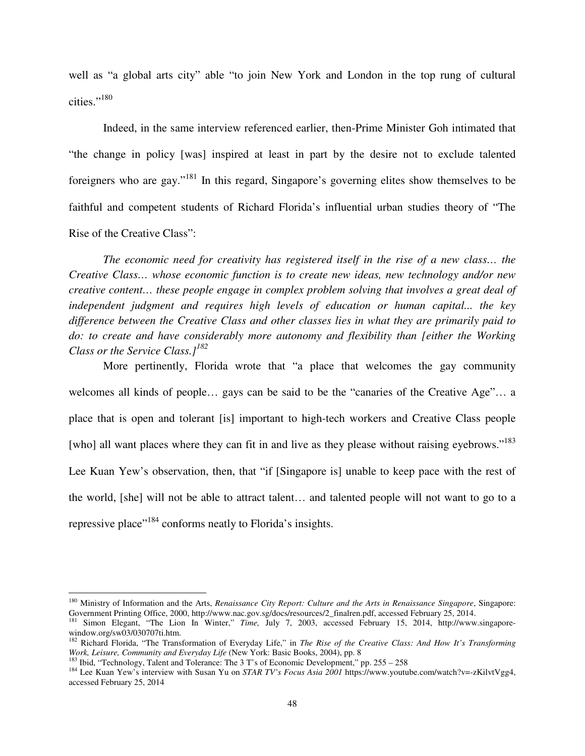well as "a global arts city" able "to join New York and London in the top rung of cultural cities."<sup>180</sup>

Indeed, in the same interview referenced earlier, then-Prime Minister Goh intimated that "the change in policy [was] inspired at least in part by the desire not to exclude talented foreigners who are gay."<sup>181</sup> In this regard, Singapore's governing elites show themselves to be faithful and competent students of Richard Florida's influential urban studies theory of "The Rise of the Creative Class":

*The economic need for creativity has registered itself in the rise of a new class… the Creative Class… whose economic function is to create new ideas, new technology and/or new creative content… these people engage in complex problem solving that involves a great deal of independent judgment and requires high levels of education or human capital... the key difference between the Creative Class and other classes lies in what they are primarily paid to do: to create and have considerably more autonomy and flexibility than [either the Working Class or the Service Class.]<sup>182</sup>*

More pertinently, Florida wrote that "a place that welcomes the gay community welcomes all kinds of people… gays can be said to be the "canaries of the Creative Age"… a place that is open and tolerant [is] important to high-tech workers and Creative Class people [who] all want places where they can fit in and live as they please without raising eyebrows."<sup>183</sup> Lee Kuan Yew's observation, then, that "if [Singapore is] unable to keep pace with the rest of the world, [she] will not be able to attract talent… and talented people will not want to go to a repressive place"<sup>184</sup> conforms neatly to Florida's insights.

<sup>180</sup> Ministry of Information and the Arts, *Renaissance City Report: Culture and the Arts in Renaissance Singapore*, Singapore: Government Printing Office, 2000, http://www.nac.gov.sg/docs/resources/2\_finalren.pdf, accessed February 25, 2014.

<sup>181</sup> Simon Elegant, "The Lion In Winter," *Time,* July 7, 2003, accessed February 15, 2014, http://www.singaporewindow.org/sw03/030707ti.htm.

<sup>&</sup>lt;sup>182</sup> Richard Florida, "The Transformation of Everyday Life," in *The Rise of the Creative Class: And How It's Transforming Work, Leisure, Community and Everyday Life* (New York: Basic Books, 2004), pp. 8

<sup>&</sup>lt;sup>183</sup> Ibid, "Technology, Talent and Tolerance: The 3 T's of Economic Development," pp. 255 – 258

<sup>&</sup>lt;sup>184</sup> Lee Kuan Yew's interview with Susan Yu on *STAR TV's Focus Asia 2001* https://www.youtube.com/watch?v=-zKilvtVgg4, accessed February 25, 2014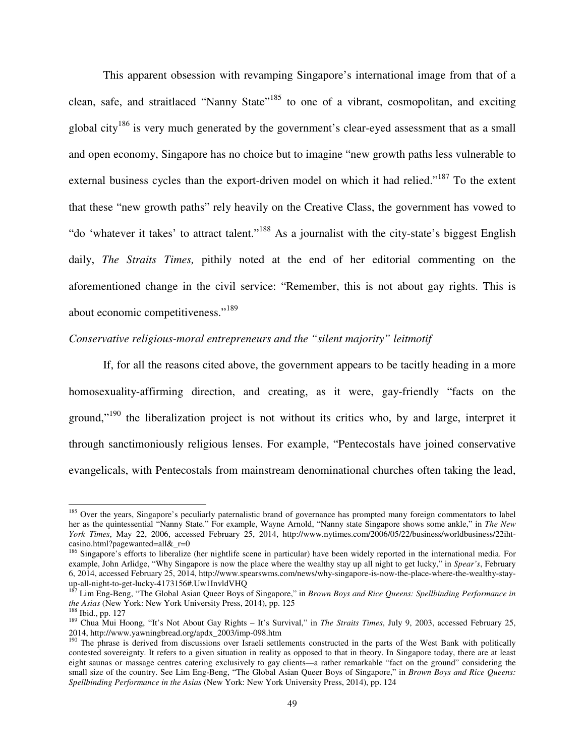This apparent obsession with revamping Singapore's international image from that of a clean, safe, and straitlaced "Nanny State"<sup>185</sup> to one of a vibrant, cosmopolitan, and exciting global city<sup>186</sup> is very much generated by the government's clear-eyed assessment that as a small and open economy, Singapore has no choice but to imagine "new growth paths less vulnerable to external business cycles than the export-driven model on which it had relied."<sup>187</sup> To the extent that these "new growth paths" rely heavily on the Creative Class, the government has vowed to "do 'whatever it takes' to attract talent."<sup>188</sup> As a journalist with the city-state's biggest English daily, *The Straits Times,* pithily noted at the end of her editorial commenting on the aforementioned change in the civil service: "Remember, this is not about gay rights. This is about economic competitiveness."<sup>189</sup>

# *Conservative religious-moral entrepreneurs and the "silent majority" leitmotif*

If, for all the reasons cited above, the government appears to be tacitly heading in a more homosexuality-affirming direction, and creating, as it were, gay-friendly "facts on the ground,"<sup>190</sup> the liberalization project is not without its critics who, by and large, interpret it through sanctimoniously religious lenses. For example, "Pentecostals have joined conservative evangelicals, with Pentecostals from mainstream denominational churches often taking the lead,

<sup>&</sup>lt;sup>185</sup> Over the years, Singapore's peculiarly paternalistic brand of governance has prompted many foreign commentators to label her as the quintessential "Nanny State." For example, Wayne Arnold, "Nanny state Singapore shows some ankle," in *The New York Times*, May 22, 2006, accessed February 25, 2014, http://www.nytimes.com/2006/05/22/business/worldbusiness/22ihtcasino.html?pagewanted=all&\_r=0

<sup>&</sup>lt;sup>186</sup> Singapore's efforts to liberalize (her nightlife scene in particular) have been widely reported in the international media. For example, John Arlidge, "Why Singapore is now the place where the wealthy stay up all night to get lucky," in *Spear's*, February 6, 2014, accessed February 25, 2014, http://www.spearswms.com/news/why-singapore-is-now-the-place-where-the-wealthy-stayup-all-night-to-get-lucky-4173156#.Uw1InvldVHQ

<sup>187</sup> Lim Eng-Beng, "The Global Asian Queer Boys of Singapore," in *Brown Boys and Rice Queens: Spellbinding Performance in the Asias* (New York: New York University Press, 2014), pp. 125

<sup>188</sup> Ibid., pp. 127

<sup>189</sup> Chua Mui Hoong, "It's Not About Gay Rights – It's Survival," in *The Straits Times*, July 9, 2003, accessed February 25, 2014, http://www.yawningbread.org/apdx\_2003/imp-098.htm

<sup>&</sup>lt;sup>190</sup> The phrase is derived from discussions over Israeli settlements constructed in the parts of the West Bank with politically contested sovereignty. It refers to a given situation in reality as opposed to that in theory. In Singapore today, there are at least eight saunas or massage centres catering exclusively to gay clients—a rather remarkable "fact on the ground" considering the small size of the country. See Lim Eng-Beng, "The Global Asian Queer Boys of Singapore," in *Brown Boys and Rice Queens: Spellbinding Performance in the Asias* (New York: New York University Press, 2014), pp. 124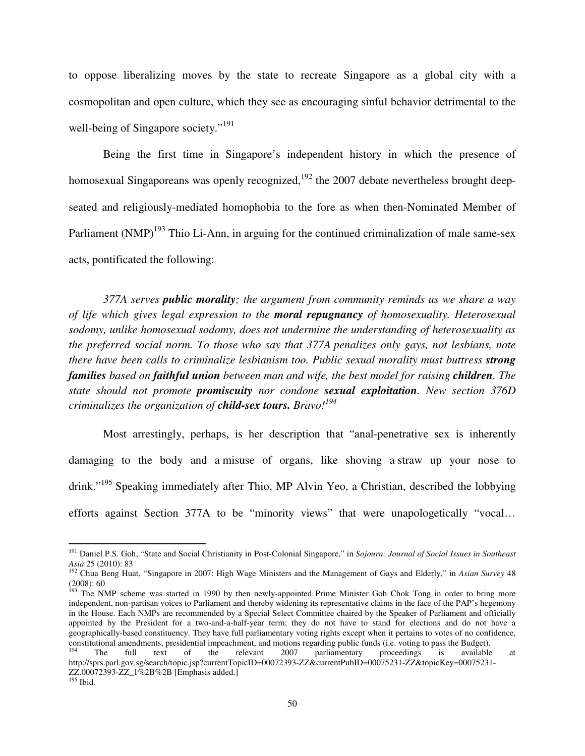to oppose liberalizing moves by the state to recreate Singapore as a global city with a cosmopolitan and open culture, which they see as encouraging sinful behavior detrimental to the well-being of Singapore society."<sup>191</sup>

Being the first time in Singapore's independent history in which the presence of homosexual Singaporeans was openly recognized, $192$  the 2007 debate nevertheless brought deepseated and religiously-mediated homophobia to the fore as when then-Nominated Member of Parliament  $(NMP)^{193}$  Thio Li-Ann, in arguing for the continued criminalization of male same-sex acts, pontificated the following:

*377A serves public morality; the argument from community reminds us we share a way of life which gives legal expression to the moral repugnancy of homosexuality. Heterosexual sodomy, unlike homosexual sodomy, does not undermine the understanding of heterosexuality as the preferred social norm. To those who say that 377A penalizes only gays, not lesbians, note there have been calls to criminalize lesbianism too. Public sexual morality must buttress strong families based on faithful union between man and wife, the best model for raising children. The state should not promote promiscuity nor condone sexual exploitation. New section 376D criminalizes the organization of child-sex tours. Bravo!<sup>194</sup>*

Most arrestingly, perhaps, is her description that "anal-penetrative sex is inherently damaging to the body and a misuse of organs, like shoving a straw up your nose to drink."<sup>195</sup> Speaking immediately after Thio, MP Alvin Yeo, a Christian, described the lobbying efforts against Section 377A to be "minority views" that were unapologetically "vocal…

<sup>191</sup> Daniel P.S. Goh, "State and Social Christianity in Post-Colonial Singapore," in *Sojourn: Journal of Social Issues in Southeast Asia* 25 (2010): 83

<sup>192</sup> Chua Beng Huat, "Singapore in 2007: High Wage Ministers and the Management of Gays and Elderly," in *Asian Survey* 48 (2008): 60

<sup>&</sup>lt;sup>193</sup> The NMP scheme was started in 1990 by then newly-appointed Prime Minister Goh Chok Tong in order to bring more independent, non-partisan voices to Parliament and thereby widening its representative claims in the face of the PAP's hegemony in the House. Each NMPs are recommended by a Special Select Committee chaired by the Speaker of Parliament and officially appointed by the President for a two-and-a-half-year term; they do not have to stand for elections and do not have a geographically-based constituency. They have full parliamentary voting rights except when it pertains to votes of no confidence, constitutional amendments, presidential impeachment, and motions regarding public funds (i.e. voting to pass the Budget).

<sup>&</sup>lt;sup>194</sup> The full text of the relevant 2007 parliamentary proceedings is available at http://sprs.parl.gov.sg/search/topic.jsp?currentTopicID=00072393-ZZ&currentPubID=00075231-ZZ&topicKey=00075231-ZZ.00072393-ZZ\_1%2B%2B [Emphasis added.]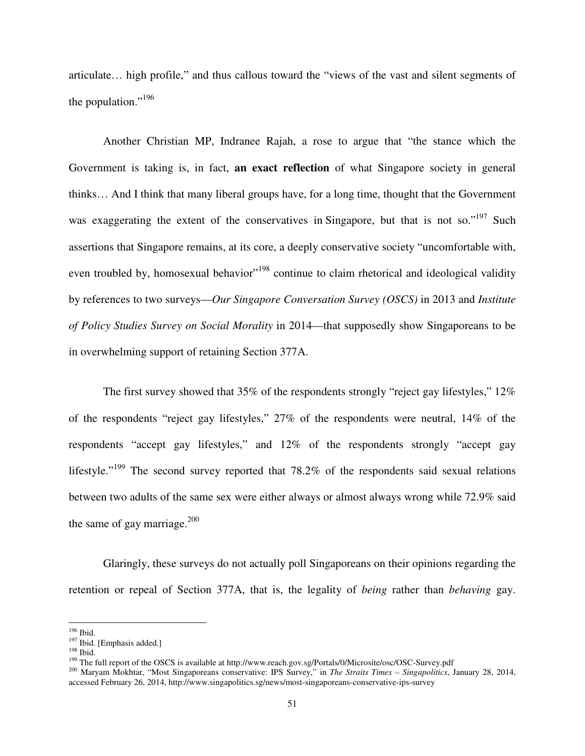articulate… high profile," and thus callous toward the "views of the vast and silent segments of the population."<sup>196</sup>

Another Christian MP, Indranee Rajah, a rose to argue that "the stance which the Government is taking is, in fact, **an exact reflection** of what Singapore society in general thinks… And I think that many liberal groups have, for a long time, thought that the Government was exaggerating the extent of the conservatives in Singapore, but that is not so."<sup>197</sup> Such assertions that Singapore remains, at its core, a deeply conservative society "uncomfortable with, even troubled by, homosexual behavior<sup>198</sup> continue to claim rhetorical and ideological validity by references to two surveys—*Our Singapore Conversation Survey (OSCS)* in 2013 and *Institute of Policy Studies Survey on Social Morality* in 2014—that supposedly show Singaporeans to be in overwhelming support of retaining Section 377A.

The first survey showed that 35% of the respondents strongly "reject gay lifestyles," 12% of the respondents "reject gay lifestyles," 27% of the respondents were neutral, 14% of the respondents "accept gay lifestyles," and 12% of the respondents strongly "accept gay lifestyle."<sup>199</sup> The second survey reported that  $78.2\%$  of the respondents said sexual relations between two adults of the same sex were either always or almost always wrong while 72.9% said the same of gay marriage. $200$ 

Glaringly, these surveys do not actually poll Singaporeans on their opinions regarding the retention or repeal of Section 377A, that is, the legality of *being* rather than *behaving* gay.

<sup>196</sup> Ibid.

<sup>&</sup>lt;sup>197</sup> Ibid. [Emphasis added.]

<sup>198</sup> Ibid.

<sup>&</sup>lt;sup>199</sup> The full report of the OSCS is available at http://www.reach.gov.sg/Portals/0/Microsite/osc/OSC-Survey.pdf

<sup>200</sup> Maryam Mokhtar, "Most Singaporeans conservative: IPS Survey," in *The Straits Times – Singapolitics*, January 28, 2014, accessed February 26, 2014, http://www.singapolitics.sg/news/most-singaporeans-conservative-ips-survey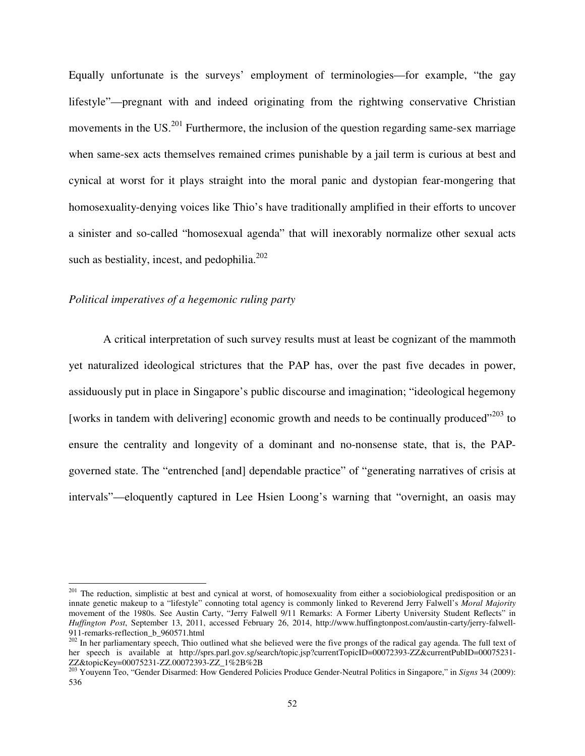Equally unfortunate is the surveys' employment of terminologies—for example, "the gay lifestyle"—pregnant with and indeed originating from the rightwing conservative Christian movements in the  $US^{201}$  Furthermore, the inclusion of the question regarding same-sex marriage when same-sex acts themselves remained crimes punishable by a jail term is curious at best and cynical at worst for it plays straight into the moral panic and dystopian fear-mongering that homosexuality-denying voices like Thio's have traditionally amplified in their efforts to uncover a sinister and so-called "homosexual agenda" that will inexorably normalize other sexual acts such as bestiality, incest, and pedophilia. $202$ 

# *Political imperatives of a hegemonic ruling party*

l

A critical interpretation of such survey results must at least be cognizant of the mammoth yet naturalized ideological strictures that the PAP has, over the past five decades in power, assiduously put in place in Singapore's public discourse and imagination; "ideological hegemony [works in tandem with delivering] economic growth and needs to be continually produced $v^{203}$  to ensure the centrality and longevity of a dominant and no-nonsense state, that is, the PAPgoverned state. The "entrenched [and] dependable practice" of "generating narratives of crisis at intervals"—eloquently captured in Lee Hsien Loong's warning that "overnight, an oasis may

<sup>&</sup>lt;sup>201</sup> The reduction, simplistic at best and cynical at worst, of homosexuality from either a sociobiological predisposition or an innate genetic makeup to a "lifestyle" connoting total agency is commonly linked to Reverend Jerry Falwell's *Moral Majority*  movement of the 1980s. See Austin Carty, "Jerry Falwell 9/11 Remarks: A Former Liberty University Student Reflects" in *Huffington Post*, September 13, 2011, accessed February 26, 2014, http://www.huffingtonpost.com/austin-carty/jerry-falwell-911-remarks-reflection\_b\_960571.html

 $202$  In her parliamentary speech, Thio outlined what she believed were the five prongs of the radical gay agenda. The full text of her speech is available at http://sprs.parl.gov.sg/search/topic.jsp?currentTopicID=00072393-ZZ&currentPubID=00075231-ZZ&topicKey=00075231-ZZ.00072393-ZZ\_1%2B%2B

<sup>203</sup> Youyenn Teo, "Gender Disarmed: How Gendered Policies Produce Gender-Neutral Politics in Singapore," in *Signs* 34 (2009): 536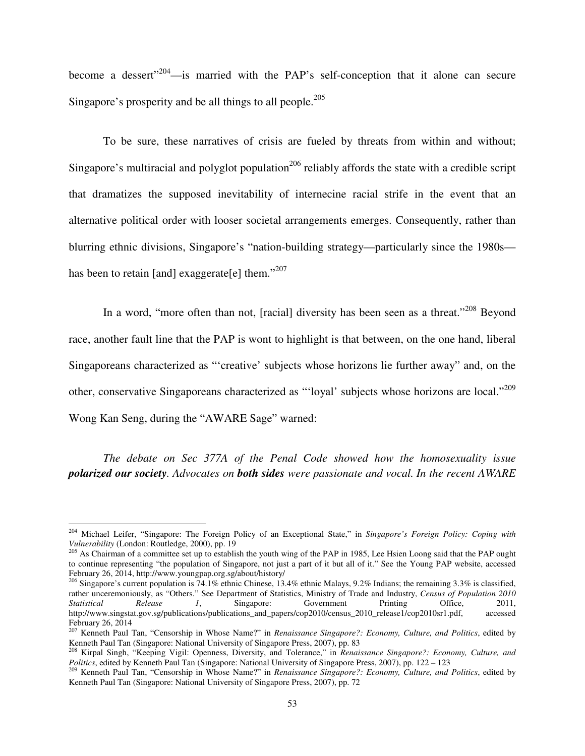become a dessert<sup>"204</sup>—is married with the PAP's self-conception that it alone can secure Singapore's prosperity and be all things to all people.<sup>205</sup>

To be sure, these narratives of crisis are fueled by threats from within and without; Singapore's multiracial and polyglot population<sup>206</sup> reliably affords the state with a credible script that dramatizes the supposed inevitability of internecine racial strife in the event that an alternative political order with looser societal arrangements emerges. Consequently, rather than blurring ethnic divisions, Singapore's "nation-building strategy—particularly since the 1980s has been to retain [and] exaggerate[e] them."<sup>207</sup>

In a word, "more often than not, [racial] diversity has been seen as a threat."<sup>208</sup> Beyond race, another fault line that the PAP is wont to highlight is that between, on the one hand, liberal Singaporeans characterized as "'creative' subjects whose horizons lie further away" and, on the other, conservative Singaporeans characterized as "'loyal' subjects whose horizons are local."<sup>209</sup> Wong Kan Seng, during the "AWARE Sage" warned:

*The debate on Sec 377A of the Penal Code showed how the homosexuality issue polarized our society. Advocates on both sides were passionate and vocal. In the recent AWARE* 

<sup>204</sup> Michael Leifer, "Singapore: The Foreign Policy of an Exceptional State," in *Singapore's Foreign Policy: Coping with Vulnerability* (London: Routledge, 2000), pp. 19

<sup>&</sup>lt;sup>205</sup> As Chairman of a committee set up to establish the youth wing of the PAP in 1985, Lee Hsien Loong said that the PAP ought to continue representing "the population of Singapore, not just a part of it but all of it." See the Young PAP website, accessed February 26, 2014, http://www.youngpap.org.sg/about/history/

<sup>&</sup>lt;sup>206</sup> Singapore's current population is  $74.1\%$  ethnic Chinese, 13.4% ethnic Malays, 9.2% Indians; the remaining 3.3% is classified, rather unceremoniously, as "Others." See Department of Statistics, Ministry of Trade and Industry, *Census of Population 2010 Statistical Release 1*, Singapore: Government Printing Office, 2011, http://www.singstat.gov.sg/publications/publications\_and\_papers/cop2010/census\_2010\_release1/cop2010sr1.pdf, accessed February 26, 2014

<sup>207</sup> Kenneth Paul Tan, "Censorship in Whose Name?" in *Renaissance Singapore?: Economy, Culture, and Politics*, edited by Kenneth Paul Tan (Singapore: National University of Singapore Press, 2007), pp. 83<br><sup>208</sup> Kirnal Singh, "Vessilin M", C

<sup>208</sup> Kirpal Singh, "Keeping Vigil: Openness, Diversity, and Tolerance," in *Renaissance Singapore?: Economy, Culture, and Politics*, edited by Kenneth Paul Tan (Singapore: National University of Singapore Press, 2007), pp. 122 – 123

<sup>209</sup> Kenneth Paul Tan, "Censorship in Whose Name?" in *Renaissance Singapore?: Economy, Culture, and Politics*, edited by Kenneth Paul Tan (Singapore: National University of Singapore Press, 2007), pp. 72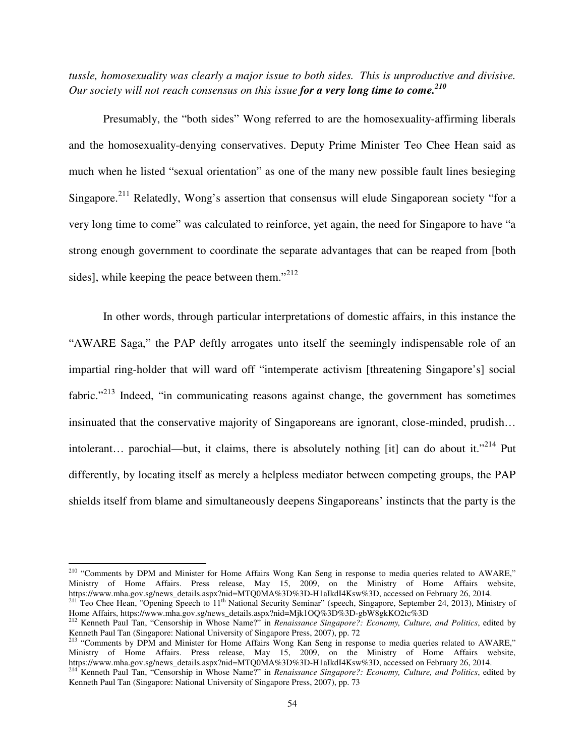*tussle, homosexuality was clearly a major issue to both sides. This is unproductive and divisive. Our society will not reach consensus on this issue for a very long time to come.<sup>210</sup>*

Presumably, the "both sides" Wong referred to are the homosexuality-affirming liberals and the homosexuality-denying conservatives. Deputy Prime Minister Teo Chee Hean said as much when he listed "sexual orientation" as one of the many new possible fault lines besieging Singapore.<sup>211</sup> Relatedly, Wong's assertion that consensus will elude Singaporean society "for a very long time to come" was calculated to reinforce, yet again, the need for Singapore to have "a strong enough government to coordinate the separate advantages that can be reaped from [both sides], while keeping the peace between them. $"^{212}$ 

In other words, through particular interpretations of domestic affairs, in this instance the "AWARE Saga," the PAP deftly arrogates unto itself the seemingly indispensable role of an impartial ring-holder that will ward off "intemperate activism [threatening Singapore's] social fabric."<sup>213</sup> Indeed, "in communicating reasons against change, the government has sometimes insinuated that the conservative majority of Singaporeans are ignorant, close-minded, prudish… intolerant… parochial—but, it claims, there is absolutely nothing [it] can do about it."<sup>214</sup> Put differently, by locating itself as merely a helpless mediator between competing groups, the PAP shields itself from blame and simultaneously deepens Singaporeans' instincts that the party is the

<sup>&</sup>lt;sup>210</sup> "Comments by DPM and Minister for Home Affairs Wong Kan Seng in response to media queries related to AWARE," Ministry of Home Affairs. Press release, May 15, 2009, on the Ministry of Home Affairs website, https://www.mha.gov.sg/news\_details.aspx?nid=MTQ0MA%3D%3D-H1aIkdI4Ksw%3D, accessed on February 26, 2014.

 $^{211}$  Teo Chee Hean, "Opening Speech to  $11<sup>th</sup>$  National Security Seminar" (speech, Singapore, September 24, 2013), Ministry of Home Affairs, https://www.mha.gov.sg/news\_details.aspx?nid=Mjk1OQ%3D%3D-gbW8gkKO2tc%3D

<sup>212</sup> Kenneth Paul Tan, "Censorship in Whose Name?" in *Renaissance Singapore?: Economy, Culture, and Politics*, edited by Kenneth Paul Tan (Singapore: National University of Singapore Press, 2007), pp. 72

<sup>&</sup>lt;sup>213</sup> "Comments by DPM and Minister for Home Affairs Wong Kan Seng in response to media queries related to AWARE," Ministry of Home Affairs. Press release, May 15, 2009, on the Ministry of Home Affairs website, https://www.mha.gov.sg/news\_details.aspx?nid=MTQ0MA%3D%3D-H1aIkdI4Ksw%3D, accessed on February 26, 2014.

<sup>214</sup> Kenneth Paul Tan, "Censorship in Whose Name?" in *Renaissance Singapore?: Economy, Culture, and Politics*, edited by Kenneth Paul Tan (Singapore: National University of Singapore Press, 2007), pp. 73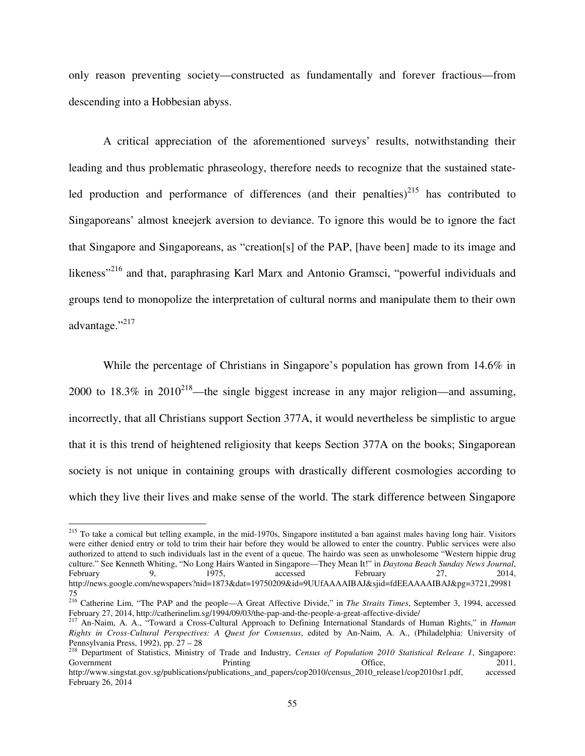only reason preventing society—constructed as fundamentally and forever fractious—from descending into a Hobbesian abyss.

A critical appreciation of the aforementioned surveys' results, notwithstanding their leading and thus problematic phraseology, therefore needs to recognize that the sustained stateled production and performance of differences (and their penalties) $^{215}$  has contributed to Singaporeans' almost kneejerk aversion to deviance. To ignore this would be to ignore the fact that Singapore and Singaporeans, as "creation[s] of the PAP, [have been] made to its image and likeness"<sup>216</sup> and that, paraphrasing Karl Marx and Antonio Gramsci, "powerful individuals and groups tend to monopolize the interpretation of cultural norms and manipulate them to their own advantage."217

While the percentage of Christians in Singapore's population has grown from 14.6% in 2000 to 18.3% in 2010<sup>218</sup>—the single biggest increase in any major religion—and assuming, incorrectly, that all Christians support Section 377A, it would nevertheless be simplistic to argue that it is this trend of heightened religiosity that keeps Section 377A on the books; Singaporean society is not unique in containing groups with drastically different cosmologies according to which they live their lives and make sense of the world. The stark difference between Singapore

<sup>&</sup>lt;sup>215</sup> To take a comical but telling example, in the mid-1970s, Singapore instituted a ban against males having long hair. Visitors were either denied entry or told to trim their hair before they would be allowed to enter the country. Public services were also authorized to attend to such individuals last in the event of a queue. The hairdo was seen as unwholesome "Western hippie drug culture." See Kenneth Whiting, "No Long Hairs Wanted in Singapore—They Mean It!" in *Daytona Beach Sunday News Journal*, February 9, 1975, accessed February 27, 2014, http://news.google.com/newspapers?nid=1873&dat=19750209&id=9UUfAAAAIBAJ&sjid=fdEEAAAAIBAJ&pg=3721,29981 75

<sup>216</sup> Catherine Lim, "The PAP and the people—A Great Affective Divide," in *The Straits Times*, September 3, 1994, accessed February 27, 2014, http://catherinelim.sg/1994/09/03/the-pap-and-the-people-a-great-affective-divide/

<sup>217</sup> An-Naim, A. A., "Toward a Cross-Cultural Approach to Defining International Standards of Human Rights," in *Human Rights in Cross-Cultural Perspectives: A Quest for Consensus*, edited by An-Naim, A. A., (Philadelphia: University of Pennsylvania Press, 1992), pp. 27 – 28

<sup>218</sup> Department of Statistics, Ministry of Trade and Industry, *Census of Population 2010 Statistical Release 1*, Singapore: Government 2011, Printing Printing Christian Communication Communication Communication Communication Communication Communication Communication Communication Communication Communication Communication Communication Communica http://www.singstat.gov.sg/publications/publications\_and\_papers/cop2010/census\_2010\_release1/cop2010sr1.pdf, accessed

February 26, 2014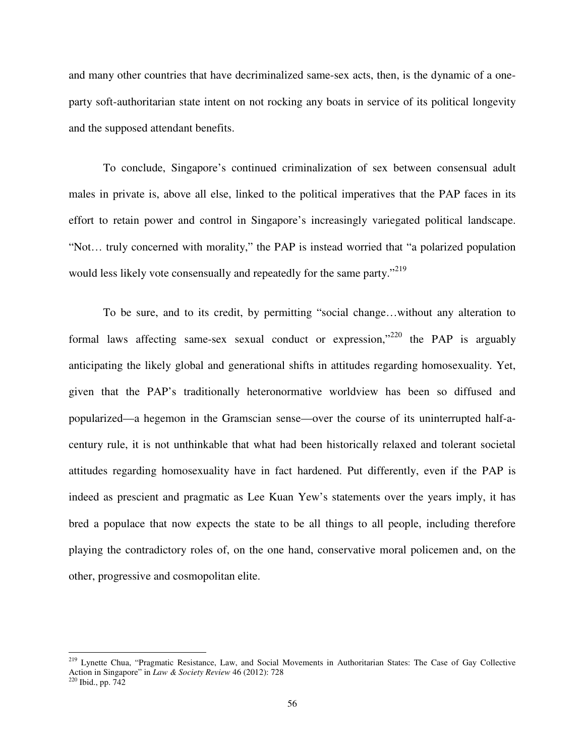and many other countries that have decriminalized same-sex acts, then, is the dynamic of a oneparty soft-authoritarian state intent on not rocking any boats in service of its political longevity and the supposed attendant benefits.

To conclude, Singapore's continued criminalization of sex between consensual adult males in private is, above all else, linked to the political imperatives that the PAP faces in its effort to retain power and control in Singapore's increasingly variegated political landscape. "Not… truly concerned with morality," the PAP is instead worried that "a polarized population would less likely vote consensually and repeatedly for the same party."<sup>219</sup>

To be sure, and to its credit, by permitting "social change…without any alteration to formal laws affecting same-sex sexual conduct or expression,"<sup>220</sup> the PAP is arguably anticipating the likely global and generational shifts in attitudes regarding homosexuality. Yet, given that the PAP's traditionally heteronormative worldview has been so diffused and popularized—a hegemon in the Gramscian sense—over the course of its uninterrupted half-acentury rule, it is not unthinkable that what had been historically relaxed and tolerant societal attitudes regarding homosexuality have in fact hardened. Put differently, even if the PAP is indeed as prescient and pragmatic as Lee Kuan Yew's statements over the years imply, it has bred a populace that now expects the state to be all things to all people, including therefore playing the contradictory roles of, on the one hand, conservative moral policemen and, on the other, progressive and cosmopolitan elite.

l

<sup>&</sup>lt;sup>219</sup> Lynette Chua, "Pragmatic Resistance, Law, and Social Movements in Authoritarian States: The Case of Gay Collective Action in Singapore" in *Law & Society Review* 46 (2012): 728

 $220$  Ibid., pp.  $742$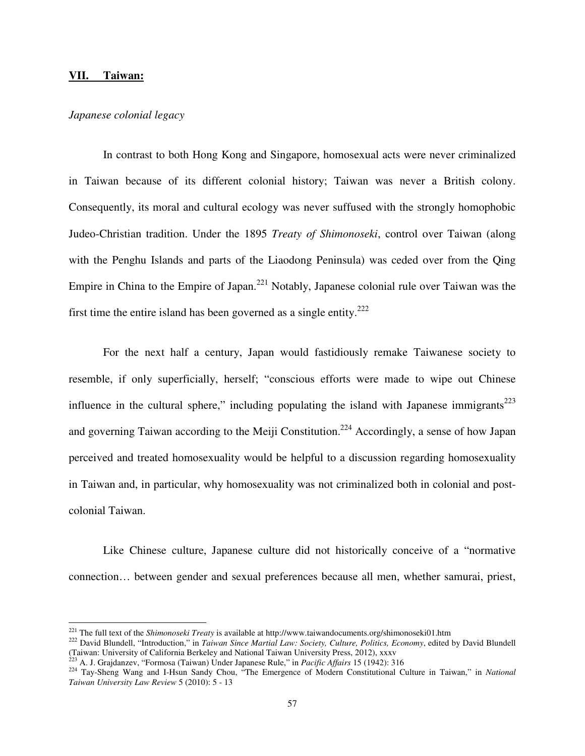#### **VII. Taiwan:**

 $\overline{a}$ 

# *Japanese colonial legacy*

 In contrast to both Hong Kong and Singapore, homosexual acts were never criminalized in Taiwan because of its different colonial history; Taiwan was never a British colony. Consequently, its moral and cultural ecology was never suffused with the strongly homophobic Judeo-Christian tradition. Under the 1895 *Treaty of Shimonoseki*, control over Taiwan (along with the Penghu Islands and parts of the Liaodong Peninsula) was ceded over from the Qing Empire in China to the Empire of Japan.<sup>221</sup> Notably, Japanese colonial rule over Taiwan was the first time the entire island has been governed as a single entity.<sup>222</sup>

For the next half a century, Japan would fastidiously remake Taiwanese society to resemble, if only superficially, herself; "conscious efforts were made to wipe out Chinese influence in the cultural sphere," including populating the island with Japanese immigrants<sup>223</sup> and governing Taiwan according to the Meiji Constitution.<sup>224</sup> Accordingly, a sense of how Japan perceived and treated homosexuality would be helpful to a discussion regarding homosexuality in Taiwan and, in particular, why homosexuality was not criminalized both in colonial and postcolonial Taiwan.

 Like Chinese culture, Japanese culture did not historically conceive of a "normative connection… between gender and sexual preferences because all men, whether samurai, priest,

<sup>221</sup> The full text of the *Shimonoseki Treaty* is available at http://www.taiwandocuments.org/shimonoseki01.htm

<sup>&</sup>lt;sup>222</sup> David Blundell, "Introduction," in *Taiwan Since Martial Law: Society, Culture, Politics, Economy*, edited by David Blundell (Taiwan: University of California Berkeley and National Taiwan University Press, 2012), xxxv<br>
<sup>223</sup> A. J. Graidonau: <sup>433</sup>

<sup>223</sup> A. J. Grajdanzev, "Formosa (Taiwan) Under Japanese Rule," in *Pacific Affairs* 15 (1942): 316

<sup>224</sup> Tay-Sheng Wang and I-Hsun Sandy Chou, "The Emergence of Modern Constitutional Culture in Taiwan," in *National Taiwan University Law Review* 5 (2010): 5 - 13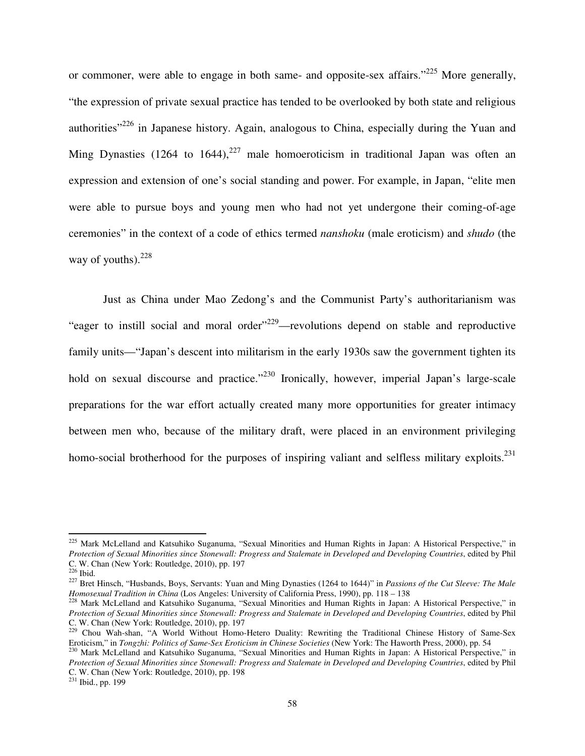or commoner, were able to engage in both same- and opposite-sex affairs."<sup>225</sup> More generally, "the expression of private sexual practice has tended to be overlooked by both state and religious authorities<sup> $226$ </sup> in Japanese history. Again, analogous to China, especially during the Yuan and Ming Dynasties (1264 to 1644),<sup>227</sup> male homoeroticism in traditional Japan was often an expression and extension of one's social standing and power. For example, in Japan, "elite men were able to pursue boys and young men who had not yet undergone their coming-of-age ceremonies" in the context of a code of ethics termed *nanshoku* (male eroticism) and *shudo* (the way of youths). $228$ 

 Just as China under Mao Zedong's and the Communist Party's authoritarianism was "eager to instill social and moral order"<sup>229</sup>—revolutions depend on stable and reproductive family units—"Japan's descent into militarism in the early 1930s saw the government tighten its hold on sexual discourse and practice."<sup>230</sup> Ironically, however, imperial Japan's large-scale preparations for the war effort actually created many more opportunities for greater intimacy between men who, because of the military draft, were placed in an environment privileging homo-social brotherhood for the purposes of inspiring valiant and selfless military exploits.<sup>231</sup>

l

<sup>&</sup>lt;sup>225</sup> Mark McLelland and Katsuhiko Suganuma, "Sexual Minorities and Human Rights in Japan: A Historical Perspective," in *Protection of Sexual Minorities since Stonewall: Progress and Stalemate in Developed and Developing Countries*, edited by Phil C. W. Chan (New York: Routledge, 2010), pp. 197

 $226$  Ibid.

<sup>227</sup> Bret Hinsch, "Husbands, Boys, Servants: Yuan and Ming Dynasties (1264 to 1644)" in *Passions of the Cut Sleeve: The Male Homosexual Tradition in China* (Los Angeles: University of California Press, 1990), pp. 118 – 138

<sup>&</sup>lt;sup>228</sup> Mark McLelland and Katsuhiko Suganuma, "Sexual Minorities and Human Rights in Japan: A Historical Perspective," in *Protection of Sexual Minorities since Stonewall: Progress and Stalemate in Developed and Developing Countries*, edited by Phil C. W. Chan (New York: Routledge, 2010), pp. 197

<sup>&</sup>lt;sup>229</sup> Chou Wah-shan, "A World Without Homo-Hetero Duality: Rewriting the Traditional Chinese History of Same-Sex Eroticism," in *Tongzhi: Politics of Same-Sex Eroticism in Chinese Societies* (New York: The Haworth Press, 2000), pp. 54

<sup>230</sup> Mark McLelland and Katsuhiko Suganuma, "Sexual Minorities and Human Rights in Japan: A Historical Perspective," in *Protection of Sexual Minorities since Stonewall: Progress and Stalemate in Developed and Developing Countries*, edited by Phil C. W. Chan (New York: Routledge, 2010), pp. 198

<sup>&</sup>lt;sup>231</sup> Ibid., pp. 199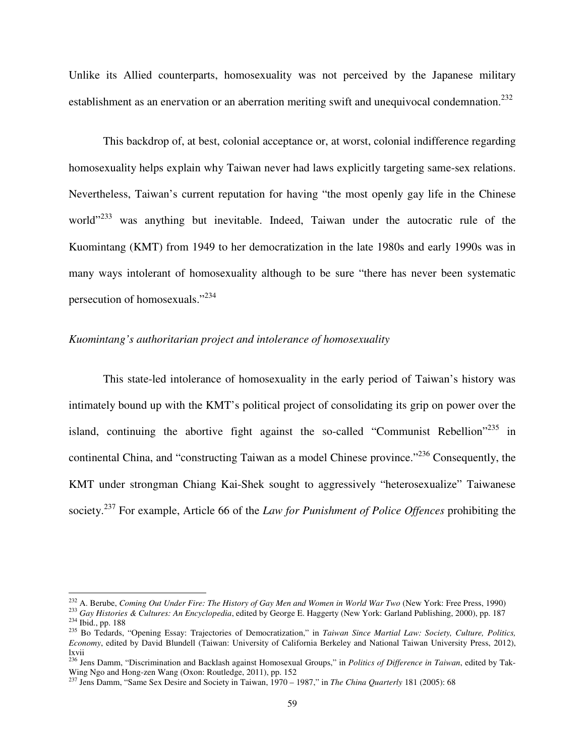Unlike its Allied counterparts, homosexuality was not perceived by the Japanese military establishment as an enervation or an aberration meriting swift and unequivocal condemnation.<sup>232</sup>

 This backdrop of, at best, colonial acceptance or, at worst, colonial indifference regarding homosexuality helps explain why Taiwan never had laws explicitly targeting same-sex relations. Nevertheless, Taiwan's current reputation for having "the most openly gay life in the Chinese world"<sup>233</sup> was anything but inevitable. Indeed, Taiwan under the autocratic rule of the Kuomintang (KMT) from 1949 to her democratization in the late 1980s and early 1990s was in many ways intolerant of homosexuality although to be sure "there has never been systematic persecution of homosexuals."<sup>234</sup>

# *Kuomintang's authoritarian project and intolerance of homosexuality*

 $\overline{a}$ 

 This state-led intolerance of homosexuality in the early period of Taiwan's history was intimately bound up with the KMT's political project of consolidating its grip on power over the island, continuing the abortive fight against the so-called "Communist Rebellion"<sup>235</sup> in continental China, and "constructing Taiwan as a model Chinese province."<sup>236</sup> Consequently, the KMT under strongman Chiang Kai-Shek sought to aggressively "heterosexualize" Taiwanese society.<sup>237</sup> For example, Article 66 of the *Law for Punishment of Police Offences* prohibiting the

<sup>232</sup> A. Berube, *Coming Out Under Fire: The History of Gay Men and Women in World War Two* (New York: Free Press, 1990)

<sup>233</sup> *Gay Histories & Cultures: An Encyclopedia*, edited by George E. Haggerty (New York: Garland Publishing, 2000), pp. 187 <sup>234</sup> Ibid., pp. 188

<sup>235</sup> Bo Tedards, "Opening Essay: Trajectories of Democratization," in *Taiwan Since Martial Law: Society, Culture, Politics, Economy*, edited by David Blundell (Taiwan: University of California Berkeley and National Taiwan University Press, 2012), lxvii

<sup>236</sup> Jens Damm, "Discrimination and Backlash against Homosexual Groups," in *Politics of Difference in Taiwan*, edited by Tak-Wing Ngo and Hong-zen Wang (Oxon: Routledge, 2011), pp. 152

<sup>237</sup> Jens Damm, "Same Sex Desire and Society in Taiwan, 1970 – 1987," in *The China Quarterly* 181 (2005): 68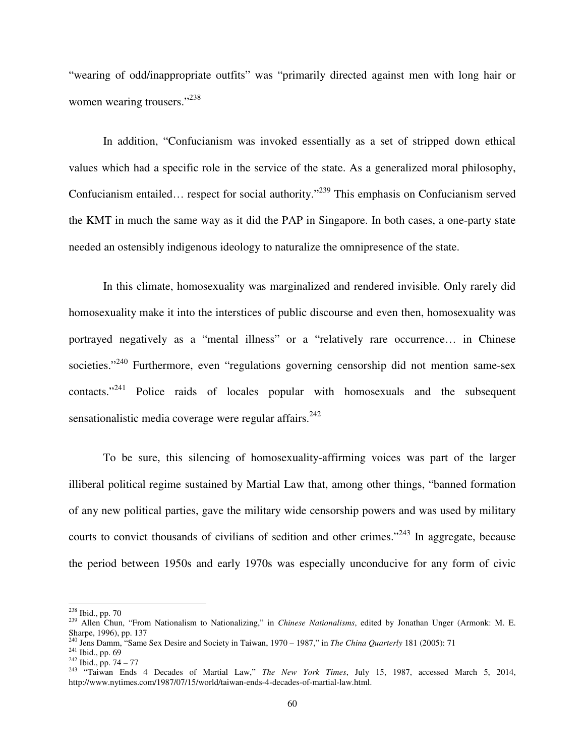"wearing of odd/inappropriate outfits" was "primarily directed against men with long hair or women wearing trousers."<sup>238</sup>

In addition, "Confucianism was invoked essentially as a set of stripped down ethical values which had a specific role in the service of the state. As a generalized moral philosophy, Confucianism entailed… respect for social authority."<sup>239</sup> This emphasis on Confucianism served the KMT in much the same way as it did the PAP in Singapore. In both cases, a one-party state needed an ostensibly indigenous ideology to naturalize the omnipresence of the state.

 In this climate, homosexuality was marginalized and rendered invisible. Only rarely did homosexuality make it into the interstices of public discourse and even then, homosexuality was portrayed negatively as a "mental illness" or a "relatively rare occurrence… in Chinese societies."<sup>240</sup> Furthermore, even "regulations governing censorship did not mention same-sex contacts."<sup>241</sup> Police raids of locales popular with homosexuals and the subsequent sensationalistic media coverage were regular affairs. $242$ 

To be sure, this silencing of homosexuality-affirming voices was part of the larger illiberal political regime sustained by Martial Law that, among other things, "banned formation of any new political parties, gave the military wide censorship powers and was used by military courts to convict thousands of civilians of sedition and other crimes."<sup>243</sup> In aggregate, because the period between 1950s and early 1970s was especially unconducive for any form of civic

l

<sup>238</sup> Ibid., pp. 70

<sup>239</sup> Allen Chun, "From Nationalism to Nationalizing," in *Chinese Nationalisms*, edited by Jonathan Unger (Armonk: M. E. Sharpe, 1996), pp. 137

<sup>240</sup> Jens Damm, "Same Sex Desire and Society in Taiwan, 1970 – 1987," in *The China Quarterly* 181 (2005): 71

<sup>241</sup> Ibid., pp. 69

 $242$  Ibid., pp. 74 – 77

<sup>243</sup> "Taiwan Ends 4 Decades of Martial Law," *The New York Times*, July 15, 1987, accessed March 5, 2014, http://www.nytimes.com/1987/07/15/world/taiwan-ends-4-decades-of-martial-law.html.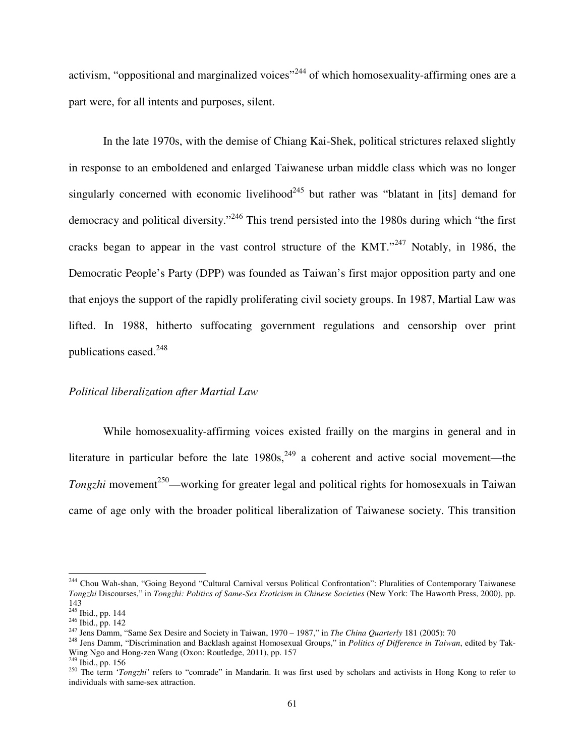activism, "oppositional and marginalized voices"<sup>244</sup> of which homosexuality-affirming ones are a part were, for all intents and purposes, silent.

 In the late 1970s, with the demise of Chiang Kai-Shek, political strictures relaxed slightly in response to an emboldened and enlarged Taiwanese urban middle class which was no longer singularly concerned with economic livelihood<sup>245</sup> but rather was "blatant in [its] demand for democracy and political diversity."<sup>246</sup> This trend persisted into the 1980s during which "the first cracks began to appear in the vast control structure of the  $KMT$ .<sup> $247$ </sup> Notably, in 1986, the Democratic People's Party (DPP) was founded as Taiwan's first major opposition party and one that enjoys the support of the rapidly proliferating civil society groups. In 1987, Martial Law was lifted. In 1988, hitherto suffocating government regulations and censorship over print publications eased.<sup>248</sup>

### *Political liberalization after Martial Law*

 While homosexuality-affirming voices existed frailly on the margins in general and in literature in particular before the late  $1980s$ ,  $249$  a coherent and active social movement—the *Tongzhi* movement<sup>250</sup>—working for greater legal and political rights for homosexuals in Taiwan came of age only with the broader political liberalization of Taiwanese society. This transition

<sup>&</sup>lt;sup>244</sup> Chou Wah-shan, "Going Beyond "Cultural Carnival versus Political Confrontation": Pluralities of Contemporary Taiwanese *Tongzhi* Discourses," in *Tongzhi: Politics of Same-Sex Eroticism in Chinese Societies* (New York: The Haworth Press, 2000), pp. 143

<sup>&</sup>lt;sup>245</sup> Ibid., pp. 144

<sup>246</sup> Ibid., pp. 142

<sup>247</sup> Jens Damm, "Same Sex Desire and Society in Taiwan, 1970 – 1987," in *The China Quarterly* 181 (2005): 70

<sup>248</sup> Jens Damm, "Discrimination and Backlash against Homosexual Groups," in *Politics of Difference in Taiwan*, edited by Tak-Wing Ngo and Hong-zen Wang (Oxon: Routledge, 2011), pp. 157

 $^{249}$  Ibid., pp. 156

<sup>&</sup>lt;sup>250</sup> The term '*Tongzhi'* refers to "comrade" in Mandarin. It was first used by scholars and activists in Hong Kong to refer to individuals with same-sex attraction.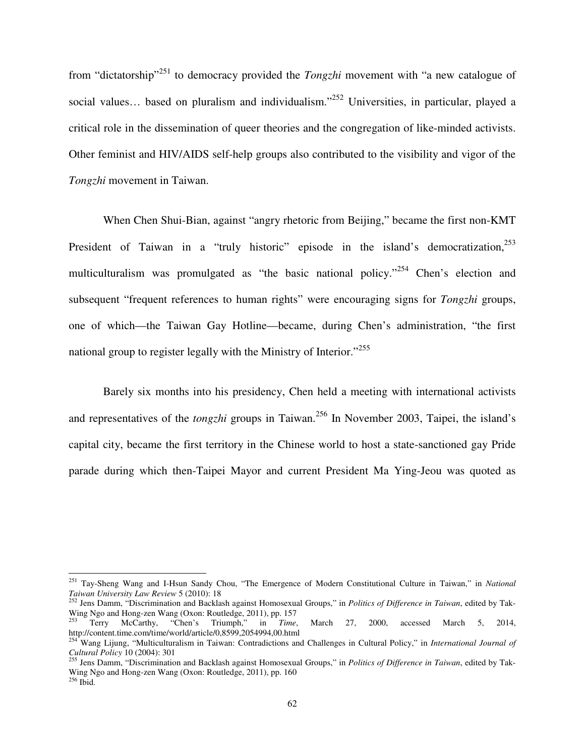from "dictatorship"<sup>251</sup> to democracy provided the *Tongzhi* movement with "a new catalogue of social values... based on pluralism and individualism."<sup>252</sup> Universities, in particular, played a critical role in the dissemination of queer theories and the congregation of like-minded activists. Other feminist and HIV/AIDS self-help groups also contributed to the visibility and vigor of the *Tongzhi* movement in Taiwan.

 When Chen Shui-Bian, against "angry rhetoric from Beijing," became the first non-KMT President of Taiwan in a "truly historic" episode in the island's democratization, $^{253}$ multiculturalism was promulgated as "the basic national policy."<sup>254</sup> Chen's election and subsequent "frequent references to human rights" were encouraging signs for *Tongzhi* groups, one of which—the Taiwan Gay Hotline—became, during Chen's administration, "the first national group to register legally with the Ministry of Interior."<sup>255</sup>

Barely six months into his presidency, Chen held a meeting with international activists and representatives of the *tongzhi* groups in Taiwan.<sup>256</sup> In November 2003, Taipei, the island's capital city, became the first territory in the Chinese world to host a state-sanctioned gay Pride parade during which then-Taipei Mayor and current President Ma Ying-Jeou was quoted as

<sup>251</sup> Tay-Sheng Wang and I-Hsun Sandy Chou, "The Emergence of Modern Constitutional Culture in Taiwan," in *National Taiwan University Law Review* 5 (2010): 18

<sup>252</sup> Jens Damm, "Discrimination and Backlash against Homosexual Groups," in *Politics of Difference in Taiwan*, edited by Tak-Wing Ngo and Hong-zen Wang (Oxon: Routledge, 2011), pp. 157<br> $^{253}$  Terry McCerthy "Chan's Triumph", in Time

<sup>253</sup> Terry McCarthy, "Chen's Triumph," in *Time*, March 27, 2000, accessed March 5, 2014, http://content.time.com/time/world/article/0,8599,2054994,00.html

<sup>254</sup> Wang Lijung, "Multiculturalism in Taiwan: Contradictions and Challenges in Cultural Policy," in *International Journal of Cultural Policy* 10 (2004): 301

<sup>255</sup> Jens Damm, "Discrimination and Backlash against Homosexual Groups," in *Politics of Difference in Taiwan*, edited by Tak-Wing Ngo and Hong-zen Wang (Oxon: Routledge, 2011), pp. 160  $256$  Ibid.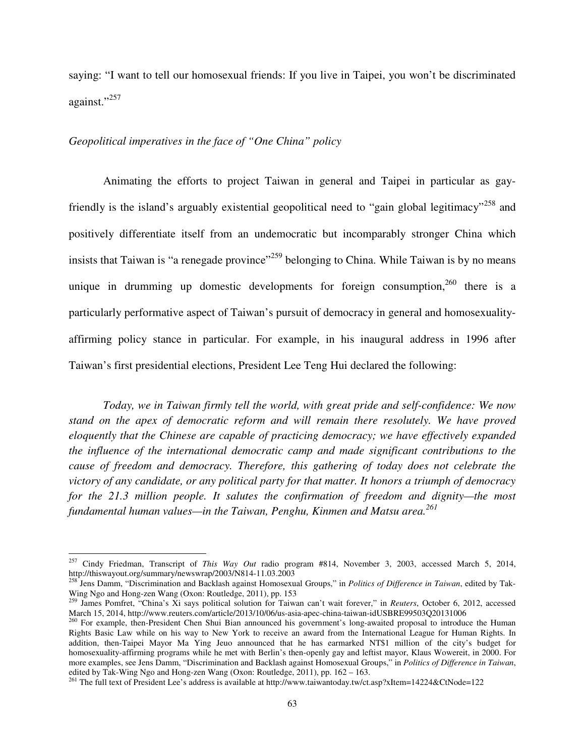saying: "I want to tell our homosexual friends: If you live in Taipei, you won't be discriminated against."<sup>257</sup>

#### *Geopolitical imperatives in the face of "One China" policy*

l

 Animating the efforts to project Taiwan in general and Taipei in particular as gayfriendly is the island's arguably existential geopolitical need to "gain global legitimacy"<sup>258</sup> and positively differentiate itself from an undemocratic but incomparably stronger China which insists that Taiwan is "a renegade province"<sup>259</sup> belonging to China. While Taiwan is by no means unique in drumming up domestic developments for foreign consumption,  $260$  there is a particularly performative aspect of Taiwan's pursuit of democracy in general and homosexualityaffirming policy stance in particular. For example, in his inaugural address in 1996 after Taiwan's first presidential elections, President Lee Teng Hui declared the following:

*Today, we in Taiwan firmly tell the world, with great pride and self-confidence: We now stand on the apex of democratic reform and will remain there resolutely. We have proved eloquently that the Chinese are capable of practicing democracy; we have effectively expanded the influence of the international democratic camp and made significant contributions to the cause of freedom and democracy. Therefore, this gathering of today does not celebrate the victory of any candidate, or any political party for that matter. It honors a triumph of democracy for the 21.3 million people. It salutes the confirmation of freedom and dignity—the most fundamental human values—in the Taiwan, Penghu, Kinmen and Matsu area.<sup>261</sup>*

<sup>257</sup> Cindy Friedman, Transcript of *This Way Out* radio program #814, November 3, 2003, accessed March 5, 2014, http://thiswayout.org/summary/newswrap/2003/N814-11.03.2003

<sup>258</sup> Jens Damm, "Discrimination and Backlash against Homosexual Groups," in *Politics of Difference in Taiwan*, edited by Tak-Wing Ngo and Hong-zen Wang (Oxon: Routledge, 2011), pp. 153

<sup>259</sup> James Pomfret, "China's Xi says political solution for Taiwan can't wait forever," in *Reuters*, October 6, 2012, accessed March 15, 2014, http://www.reuters.com/article/2013/10/06/us-asia-apec-china-taiwan-idUSBRE99503Q20131006

<sup>&</sup>lt;sup>260</sup> For example, then-President Chen Shui Bian announced his government's long-awaited proposal to introduce the Human Rights Basic Law while on his way to New York to receive an award from the International League for Human Rights. In addition, then-Taipei Mayor Ma Ying Jeuo announced that he has earmarked NT\$1 million of the city's budget for homosexuality-affirming programs while he met with Berlin's then-openly gay and leftist mayor, Klaus Wowereit, in 2000. For more examples, see Jens Damm, "Discrimination and Backlash against Homosexual Groups," in *Politics of Difference in Taiwan*, edited by Tak-Wing Ngo and Hong-zen Wang (Oxon: Routledge, 2011), pp. 162 – 163.

<sup>&</sup>lt;sup>261</sup> The full text of President Lee's address is available at http://www.taiwantoday.tw/ct.asp?xItem=14224&CtNode=122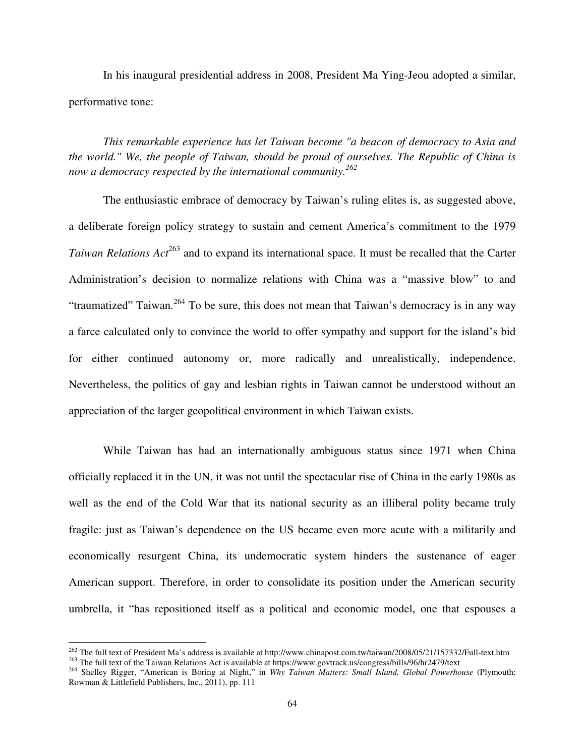In his inaugural presidential address in 2008, President Ma Ying-Jeou adopted a similar, performative tone:

*This remarkable experience has let Taiwan become "a beacon of democracy to Asia and the world." We, the people of Taiwan, should be proud of ourselves. The Republic of China is now a democracy respected by the international community.<sup>262</sup>* 

 The enthusiastic embrace of democracy by Taiwan's ruling elites is, as suggested above, a deliberate foreign policy strategy to sustain and cement America's commitment to the 1979 *Taiwan Relations Act*<sup>263</sup> and to expand its international space. It must be recalled that the Carter Administration's decision to normalize relations with China was a "massive blow" to and "traumatized" Taiwan.<sup>264</sup> To be sure, this does not mean that Taiwan's democracy is in any way a farce calculated only to convince the world to offer sympathy and support for the island's bid for either continued autonomy or, more radically and unrealistically, independence. Nevertheless, the politics of gay and lesbian rights in Taiwan cannot be understood without an appreciation of the larger geopolitical environment in which Taiwan exists.

While Taiwan has had an internationally ambiguous status since 1971 when China officially replaced it in the UN, it was not until the spectacular rise of China in the early 1980s as well as the end of the Cold War that its national security as an illiberal polity became truly fragile: just as Taiwan's dependence on the US became even more acute with a militarily and economically resurgent China, its undemocratic system hinders the sustenance of eager American support. Therefore, in order to consolidate its position under the American security umbrella, it "has repositioned itself as a political and economic model, one that espouses a

<sup>&</sup>lt;sup>262</sup> The full text of President Ma's address is available at http://www.chinapost.com.tw/taiwan/2008/05/21/157332/Full-text.htm <sup>263</sup> The full text of the Taiwan Relations Act is available at https://www.govtrack.us/congress/bills/96/hr2479/text

<sup>264</sup> Shelley Rigger, "American is Boring at Night," in *Why Taiwan Matters: Small Island, Global Powerhouse* (Plymouth: Rowman & Littlefield Publishers, Inc., 2011), pp. 111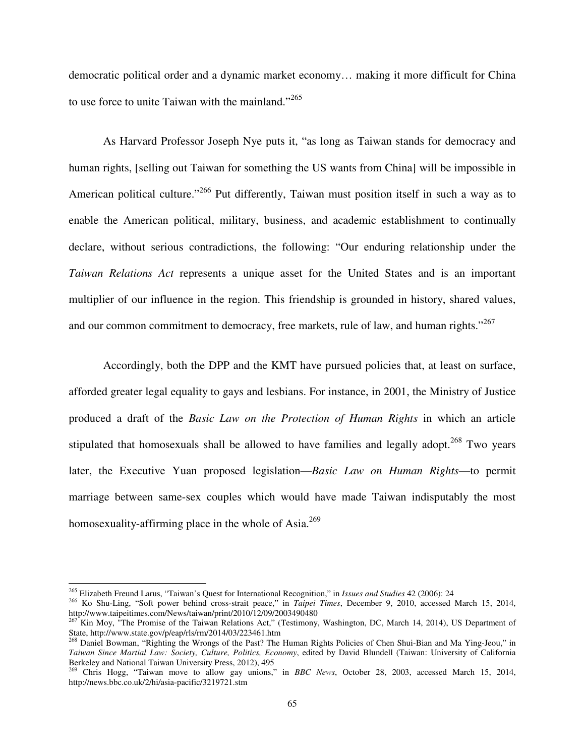democratic political order and a dynamic market economy… making it more difficult for China to use force to unite Taiwan with the mainland."<sup>265</sup>

As Harvard Professor Joseph Nye puts it, "as long as Taiwan stands for democracy and human rights, [selling out Taiwan for something the US wants from China] will be impossible in American political culture."<sup>266</sup> Put differently, Taiwan must position itself in such a way as to enable the American political, military, business, and academic establishment to continually declare, without serious contradictions, the following: "Our enduring relationship under the *Taiwan Relations Act* represents a unique asset for the United States and is an important multiplier of our influence in the region. This friendship is grounded in history, shared values, and our common commitment to democracy, free markets, rule of law, and human rights."<sup>267</sup>

Accordingly, both the DPP and the KMT have pursued policies that, at least on surface, afforded greater legal equality to gays and lesbians. For instance, in 2001, the Ministry of Justice produced a draft of the *Basic Law on the Protection of Human Rights* in which an article stipulated that homosexuals shall be allowed to have families and legally adopt.<sup>268</sup> Two years later, the Executive Yuan proposed legislation—*Basic Law on Human Rights*—to permit marriage between same-sex couples which would have made Taiwan indisputably the most homosexuality-affirming place in the whole of Asia.<sup>269</sup>

l

<sup>265</sup> Elizabeth Freund Larus, "Taiwan's Quest for International Recognition," in *Issues and Studies* 42 (2006): 24

<sup>266</sup> Ko Shu-Ling, "Soft power behind cross-strait peace," in *Taipei Times*, December 9, 2010, accessed March 15, 2014, http://www.taipeitimes.com/News/taiwan/print/2010/12/09/2003490480

<sup>&</sup>lt;sup>267</sup> Kin Moy, "The Promise of the Taiwan Relations Act," (Testimony, Washington, DC, March 14, 2014), US Department of State, http://www.state.gov/p/eap/rls/rm/2014/03/223461.htm

<sup>&</sup>lt;sup>268</sup> Daniel Bowman, "Righting the Wrongs of the Past? The Human Rights Policies of Chen Shui-Bian and Ma Ying-Jeou," in *Taiwan Since Martial Law: Society, Culture, Politics, Economy*, edited by David Blundell (Taiwan: University of California Berkeley and National Taiwan University Press, 2012), 495

<sup>269</sup> Chris Hogg, "Taiwan move to allow gay unions," in *BBC News*, October 28, 2003, accessed March 15, 2014, http://news.bbc.co.uk/2/hi/asia-pacific/3219721.stm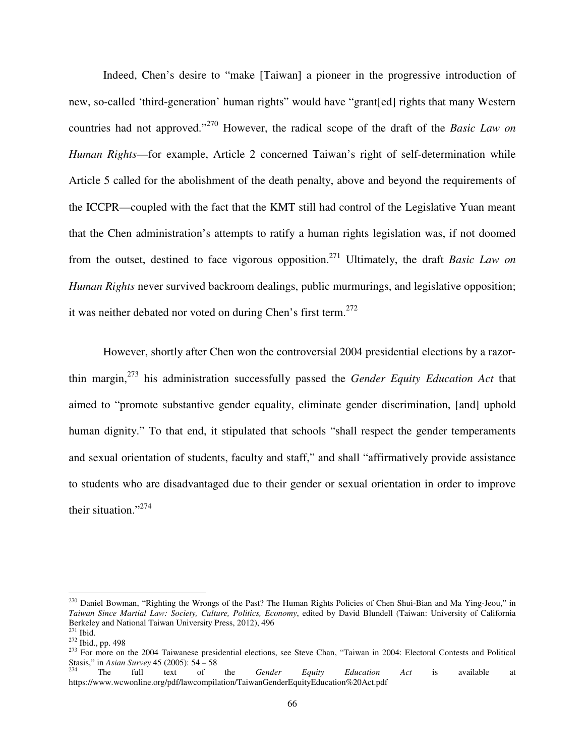Indeed, Chen's desire to "make [Taiwan] a pioneer in the progressive introduction of new, so-called 'third-generation' human rights" would have "grant[ed] rights that many Western countries had not approved."<sup>270</sup> However, the radical scope of the draft of the *Basic Law on Human Rights*—for example, Article 2 concerned Taiwan's right of self-determination while Article 5 called for the abolishment of the death penalty, above and beyond the requirements of the ICCPR—coupled with the fact that the KMT still had control of the Legislative Yuan meant that the Chen administration's attempts to ratify a human rights legislation was, if not doomed from the outset, destined to face vigorous opposition.<sup>271</sup> Ultimately, the draft *Basic Law on Human Rights* never survived backroom dealings, public murmurings, and legislative opposition; it was neither debated nor voted on during Chen's first term.<sup>272</sup>

However, shortly after Chen won the controversial 2004 presidential elections by a razorthin margin,<sup>273</sup> his administration successfully passed the *Gender Equity Education Act* that aimed to "promote substantive gender equality, eliminate gender discrimination, [and] uphold human dignity." To that end, it stipulated that schools "shall respect the gender temperaments and sexual orientation of students, faculty and staff," and shall "affirmatively provide assistance to students who are disadvantaged due to their gender or sexual orientation in order to improve their situation."<sup>274</sup>

<sup>&</sup>lt;sup>270</sup> Daniel Bowman, "Righting the Wrongs of the Past? The Human Rights Policies of Chen Shui-Bian and Ma Ying-Jeou," in *Taiwan Since Martial Law: Society, Culture, Politics, Economy*, edited by David Blundell (Taiwan: University of California Berkeley and National Taiwan University Press, 2012), 496

 $271$  Ibid.

<sup>272</sup> Ibid., pp. 498

<sup>&</sup>lt;sup>273</sup> For more on the 2004 Taiwanese presidential elections, see Steve Chan, "Taiwan in 2004: Electoral Contests and Political Stasis," in *Asian Survey* 45 (2005): 54 – 58<br><sup>274</sup> The full text of

<sup>274</sup> The full text of the *Gender Equity Education Act* is available at https://www.wcwonline.org/pdf/lawcompilation/TaiwanGenderEquityEducation%20Act.pdf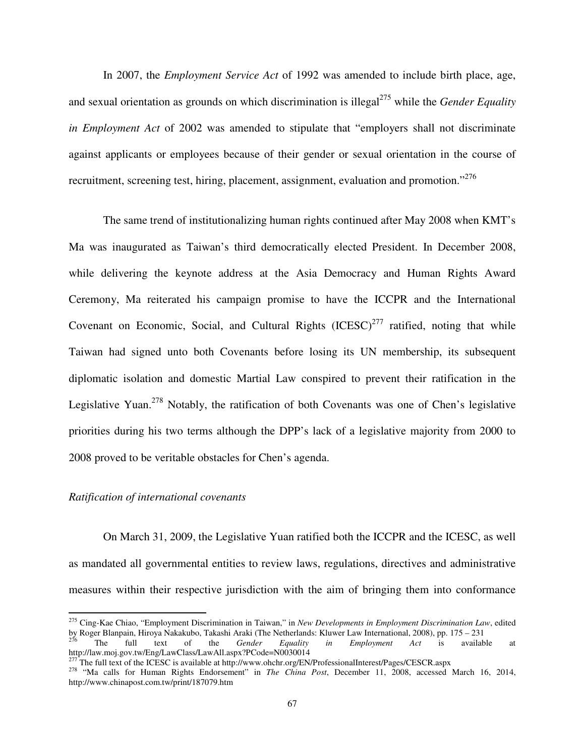In 2007, the *Employment Service Act* of 1992 was amended to include birth place, age, and sexual orientation as grounds on which discrimination is illegal<sup>275</sup> while the *Gender Equality in Employment Act* of 2002 was amended to stipulate that "employers shall not discriminate against applicants or employees because of their gender or sexual orientation in the course of recruitment, screening test, hiring, placement, assignment, evaluation and promotion."<sup>276</sup>

The same trend of institutionalizing human rights continued after May 2008 when KMT's Ma was inaugurated as Taiwan's third democratically elected President. In December 2008, while delivering the keynote address at the Asia Democracy and Human Rights Award Ceremony, Ma reiterated his campaign promise to have the ICCPR and the International Covenant on Economic, Social, and Cultural Rights  $(ICESC)^{277}$  ratified, noting that while Taiwan had signed unto both Covenants before losing its UN membership, its subsequent diplomatic isolation and domestic Martial Law conspired to prevent their ratification in the Legislative Yuan.<sup>278</sup> Notably, the ratification of both Covenants was one of Chen's legislative priorities during his two terms although the DPP's lack of a legislative majority from 2000 to 2008 proved to be veritable obstacles for Chen's agenda.

### *Ratification of international covenants*

 $\overline{a}$ 

On March 31, 2009, the Legislative Yuan ratified both the ICCPR and the ICESC, as well as mandated all governmental entities to review laws, regulations, directives and administrative measures within their respective jurisdiction with the aim of bringing them into conformance

<sup>275</sup> Cing-Kae Chiao, "Employment Discrimination in Taiwan," in *New Developments in Employment Discrimination Law*, edited by Roger Blanpain, Hiroya Nakakubo, Takashi Araki (The Netherlands: Kluwer Law International, 2008), pp. 175 – 231

<sup>&</sup>lt;sup>276</sup> The full text of the *Gender Equality in Employment Act* is available at http://law.moj.gov.tw/Eng/LawClass/LawAll.aspx?PCode=N0030014<br><sup>277</sup> The full to the SCESC in the set of the SCESC in the set of the SCESC in the set of the SCESC in the set of the SCESC in the set of the SCESC in the set o

<sup>277</sup> The full text of the ICESC is available at http://www.ohchr.org/EN/ProfessionalInterest/Pages/CESCR.aspx

<sup>&</sup>lt;sup>278</sup> "Ma calls for Human Rights Endorsement" in *The China Post*, December 11, 2008, accessed March 16, 2014, http://www.chinapost.com.tw/print/187079.htm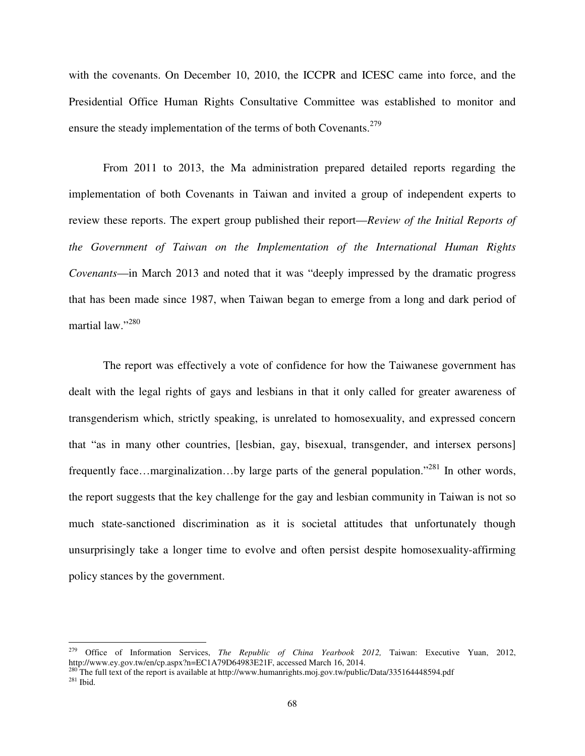with the covenants. On December 10, 2010, the ICCPR and ICESC came into force, and the Presidential Office Human Rights Consultative Committee was established to monitor and ensure the steady implementation of the terms of both Covenants.<sup>279</sup>

From 2011 to 2013, the Ma administration prepared detailed reports regarding the implementation of both Covenants in Taiwan and invited a group of independent experts to review these reports. The expert group published their report—*Review of the Initial Reports of the Government of Taiwan on the Implementation of the International Human Rights Covenants*—in March 2013 and noted that it was "deeply impressed by the dramatic progress that has been made since 1987, when Taiwan began to emerge from a long and dark period of martial law."<sup>280</sup>

The report was effectively a vote of confidence for how the Taiwanese government has dealt with the legal rights of gays and lesbians in that it only called for greater awareness of transgenderism which, strictly speaking, is unrelated to homosexuality, and expressed concern that "as in many other countries, [lesbian, gay, bisexual, transgender, and intersex persons] frequently face…marginalization…by large parts of the general population."<sup>281</sup> In other words, the report suggests that the key challenge for the gay and lesbian community in Taiwan is not so much state-sanctioned discrimination as it is societal attitudes that unfortunately though unsurprisingly take a longer time to evolve and often persist despite homosexuality-affirming policy stances by the government.

<sup>279</sup> Office of Information Services, *The Republic of China Yearbook 2012,* Taiwan: Executive Yuan, 2012, http://www.ey.gov.tw/en/cp.aspx?n=EC1A79D64983E21F, accessed March 16, 2014.

<sup>&</sup>lt;sup>280</sup> The full text of the report is available at http://www.humanrights.moj.gov.tw/public/Data/335164448594.pdf <sup>281</sup> Ibid.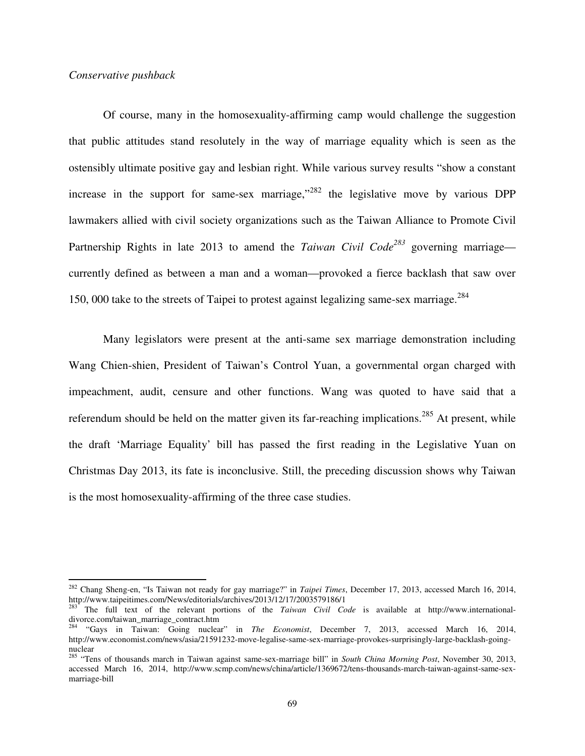### *Conservative pushback*

l

Of course, many in the homosexuality-affirming camp would challenge the suggestion that public attitudes stand resolutely in the way of marriage equality which is seen as the ostensibly ultimate positive gay and lesbian right. While various survey results "show a constant increase in the support for same-sex marriage, $^{3282}$  the legislative move by various DPP lawmakers allied with civil society organizations such as the Taiwan Alliance to Promote Civil Partnership Rights in late 2013 to amend the *Taiwan Civil Code<sup>283</sup>* governing marriage currently defined as between a man and a woman—provoked a fierce backlash that saw over 150, 000 take to the streets of Taipei to protest against legalizing same-sex marriage.<sup>284</sup>

Many legislators were present at the anti-same sex marriage demonstration including Wang Chien-shien, President of Taiwan's Control Yuan, a governmental organ charged with impeachment, audit, censure and other functions. Wang was quoted to have said that a referendum should be held on the matter given its far-reaching implications.<sup>285</sup> At present, while the draft 'Marriage Equality' bill has passed the first reading in the Legislative Yuan on Christmas Day 2013, its fate is inconclusive. Still, the preceding discussion shows why Taiwan is the most homosexuality-affirming of the three case studies.

<sup>282</sup> Chang Sheng-en, "Is Taiwan not ready for gay marriage?" in *Taipei Times*, December 17, 2013, accessed March 16, 2014, http://www.taipeitimes.com/News/editorials/archives/2013/12/17/2003579186/1

<sup>&</sup>lt;sup>283</sup> The full text of the relevant portions of the *Taiwan Civil Code* is available at http://www.internationaldivorce.com/taiwan\_marriage\_contract.htm

<sup>284</sup> "Gays in Taiwan: Going nuclear" in *The Economist*, December 7, 2013, accessed March 16, 2014, http://www.economist.com/news/asia/21591232-move-legalise-same-sex-marriage-provokes-surprisingly-large-backlash-goingnuclear

<sup>285</sup> "Tens of thousands march in Taiwan against same-sex-marriage bill" in *South China Morning Post*, November 30, 2013, accessed March 16, 2014, http://www.scmp.com/news/china/article/1369672/tens-thousands-march-taiwan-against-same-sexmarriage-bill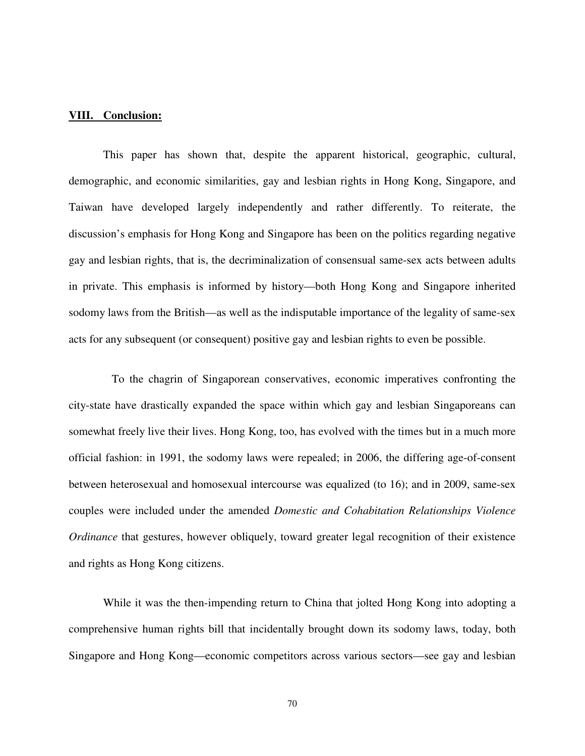# **VIII. Conclusion:**

 This paper has shown that, despite the apparent historical, geographic, cultural, demographic, and economic similarities, gay and lesbian rights in Hong Kong, Singapore, and Taiwan have developed largely independently and rather differently. To reiterate, the discussion's emphasis for Hong Kong and Singapore has been on the politics regarding negative gay and lesbian rights, that is, the decriminalization of consensual same-sex acts between adults in private. This emphasis is informed by history—both Hong Kong and Singapore inherited sodomy laws from the British—as well as the indisputable importance of the legality of same-sex acts for any subsequent (or consequent) positive gay and lesbian rights to even be possible.

 To the chagrin of Singaporean conservatives, economic imperatives confronting the city-state have drastically expanded the space within which gay and lesbian Singaporeans can somewhat freely live their lives. Hong Kong, too, has evolved with the times but in a much more official fashion: in 1991, the sodomy laws were repealed; in 2006, the differing age-of-consent between heterosexual and homosexual intercourse was equalized (to 16); and in 2009, same-sex couples were included under the amended *Domestic and Cohabitation Relationships Violence Ordinance* that gestures, however obliquely, toward greater legal recognition of their existence and rights as Hong Kong citizens.

While it was the then-impending return to China that jolted Hong Kong into adopting a comprehensive human rights bill that incidentally brought down its sodomy laws, today, both Singapore and Hong Kong—economic competitors across various sectors—see gay and lesbian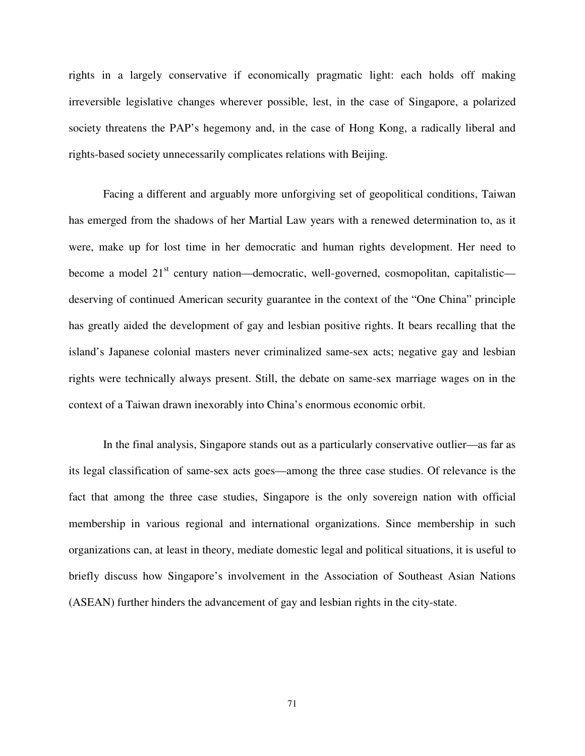rights in a largely conservative if economically pragmatic light: each holds off making irreversible legislative changes wherever possible, lest, in the case of Singapore, a polarized society threatens the PAP's hegemony and, in the case of Hong Kong, a radically liberal and rights-based society unnecessarily complicates relations with Beijing.

Facing a different and arguably more unforgiving set of geopolitical conditions, Taiwan has emerged from the shadows of her Martial Law years with a renewed determination to, as it were, make up for lost time in her democratic and human rights development. Her need to become a model 21<sup>st</sup> century nation—democratic, well-governed, cosmopolitan, capitalistic deserving of continued American security guarantee in the context of the "One China" principle has greatly aided the development of gay and lesbian positive rights. It bears recalling that the island's Japanese colonial masters never criminalized same-sex acts; negative gay and lesbian rights were technically always present. Still, the debate on same-sex marriage wages on in the context of a Taiwan drawn inexorably into China's enormous economic orbit.

In the final analysis, Singapore stands out as a particularly conservative outlier—as far as its legal classification of same-sex acts goes—among the three case studies. Of relevance is the fact that among the three case studies, Singapore is the only sovereign nation with official membership in various regional and international organizations. Since membership in such organizations can, at least in theory, mediate domestic legal and political situations, it is useful to briefly discuss how Singapore's involvement in the Association of Southeast Asian Nations (ASEAN) further hinders the advancement of gay and lesbian rights in the city-state.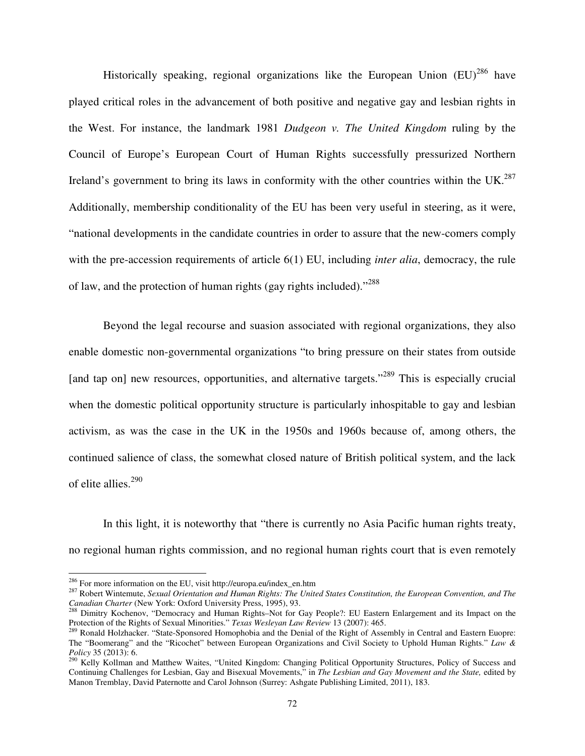Historically speaking, regional organizations like the European Union  $(EU)^{286}$  have played critical roles in the advancement of both positive and negative gay and lesbian rights in the West. For instance, the landmark 1981 *Dudgeon v. The United Kingdom* ruling by the Council of Europe's European Court of Human Rights successfully pressurized Northern Ireland's government to bring its laws in conformity with the other countries within the UK.<sup>287</sup> Additionally, membership conditionality of the EU has been very useful in steering, as it were, "national developments in the candidate countries in order to assure that the new-comers comply with the pre-accession requirements of article 6(1) EU, including *inter alia*, democracy, the rule of law, and the protection of human rights (gay rights included)."<sup>288</sup>

 Beyond the legal recourse and suasion associated with regional organizations, they also enable domestic non-governmental organizations "to bring pressure on their states from outside [and tap on] new resources, opportunities, and alternative targets."<sup>289</sup> This is especially crucial when the domestic political opportunity structure is particularly inhospitable to gay and lesbian activism, as was the case in the UK in the 1950s and 1960s because of, among others, the continued salience of class, the somewhat closed nature of British political system, and the lack of elite allies.<sup>290</sup>

 In this light, it is noteworthy that "there is currently no Asia Pacific human rights treaty, no regional human rights commission, and no regional human rights court that is even remotely

 $\overline{a}$ 

<sup>286</sup> For more information on the EU, visit http://europa.eu/index\_en.htm

<sup>287</sup> Robert Wintemute, *Sexual Orientation and Human Rights: The United States Constitution, the European Convention, and The Canadian Charter* (New York: Oxford University Press, 1995), 93.

<sup>&</sup>lt;sup>288</sup> Dimitry Kochenov, "Democracy and Human Rights–Not for Gay People?: EU Eastern Enlargement and its Impact on the Protection of the Rights of Sexual Minorities." *Texas Wesleyan Law Review* 13 (2007): 465.

<sup>&</sup>lt;sup>289</sup> Ronald Holzhacker. "State-Sponsored Homophobia and the Denial of the Right of Assembly in Central and Eastern Euopre: The "Boomerang" and the "Ricochet" between European Organizations and Civil Society to Uphold Human Rights." *Law & Policy* 35 (2013): 6.

<sup>&</sup>lt;sup>290</sup> Kelly Kollman and Matthew Waites, "United Kingdom: Changing Political Opportunity Structures, Policy of Success and Continuing Challenges for Lesbian, Gay and Bisexual Movements," in *The Lesbian and Gay Movement and the State,* edited by Manon Tremblay, David Paternotte and Carol Johnson (Surrey: Ashgate Publishing Limited, 2011), 183.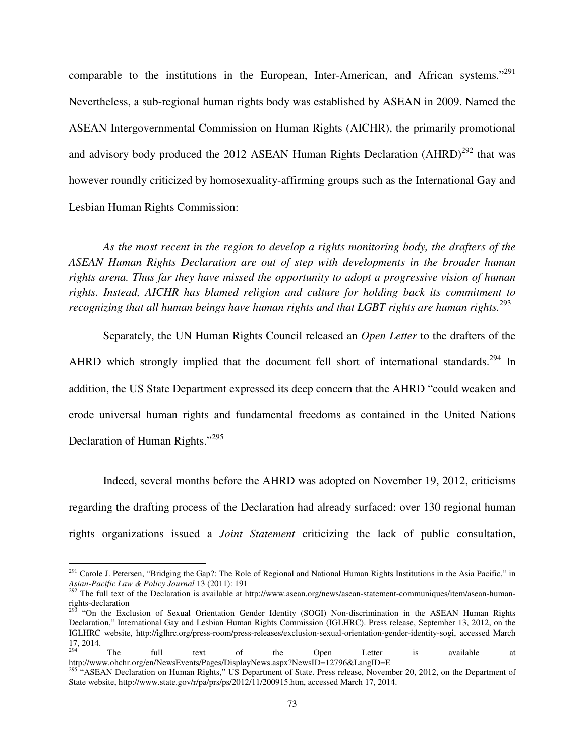comparable to the institutions in the European, Inter-American, and African systems."<sup>291</sup> Nevertheless, a sub-regional human rights body was established by ASEAN in 2009. Named the ASEAN Intergovernmental Commission on Human Rights (AICHR), the primarily promotional and advisory body produced the 2012 ASEAN Human Rights Declaration  $(AHRD)^{292}$  that was however roundly criticized by homosexuality-affirming groups such as the International Gay and Lesbian Human Rights Commission:

*As the most recent in the region to develop a rights monitoring body, the drafters of the ASEAN Human Rights Declaration are out of step with developments in the broader human rights arena. Thus far they have missed the opportunity to adopt a progressive vision of human rights. Instead, AICHR has blamed religion and culture for holding back its commitment to recognizing that all human beings have human rights and that LGBT rights are human rights.*<sup>293</sup>

 Separately, the UN Human Rights Council released an *Open Letter* to the drafters of the AHRD which strongly implied that the document fell short of international standards.<sup>294</sup> In addition, the US State Department expressed its deep concern that the AHRD "could weaken and erode universal human rights and fundamental freedoms as contained in the United Nations Declaration of Human Rights."<sup>295</sup>

Indeed, several months before the AHRD was adopted on November 19, 2012, criticisms regarding the drafting process of the Declaration had already surfaced: over 130 regional human rights organizations issued a *Joint Statement* criticizing the lack of public consultation,

l

 $^{291}$  Carole J. Petersen, "Bridging the Gap?: The Role of Regional and National Human Rights Institutions in the Asia Pacific," in *Asian-Pacific Law & Policy Journal* 13 (2011): 191

<sup>&</sup>lt;sup>292</sup> The full text of the Declaration is available at http://www.asean.org/news/asean-statement-communiques/item/asean-humanrights-declaration

<sup>&</sup>lt;sup>2</sup> "On the Exclusion of Sexual Orientation Gender Identity (SOGI) Non-discrimination in the ASEAN Human Rights Declaration," International Gay and Lesbian Human Rights Commission (IGLHRC). Press release, September 13, 2012, on the IGLHRC website, http://iglhrc.org/press-room/press-releases/exclusion-sexual-orientation-gender-identity-sogi, accessed March  $17, 2014.$ 

<sup>&</sup>lt;sup>294</sup> The full text of the Open Letter is available at http://www.ohchr.org/en/NewsEvents/Pages/DisplayNews.aspx?NewsID=12796&LangID=E

<sup>&</sup>lt;sup>295</sup> "ASEAN Declaration on Human Rights," US Department of State. Press release, November 20, 2012, on the Department of State website, http://www.state.gov/r/pa/prs/ps/2012/11/200915.htm, accessed March 17, 2014.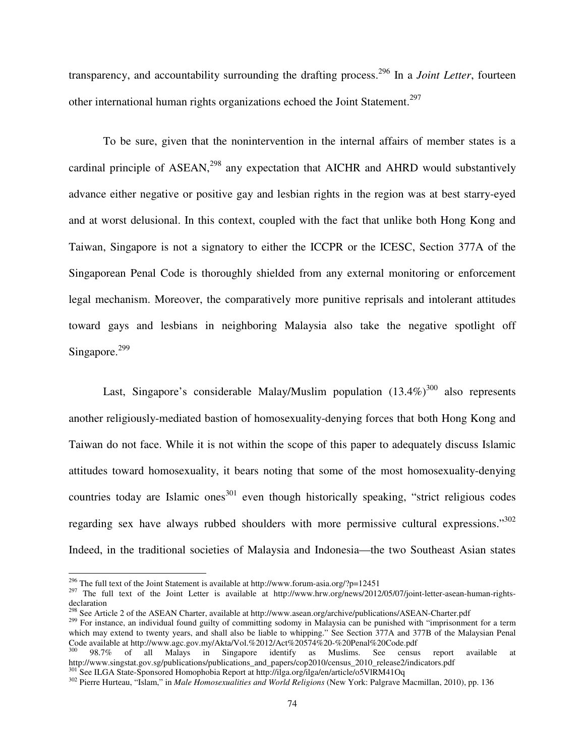transparency, and accountability surrounding the drafting process.<sup>296</sup> In a *Joint Letter*, fourteen other international human rights organizations echoed the Joint Statement.<sup>297</sup>

 To be sure, given that the nonintervention in the internal affairs of member states is a cardinal principle of  $ASEAN<sub>1</sub><sup>298</sup>$  any expectation that AICHR and AHRD would substantively advance either negative or positive gay and lesbian rights in the region was at best starry-eyed and at worst delusional. In this context, coupled with the fact that unlike both Hong Kong and Taiwan, Singapore is not a signatory to either the ICCPR or the ICESC, Section 377A of the Singaporean Penal Code is thoroughly shielded from any external monitoring or enforcement legal mechanism. Moreover, the comparatively more punitive reprisals and intolerant attitudes toward gays and lesbians in neighboring Malaysia also take the negative spotlight off Singapore. $299$ 

Last, Singapore's considerable Malay/Muslim population  $(13.4\%)^{300}$  also represents another religiously-mediated bastion of homosexuality-denying forces that both Hong Kong and Taiwan do not face. While it is not within the scope of this paper to adequately discuss Islamic attitudes toward homosexuality, it bears noting that some of the most homosexuality-denying countries today are Islamic ones<sup>301</sup> even though historically speaking, "strict religious codes regarding sex have always rubbed shoulders with more permissive cultural expressions."<sup>302</sup> Indeed, in the traditional societies of Malaysia and Indonesia—the two Southeast Asian states

 $\overline{a}$ 

<sup>&</sup>lt;sup>296</sup> The full text of the Joint Statement is available at http://www.forum-asia.org/?p=12451

 $^{297}$  The full text of the Joint Letter is available at http://www.hrw.org/news/2012/05/07/joint-letter-asean-human-rightsdeclaration

<sup>&</sup>lt;sup>298</sup> See Article 2 of the ASEAN Charter, available at http://www.asean.org/archive/publications/ASEAN-Charter.pdf

<sup>&</sup>lt;sup>299</sup> For instance, an individual found guilty of committing sodomy in Malaysia can be punished with "imprisonment for a term which may extend to twenty years, and shall also be liable to whipping." See Section 377A and 377B of the Malaysian Penal Code available at http://www.agc.gov.my/Akta/Vol.%2012/Act%20574%20-%20Penal%20Code.pdf

<sup>300</sup> 98.7% of all Malays in Singapore identify as Muslims. See census report available at http://www.singstat.gov.sg/publications/publications\_and\_papers/cop2010/census\_2010\_release2/indicators.pdf <sup>301</sup> See ILGA State-Sponsored Homophobia Report at http://ilga.org/ilga/en/article/o5VlRM41Oq

<sup>302</sup> Pierre Hurteau, "Islam," in *Male Homosexualities and World Religions* (New York: Palgrave Macmillan, 2010), pp. 136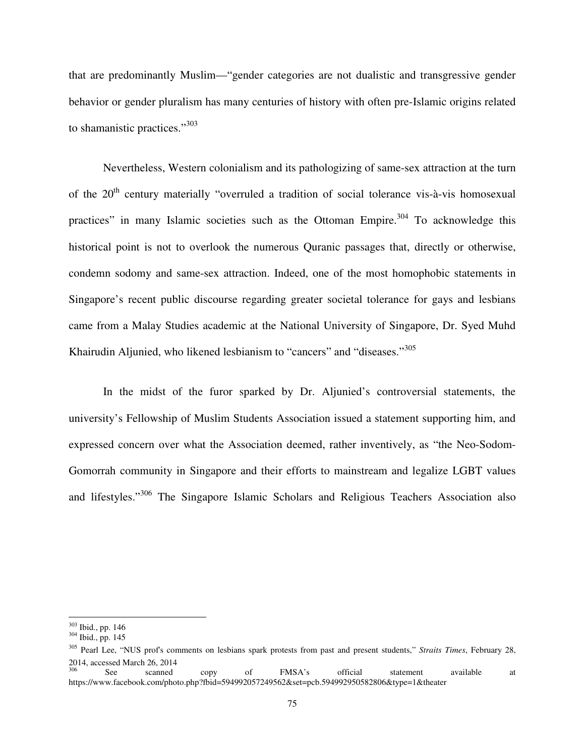that are predominantly Muslim—"gender categories are not dualistic and transgressive gender behavior or gender pluralism has many centuries of history with often pre-Islamic origins related to shamanistic practices."<sup>303</sup>

Nevertheless, Western colonialism and its pathologizing of same-sex attraction at the turn of the  $20<sup>th</sup>$  century materially "overruled a tradition of social tolerance vis-à-vis homosexual practices" in many Islamic societies such as the Ottoman Empire.<sup>304</sup> To acknowledge this historical point is not to overlook the numerous Quranic passages that, directly or otherwise, condemn sodomy and same-sex attraction. Indeed, one of the most homophobic statements in Singapore's recent public discourse regarding greater societal tolerance for gays and lesbians came from a Malay Studies academic at the National University of Singapore, Dr. Syed Muhd Khairudin Aljunied, who likened lesbianism to "cancers" and "diseases."<sup>305</sup>

In the midst of the furor sparked by Dr. Aljunied's controversial statements, the university's Fellowship of Muslim Students Association issued a statement supporting him, and expressed concern over what the Association deemed, rather inventively, as "the Neo-Sodom-Gomorrah community in Singapore and their efforts to mainstream and legalize LGBT values and lifestyles."<sup>306</sup> The Singapore Islamic Scholars and Religious Teachers Association also

l

<sup>303</sup> Ibid., pp. 146

<sup>304</sup> Ibid., pp. 145

<sup>305</sup> Pearl Lee, "NUS prof's comments on lesbians spark protests from past and present students," *Straits Times*, February 28,  $2014$ , accessed March 26, 2014<br>See scanned

<sup>&</sup>lt;sup>306</sup> See scanned copy of FMSA's official statement available at https://www.facebook.com/photo.php?fbid=594992057249562&set=pcb.594992950582806&type=1&theater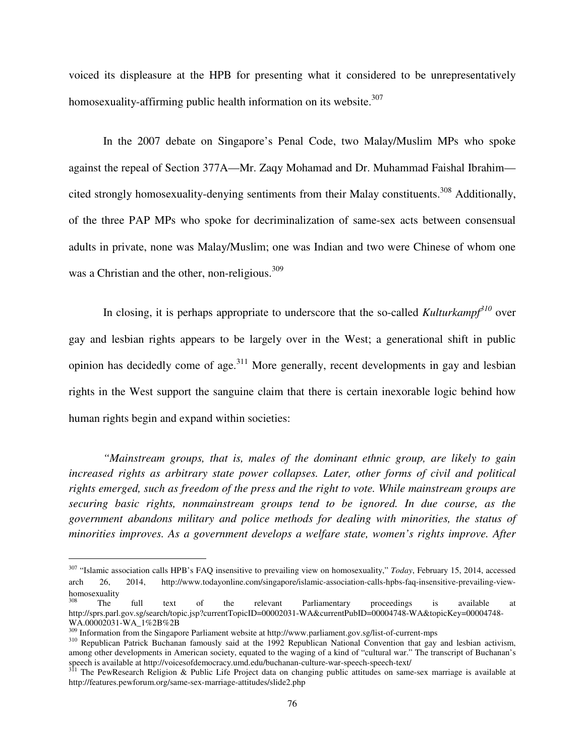voiced its displeasure at the HPB for presenting what it considered to be unrepresentatively homosexuality-affirming public health information on its website. $307$ 

In the 2007 debate on Singapore's Penal Code, two Malay/Muslim MPs who spoke against the repeal of Section 377A—Mr. Zaqy Mohamad and Dr. Muhammad Faishal Ibrahim cited strongly homosexuality-denying sentiments from their Malay constituents.<sup>308</sup> Additionally, of the three PAP MPs who spoke for decriminalization of same-sex acts between consensual adults in private, none was Malay/Muslim; one was Indian and two were Chinese of whom one was a Christian and the other, non-religious.<sup>309</sup>

In closing, it is perhaps appropriate to underscore that the so-called *Kulturkampf<sup>310</sup>* over gay and lesbian rights appears to be largely over in the West; a generational shift in public opinion has decidedly come of age.<sup>311</sup> More generally, recent developments in gay and lesbian rights in the West support the sanguine claim that there is certain inexorable logic behind how human rights begin and expand within societies:

*"Mainstream groups, that is, males of the dominant ethnic group, are likely to gain increased rights as arbitrary state power collapses. Later, other forms of civil and political rights emerged, such as freedom of the press and the right to vote. While mainstream groups are securing basic rights, nonmainstream groups tend to be ignored. In due course, as the government abandons military and police methods for dealing with minorities, the status of minorities improves. As a government develops a welfare state, women's rights improve. After* 

 $\overline{a}$ 

<sup>307</sup> "Islamic association calls HPB's FAQ insensitive to prevailing view on homosexuality," *Today*, February 15, 2014, accessed arch 26, 2014, http://www.todayonline.com/singapore/islamic-association-calls-hpbs-faq-insensitive-prevailing-viewhomosexuality

<sup>308</sup> The full text of the relevant Parliamentary proceedings is available at http://sprs.parl.gov.sg/search/topic.jsp?currentTopicID=00002031-WA&currentPubID=00004748-WA&topicKey=00004748-WA.00002031-WA\_1%2B%2B

<sup>309</sup> Information from the Singapore Parliament website at http://www.parliament.gov.sg/list-of-current-mps

<sup>&</sup>lt;sup>310</sup> Republican Patrick Buchanan famously said at the 1992 Republican National Convention that gay and lesbian activism, among other developments in American society, equated to the waging of a kind of "cultural war." The transcript of Buchanan's speech is available at http://voicesofdemocracy.umd.edu/buchanan-culture-war-speech-speech-text/

<sup>&</sup>lt;sup>311</sup> The PewResearch Religion & Public Life Project data on changing public attitudes on same-sex marriage is available at http://features.pewforum.org/same-sex-marriage-attitudes/slide2.php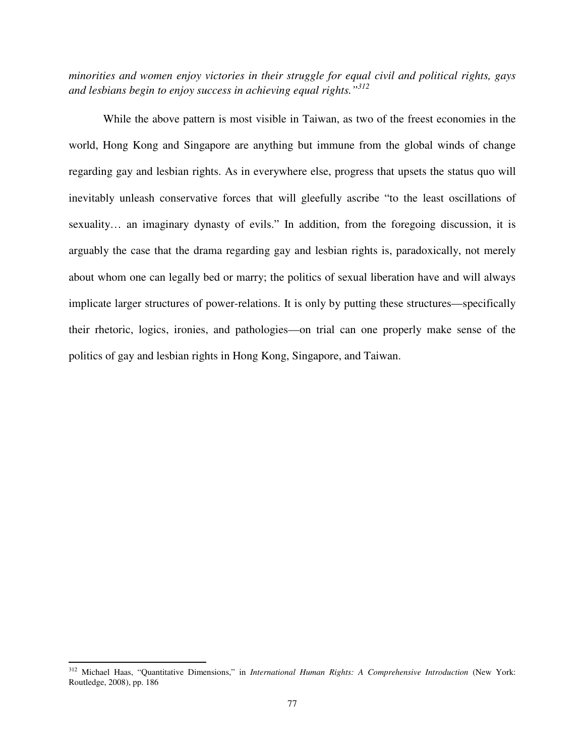*minorities and women enjoy victories in their struggle for equal civil and political rights, gays and lesbians begin to enjoy success in achieving equal rights."<sup>312</sup>* 

 While the above pattern is most visible in Taiwan, as two of the freest economies in the world, Hong Kong and Singapore are anything but immune from the global winds of change regarding gay and lesbian rights. As in everywhere else, progress that upsets the status quo will inevitably unleash conservative forces that will gleefully ascribe "to the least oscillations of sexuality… an imaginary dynasty of evils." In addition, from the foregoing discussion, it is arguably the case that the drama regarding gay and lesbian rights is, paradoxically, not merely about whom one can legally bed or marry; the politics of sexual liberation have and will always implicate larger structures of power-relations. It is only by putting these structures—specifically their rhetoric, logics, ironies, and pathologies—on trial can one properly make sense of the politics of gay and lesbian rights in Hong Kong, Singapore, and Taiwan.

l

<sup>312</sup> Michael Haas, "Quantitative Dimensions," in *International Human Rights: A Comprehensive Introduction* (New York: Routledge, 2008), pp. 186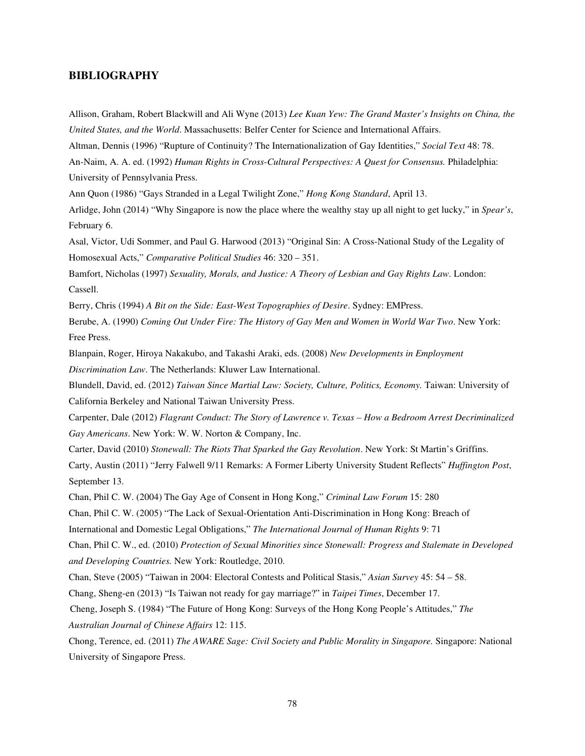## **BIBLIOGRAPHY**

Allison, Graham, Robert Blackwill and Ali Wyne (2013) *Lee Kuan Yew: The Grand Master's Insights on China, the United States, and the World*. Massachusetts: Belfer Center for Science and International Affairs.

Altman, Dennis (1996) "Rupture of Continuity? The Internationalization of Gay Identities," *Social Text* 48: 78.

An-Naim, A. A. ed. (1992) *Human Rights in Cross-Cultural Perspectives: A Quest for Consensus.* Philadelphia: University of Pennsylvania Press.

Ann Quon (1986) "Gays Stranded in a Legal Twilight Zone," *Hong Kong Standard*, April 13.

Arlidge, John (2014) "Why Singapore is now the place where the wealthy stay up all night to get lucky," in *Spear's*, February 6.

Asal, Victor, Udi Sommer, and Paul G. Harwood (2013) "Original Sin: A Cross-National Study of the Legality of Homosexual Acts," *Comparative Political Studies* 46: 320 – 351.

Bamfort, Nicholas (1997) *Sexuality, Morals, and Justice: A Theory of Lesbian and Gay Rights Law*. London: Cassell.

Berry, Chris (1994) *A Bit on the Side: East-West Topographies of Desire*. Sydney: EMPress.

Berube, A. (1990) *Coming Out Under Fire: The History of Gay Men and Women in World War Two*. New York: Free Press.

Blanpain, Roger, Hiroya Nakakubo, and Takashi Araki, eds. (2008) *New Developments in Employment Discrimination Law*. The Netherlands: Kluwer Law International.

Blundell, David, ed. (2012) *Taiwan Since Martial Law: Society, Culture, Politics, Economy*. Taiwan: University of California Berkeley and National Taiwan University Press.

Carpenter, Dale (2012) *Flagrant Conduct: The Story of Lawrence v. Texas – How a Bedroom Arrest Decriminalized Gay Americans*. New York: W. W. Norton & Company, Inc.

Carter, David (2010) *Stonewall: The Riots That Sparked the Gay Revolution*. New York: St Martin's Griffins.

Carty, Austin (2011) "Jerry Falwell 9/11 Remarks: A Former Liberty University Student Reflects" *Huffington Post*, September 13.

Chan, Phil C. W. (2004) The Gay Age of Consent in Hong Kong," *Criminal Law Forum* 15: 280

Chan, Phil C. W. (2005) "The Lack of Sexual-Orientation Anti-Discrimination in Hong Kong: Breach of

International and Domestic Legal Obligations," *The International Journal of Human Rights* 9: 71

Chan, Phil C. W., ed. (2010) *Protection of Sexual Minorities since Stonewall: Progress and Stalemate in Developed and Developing Countries.* New York: Routledge, 2010.

Chan, Steve (2005) "Taiwan in 2004: Electoral Contests and Political Stasis," *Asian Survey* 45: 54 – 58.

Chang, Sheng-en (2013) "Is Taiwan not ready for gay marriage?" in *Taipei Times*, December 17.

Cheng, Joseph S. (1984) "The Future of Hong Kong: Surveys of the Hong Kong People's Attitudes," *The Australian Journal of Chinese Affairs* 12: 115.

Chong, Terence, ed. (2011) *The AWARE Sage: Civil Society and Public Morality in Singapore.* Singapore: National University of Singapore Press.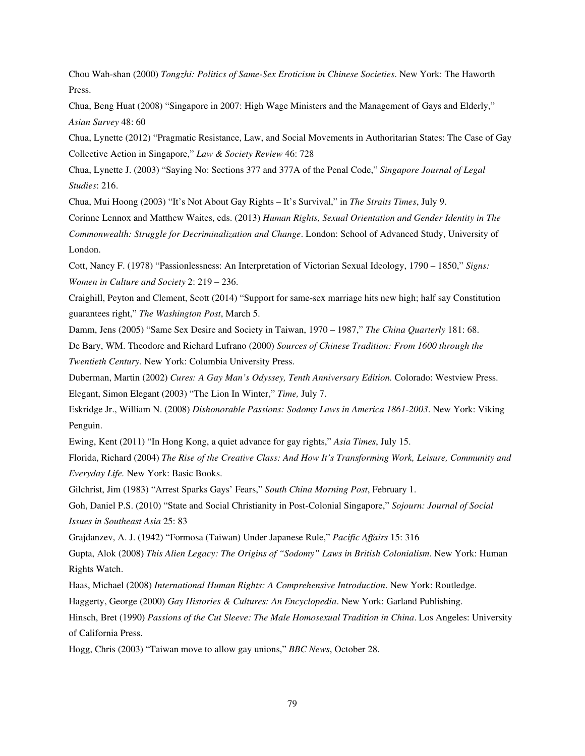Chou Wah-shan (2000) *Tongzhi: Politics of Same-Sex Eroticism in Chinese Societies*. New York: The Haworth Press.

Chua, Beng Huat (2008) "Singapore in 2007: High Wage Ministers and the Management of Gays and Elderly," *Asian Survey* 48: 60

Chua, Lynette (2012) "Pragmatic Resistance, Law, and Social Movements in Authoritarian States: The Case of Gay Collective Action in Singapore," *Law & Society Review* 46: 728

Chua, Lynette J. (2003) "Saying No: Sections 377 and 377A of the Penal Code," *Singapore Journal of Legal Studies*: 216.

Chua, Mui Hoong (2003) "It's Not About Gay Rights – It's Survival," in *The Straits Times*, July 9.

Corinne Lennox and Matthew Waites, eds. (2013) *Human Rights, Sexual Orientation and Gender Identity in The Commonwealth: Struggle for Decriminalization and Change*. London: School of Advanced Study, University of London.

Cott, Nancy F. (1978) "Passionlessness: An Interpretation of Victorian Sexual Ideology, 1790 – 1850," *Signs: Women in Culture and Society* 2: 219 – 236.

Craighill, Peyton and Clement, Scott (2014) "Support for same-sex marriage hits new high; half say Constitution guarantees right," *The Washington Post*, March 5.

Damm, Jens (2005) "Same Sex Desire and Society in Taiwan, 1970 – 1987," *The China Quarterly* 181: 68.

De Bary, WM. Theodore and Richard Lufrano (2000) *Sources of Chinese Tradition: From 1600 through the Twentieth Century.* New York: Columbia University Press.

Duberman, Martin (2002) *Cures: A Gay Man's Odyssey, Tenth Anniversary Edition.* Colorado: Westview Press.

Elegant, Simon Elegant (2003) "The Lion In Winter," *Time,* July 7.

Eskridge Jr., William N. (2008) *Dishonorable Passions: Sodomy Laws in America 1861-2003*. New York: Viking Penguin.

Ewing, Kent (2011) "In Hong Kong, a quiet advance for gay rights," *Asia Times*, July 15.

Florida, Richard (2004) *The Rise of the Creative Class: And How It's Transforming Work, Leisure, Community and Everyday Life.* New York: Basic Books.

Gilchrist, Jim (1983) "Arrest Sparks Gays' Fears," *South China Morning Post*, February 1.

Goh, Daniel P.S. (2010) "State and Social Christianity in Post-Colonial Singapore," *Sojourn: Journal of Social Issues in Southeast Asia* 25: 83

Grajdanzev, A. J. (1942) "Formosa (Taiwan) Under Japanese Rule," *Pacific Affairs* 15: 316

Gupta, Alok (2008) *This Alien Legacy: The Origins of "Sodomy" Laws in British Colonialism*. New York: Human Rights Watch.

Haas, Michael (2008) *International Human Rights: A Comprehensive Introduction*. New York: Routledge.

Haggerty, George (2000) *Gay Histories & Cultures: An Encyclopedia*. New York: Garland Publishing.

Hinsch, Bret (1990) *Passions of the Cut Sleeve: The Male Homosexual Tradition in China*. Los Angeles: University of California Press.

Hogg, Chris (2003) "Taiwan move to allow gay unions," *BBC News*, October 28.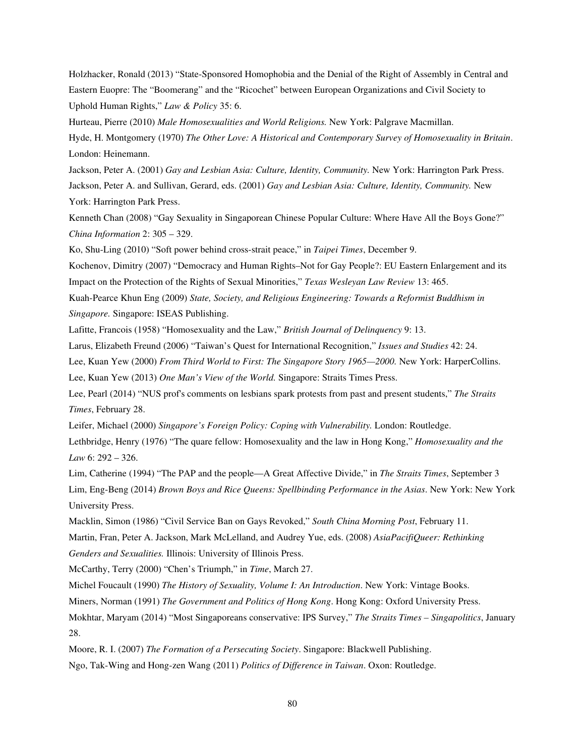Holzhacker, Ronald (2013) "State-Sponsored Homophobia and the Denial of the Right of Assembly in Central and Eastern Euopre: The "Boomerang" and the "Ricochet" between European Organizations and Civil Society to Uphold Human Rights," *Law & Policy* 35: 6.

Hurteau, Pierre (2010) *Male Homosexualities and World Religions.* New York: Palgrave Macmillan.

Hyde, H. Montgomery (1970) *The Other Love: A Historical and Contemporary Survey of Homosexuality in Britain*. London: Heinemann.

Jackson, Peter A. (2001) *Gay and Lesbian Asia: Culture, Identity, Community.* New York: Harrington Park Press. Jackson, Peter A. and Sullivan, Gerard, eds. (2001) *Gay and Lesbian Asia: Culture, Identity, Community.* New York: Harrington Park Press.

Kenneth Chan (2008) "Gay Sexuality in Singaporean Chinese Popular Culture: Where Have All the Boys Gone?" *China Information* 2: 305 – 329.

Ko, Shu-Ling (2010) "Soft power behind cross-strait peace," in *Taipei Times*, December 9.

Kochenov, Dimitry (2007) "Democracy and Human Rights–Not for Gay People?: EU Eastern Enlargement and its Impact on the Protection of the Rights of Sexual Minorities," *Texas Wesleyan Law Review* 13: 465.

Kuah-Pearce Khun Eng (2009) *State, Society, and Religious Engineering: Towards a Reformist Buddhism in Singapore.* Singapore: ISEAS Publishing.

Lafitte, Francois (1958) "Homosexuality and the Law," *British Journal of Delinquency* 9: 13.

Larus, Elizabeth Freund (2006) "Taiwan's Quest for International Recognition," *Issues and Studies* 42: 24.

Lee, Kuan Yew (2000) From Third World to First: The Singapore Story 1965-2000. New York: HarperCollins.

Lee, Kuan Yew (2013) *One Man's View of the World.* Singapore: Straits Times Press.

Lee, Pearl (2014) "NUS prof's comments on lesbians spark protests from past and present students," *The Straits Times*, February 28.

Leifer, Michael (2000) *Singapore's Foreign Policy: Coping with Vulnerability.* London: Routledge.

Lethbridge, Henry (1976) "The quare fellow: Homosexuality and the law in Hong Kong," *Homosexuality and the Law* 6: 292 – 326.

Lim, Catherine (1994) "The PAP and the people—A Great Affective Divide," in *The Straits Times*, September 3 Lim, Eng-Beng (2014) *Brown Boys and Rice Queens: Spellbinding Performance in the Asias*. New York: New York University Press.

Macklin, Simon (1986) "Civil Service Ban on Gays Revoked," *South China Morning Post*, February 11. Martin, Fran, Peter A. Jackson, Mark McLelland, and Audrey Yue, eds. (2008) *AsiaPacifiQueer: Rethinking Genders and Sexualities.* Illinois: University of Illinois Press.

McCarthy, Terry (2000) "Chen's Triumph," in *Time*, March 27.

Michel Foucault (1990) *The History of Sexuality, Volume I: An Introduction*. New York: Vintage Books.

Miners, Norman (1991) *The Government and Politics of Hong Kong*. Hong Kong: Oxford University Press.

Mokhtar, Maryam (2014) "Most Singaporeans conservative: IPS Survey," *The Straits Times – Singapolitics*, January 28.

Moore, R. I. (2007) *The Formation of a Persecuting Society*. Singapore: Blackwell Publishing.

Ngo, Tak-Wing and Hong-zen Wang (2011) *Politics of Difference in Taiwan*. Oxon: Routledge.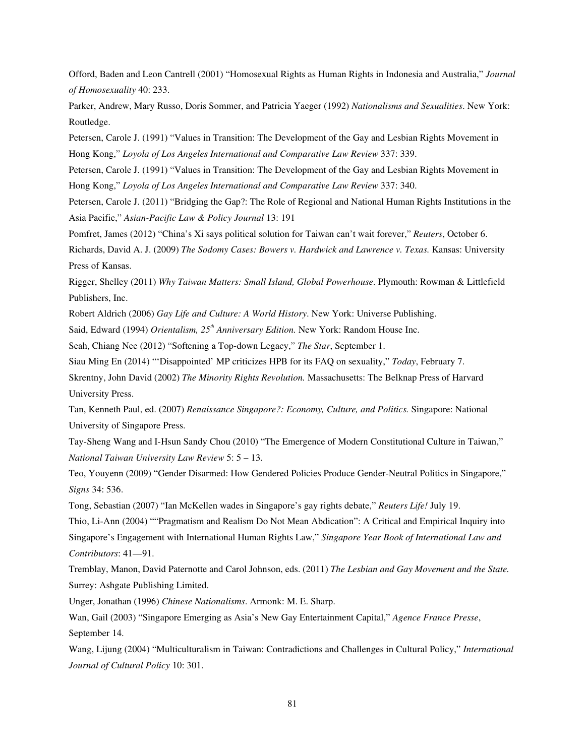Offord, Baden and Leon Cantrell (2001) "Homosexual Rights as Human Rights in Indonesia and Australia," *Journal of Homosexuality* 40: 233.

Parker, Andrew, Mary Russo, Doris Sommer, and Patricia Yaeger (1992) *Nationalisms and Sexualities*. New York: Routledge.

Petersen, Carole J. (1991) "Values in Transition: The Development of the Gay and Lesbian Rights Movement in Hong Kong," *Loyola of Los Angeles International and Comparative Law Review* 337: 339.

Petersen, Carole J. (1991) "Values in Transition: The Development of the Gay and Lesbian Rights Movement in Hong Kong," *Loyola of Los Angeles International and Comparative Law Review* 337: 340.

Petersen, Carole J. (2011) "Bridging the Gap?: The Role of Regional and National Human Rights Institutions in the Asia Pacific," *Asian-Pacific Law & Policy Journal* 13: 191

Pomfret, James (2012) "China's Xi says political solution for Taiwan can't wait forever," *Reuters*, October 6. Richards, David A. J. (2009) *The Sodomy Cases: Bowers v. Hardwick and Lawrence v. Texas.* Kansas: University Press of Kansas.

Rigger, Shelley (2011) *Why Taiwan Matters: Small Island, Global Powerhouse*. Plymouth: Rowman & Littlefield Publishers, Inc.

Robert Aldrich (2006) *Gay Life and Culture: A World History*. New York: Universe Publishing.

Said, Edward (1994) *Orientalism, 25th Anniversary Edition.* New York: Random House Inc.

Seah, Chiang Nee (2012) "Softening a Top-down Legacy," *The Star*, September 1.

Siau Ming En (2014) "'Disappointed' MP criticizes HPB for its FAQ on sexuality," *Today*, February 7.

Skrentny, John David (2002) *The Minority Rights Revolution.* Massachusetts: The Belknap Press of Harvard University Press.

Tan, Kenneth Paul, ed. (2007) *Renaissance Singapore?: Economy, Culture, and Politics.* Singapore: National University of Singapore Press.

Tay-Sheng Wang and I-Hsun Sandy Chou (2010) "The Emergence of Modern Constitutional Culture in Taiwan," *National Taiwan University Law Review* 5: 5 – 13.

Teo, Youyenn (2009) "Gender Disarmed: How Gendered Policies Produce Gender-Neutral Politics in Singapore," *Signs* 34: 536.

Tong, Sebastian (2007) "Ian McKellen wades in Singapore's gay rights debate," *Reuters Life!* July 19.

Thio, Li-Ann (2004) ""Pragmatism and Realism Do Not Mean Abdication": A Critical and Empirical Inquiry into Singapore's Engagement with International Human Rights Law," *Singapore Year Book of International Law and Contributors*: 41—91.

Tremblay, Manon, David Paternotte and Carol Johnson, eds. (2011) *The Lesbian and Gay Movement and the State.*  Surrey: Ashgate Publishing Limited.

Unger, Jonathan (1996) *Chinese Nationalisms*. Armonk: M. E. Sharp.

Wan, Gail (2003) "Singapore Emerging as Asia's New Gay Entertainment Capital," *Agence France Presse*, September 14.

Wang, Lijung (2004) "Multiculturalism in Taiwan: Contradictions and Challenges in Cultural Policy," *International Journal of Cultural Policy* 10: 301.